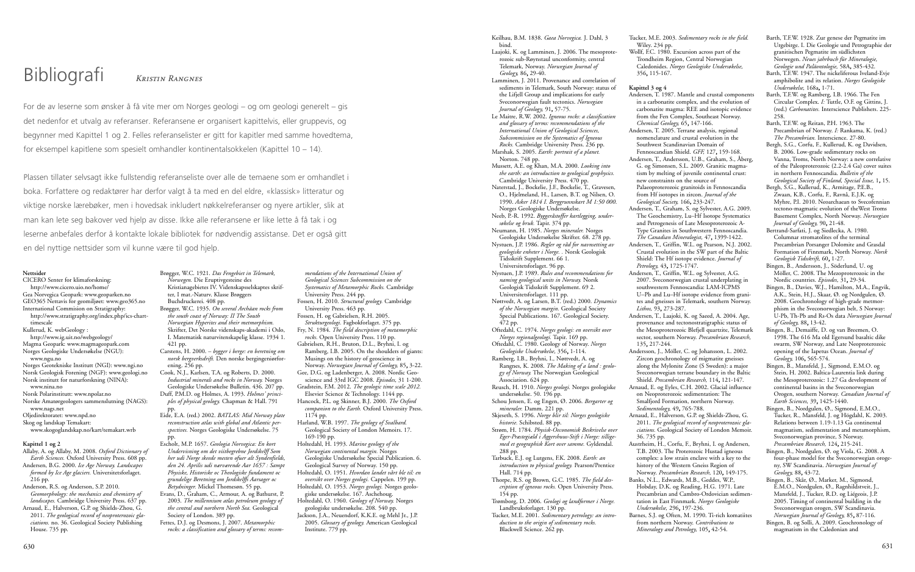#### **Nettsider**

CICERO Senter for klimaforskning: http://www.cicero.uio.no/home/ Gea Norvegica Geopark: www.geoparken.no GEO365 Nettavis for geomiljøet: www.geo365.no International Commision on Stratigraphy: http://www.stratigraphy.org/index.php/ics-charttimescale Kullerud, K. webGeology : http://www.ig.uit.no/webgeology/ Magma Geopark: www.magmageopark.com Norges Geologiske Undersøkelse (NGU): www.ngu.no Norges Geotekniske Institutt (NGI): www.ngi.no Norsk Geologisk Forening (NGF): www.geologi.no Norsk institutt for naturforskning (NINA): www.nina.no Norsk Polarinstitutt: www.npolar.no Norske Amatørgeologers sammenslutning (NAGS): www.nags.net Oljedirektoratet: www.npd.no Skog og landskap Temakart: www.skogoglandskap.no/kart/temakart.wrb

#### **Kapittel 1 og 2**

Allaby, A. og Allaby, M. 2008. *Oxford Dictionary of Earth Sciences.* Oxford University Press. 608 pp. Andersen, B.G. 2000. *Ice Age Norway. Landscapes formed by Ice Age glaciers.* Universitetsforlaget. 216 pp.

Anderson, R.S. og Anderson, S.P. 2010. *Geomorphology: the mechanics and chemistry of landscapes.* Cambridge University Press. 637 pp. Arnaud, E., Halverson, G.P. og Shields-Zhou, G. 2011. *The geological record of neoproterozoic gla-*

*ciations.* no. 36. Geological Society Publishing House. 735 pp.

Brøgger, W.C. 1921. *Das Fengebiet in Telemark, Norwegen.* Die Eruptivgesteine des Kristianagebietes IV. Videnskapsselskaptes skrifter, I mat.-Naturv. Klasse Brøggers Buchdruckerei. 408 pp.

Brøgger, W.C. 1935. *On several Archäan rocks from the south coast of Norway: II The South Norwegian Hyperites and their metmorphism.* Skrifter, Det Norske videnskaps-akademi i Oslo, I. Matematisk naturvitenskapelig klasse. 1934 1. 421 pp.

Carstens, H. 2000. – *bygger i berge: en beretning om norsk bergverksdrift.* Den norske bergingeniørforening. 256 pp.

Cook, N.J., Karlsen, T.A. og Roberts, D. 2000. *Industrial minerals and rocks in Norway.* Norges Geologiske Undersøkelse Bulletin. 436. 207 pp. Duff, P.M.D. og Holmes, A. 1993. *Holmes' principles of physical geology.* Chapman & Hall. 791

Eide, E.A. (red.) 2002. *BATLAS: Mid Norway plate reconstruction atlas with global and Atlantic perspectives.* Norges Geologiske Undersøkelse. 75

pp. pp.

Escholt, M.P. 1657. *Geologia Norvegica: En kort Undervisning om det viitbegrebne Jordskelff Som her udi Norge skeede mesten ofuer alt Syndenfields, den 24. Aprilis udi nærværende Aar 1657 : Sampt Physiske, Historiske oc Theologiske fundament oc grundelige Beretning om Jordskelffs Aarsager oc Betydninger.* Mickel Thomesøn. 55 pp.

Evans, D., Graham, C., Armour, A. og Bathurst, P. 2003. *The millennium atlas petroleum geology of the central and northern North Sea.* Geological Society of London. 389 pp.

Fettes, D.J. og Desmons, J. 2007. *Metamorphic rocks: a classification and glossary of terms: recom-*

*mendations of the International Union of Geological Sciences Subcommission on the Systematics of Metamorphic Rocks.* Cambridge University Press. 244 pp. Fossen, H. 2010. *Structural geology.* Cambridge

University Press. 463 pp.

Fossen, H. og Gabrielsen, R.H. 2005. *Strukturgeologi.* Fagbokforlaget. 375 pp. Fry, N. 1984. *The field description of metamorphic*

*rocks.* Open University Press. 110 pp. Gabrielsen, R.H., Bruton, D.L., Bryhni, I. og

Ramberg, I.B. 2005. On the shoulders of giants: Musings on the history of geoscience in Norway. *Norwegian Journal of Geology,* 85, 3-22.

Gee, D.G. og Ladenberger, A. 2008. Nordic Geoscience and 33rd IGC 2008. *Episodes,* 31 1-200.

Gradstein, F.M. 2012. *The geologic time scale 2012.* Elsevier Science & Technology. 1144 pp.

- Hancock, P.L. og Skinner, B.J. 2000. *The Oxford companion to the Earth.* Oxford University Press. 1174 pp.
- Harland, W.B. 1997. *The geology of Svalbard.* Geological Society of London Memoirs. 17. 169-190 pp.
- Holtedahl, H. 1993. *Marine geology of the Norwegian continental margin.* Norges Geologiske Undersøkelse Special Publication. 6. Geological Survey of Norway. 150 pp.

Holtedahl, O. 1951. *Hvordan landet vårt ble til: en oversikt over Norges geologi.* Cappelen. 199 pp.

Holtedahl, O. 1953. *Norges geologi.* Norges geologiske undersøkelse. 167. Aschehoug.

Holtedahl, O. 1960. *Geology of Norway.* Norges geologiske undersøkelse. 208. 540 pp.

Jackson, J.A., Neuendorf, K.K.E. og Mehl Jr., J.P. 2005. *Glossary of geology.* American Geological Institute. 779 pp.

# Bibliografi KRISTIN RANGNES

For de av leserne som ønsker å få vite mer om Norges geologi – og om geologi generelt – gis det nedenfor et utvalg av referanser. Referansene er organisert kapittelvis, eller gruppevis, og begynner med Kapittel 1 og 2. Felles referanselister er gitt for kapitler med samme hovedtema, for eksempel kapitlene som spesielt omhandler kontinentalsokkelen (Kapittel 10 – 14).

Plassen tillater selvsagt ikke fullstendig referanseliste over alle de temaene som er omhandlet i boka. Forfattere og redaktører har derfor valgt å ta med en del eldre, «klassisk» litteratur og viktige norske lærebøker, men i hovedsak inkludert nøkkelreferanser og nyere artikler, slik at man kan lete seg bakover ved hjelp av disse. Ikke alle referansene er like lette å få tak i og leserne anbefales derfor å kontakte lokale bibliotek for nødvendig assistanse. Det er også gitt en del nyttige nettsider som vil kunne være til god hjelp.

Keilhau, B.M. 1838. *Gaea Norvegica.* J. Dahl, 3 bind.

Laajoki, K. og Lamminen, J. 2006. The mesoproterozoic sub-Røynstaul unconformity, central Telemark, Norway. *Norwegian Journal of Geology,* 86, 29-40.

Lamminen, J. 2011. Provenance and correlation of sediments in Telemark, South Norway: status of the Lifjell Group and implications for early Sveconorwegian fault tectonics. *Norwegian Journal of Geology,* 91, 57-75.

Le Maitre, R.W. 2002. *Igneous rocks: a classification and glossary of terms: recommendations of the International Union of Geological Sciences, Subcommission on the Systematics of Igneous Rocks.* Cambridge University Press. 236 pp.

Marshak, S. 2005. *Earth: portrait of a planet.* Norton. 748 pp.

Mussett, A.E. og Khan, M.A. 2000. *Looking into the earth: an introduction to geological geophysics.* Cambridge University Press. 470 pp.

Naterstad, J., Bockelie, J.F., Bockelie, T., Gravesen, O., Hjelmeland, H., Larsen, B.T. og Nilsen, O. 1990. *Asker 1814 I. Berggrunnskart M 1:50 000*. Norges Geologiske Undersøkelse.

Neeb, P.-R. 1992. *Byggeråstoffer kartlegging, undersøkelse og bruk.* Tapir. 374 pp.

Neumann, H. 1985. *Norges mineraler.* Norges Geologiske Undersøkelse Skrifter. 68. 278 pp. Nystuen, J.P. 1986. *Regler og råd for navnsetting av*

*geologiske enheter i Norge. .* Norsk Geologisk Tidsskrift Supplement. 66 1. Universitetsforlaget. 96 pp.

Nystuen, J.P. 1989. *Rules and recommendations for naming geological units in Norway.* Norsk Geologisk Tidsskrift Supplement. 69 2. Universitetsforlaget. 111 pp.

Nøttvedt, A. og Larsen, B.T. (red.) 2000. *Dynamics of the Norwegian margin.* Geological Society Special Publications. 167. Geological Society. 472 pp.

Oftedahl, C. 1974. *Norges geologi: en oversikt over Norges regionalgeologi.* Tapir. 169 pp.

Oftedahl, C. 1980. Geology of Norway. *Norges Geologiske Undersøkelse,* 356, 1-114. Ramberg, I.B., Bryhni, I., Nøttvedt, A. og

Rangnes, K. 2008. *The Making of a land : geology of Norway.* The Norwegian Geological Association. 624 pp.

Reusch, H. 1910. *Norges geologi.* Norges geologiske undersøkelse. 50. 196 pp.

Schou Jensen, E. og Engen, Ø. 2006. *Bergarter og mineraler.* Damm. 221 pp.

Skjeseth, S. 1996. *Norge blir til: Norges geologiske historie.* Schibsted. 88 pp.

Strøm, H. 1784. *Physisk-Oeconomisk Beskrivelse over Eger-Præstegiæld i Aggershuus-Stift i Norge: tilligemed et geographisk Kort over samme.* Gyldendal. 288 pp.

Tarbuck, E.J. og Lutgens, F.K. 2008. *Earth: an introduction to physical geology.* Pearson/Prentice Hall. 714 pp.

Thorpe, R.S. og Brown, G.C. 1985. *The field description of igneous rocks.* Open University Press. 154 pp.

Trømborg, D. 2006. *Geologi og landformer i Norge.* Landbruksforlaget. 130 pp.

Tucker, M.E. 2001. *Sedimentary petrology: an introduction to the origin of sedimentary rocks.* Blackwell Science. 262 pp.

Tucker, M.E. 2003. *Sedimentary rocks in the field.*

Wiley. 234 pp.

Wollf, F.C. 1980. Excursion across part of the Trondheim Region, Central Norwegian Caledonides. *Norges Geologiske Undersøkelse,*

356, 115-167.

**Kapittel 3 og 4**

Andersen, T. 1987. Mantle and crustal components in a carbonatite complex, and the evolution of carbonatite magma: REE and isotopic evidence from the Fen Complex, Southeast Norway.

*Chemical Geology,* 65, 147-166. Andersen, T. 2005. Terrane analysis, regional nomenclature and crustal evolution in the Southwest Scandinavian Domain of Fennoscandian Shield. *GFF,* 127, 159-168. Andersen, T., Andersson, U.B., Graham, S., Åberg, G. og Simonsen, S.L. 2009. Granitic magmatism by melting of juvenile continental crust:

new constraints on the source of

Palaeoproterozoic granitoids in Fennoscandia from Hf isotopes in zircon. *Journal of the Geological Society,* 166, 233-247.

Andersen, T., Graham, S. og Sylvester, A.G. 2009. The Geochemistry, Lu–Hf Isotope Systematics and Petrogenesis of Late Mesoproterozoic A-Type Granites in Southwestern Fennoscandia. *The Canadian Mineralogist,* 47, 1399-1422. Andersen, T., Griffin, W.L. og Pearson, N.J. 2002. Crustal evolution in the SW part of the Baltic Shield: The Hf isotope evidence. *Journal of*

*Petrology,* 43, 1725-1747.

Andersen, T., Griffin, W.L. og Sylvester, A.G. 2007. Sveconorwegian crustal underplating in southwestern Fennoscandia: LAM-ICPMS U–Pb and Lu–Hf isotope evidence from granites and gneisses in Telemark, southern Norway.

*Lithos,* 93, 273-287.

Andersen, T., Laajoki, K. og Saeed, A. 2004. Age, provenance and tectonostratigraphic status of the Mesoproterozoic Blefjell quartzite, Telemark sector, southern Norway. *Precambrian Research,*

135, 217-244.

Andersson, J., Möller, C. og Johansson, L. 2002. Zircon geochronology of migmatite gneisses along the Mylonite Zone (S Sweden): a major Sveconorwegian terrane boundary in the Baltic Shield. *Precambrian Research,* 114, 121-147. Arnaud, E. og Eyles, C.H. 2002. Glacial influence on Neoproterozoic sedimentation: The Smalfjord Formation, northern Norway.

*Sedimentology,* 49, 765-788.

Arnaud, E., Halverson, G.P. og Shields-Zhou, G. 2011. *The geological record of neoproterozoic glaciations.* Geological Society of London Memoir.

36. 735 pp.

Austrheim, H., Corfu, F., Bryhni, I. og Andersen, T.B. 2003. The Proterozoic Hustad igneous complex: a low strain enclave with a key to the history of the Western Gneiss Region of Norway. *Precambrian Research,* 120, 149-175. Banks, N.L., Edwards, M.B., Geddes, W.P., Hobday, D.K. og Reading, H.G. 1971. Late Precambrian and Cambro-Ordovician sedimentation in East Finnmark. *Norges Geologiske*

- 
- 
- 
- 
- 
- 
- 
- 
- 
- 
- 
- 
- 
- 
- 
- 
- 
- 
- 
- 
- 
- *Undersøkelse,* 296, 197-236. Barnes, S.J. og Often, M. 1990. Ti-rich komatiites from northern Norway. *Contributions to Mineralogy and Petrology,* 105, 42-54.
- Barth, T.F.W. 1928. Zur genese der Pegmatite im Urgebirge. I. Die Geologie und Petrographie der granitischen Pegmatite im südlichsten Norwegen. *Neues jahrbuch für Mineralogie, Geologie und Paläontologie,* 58A, 385-432.
	- Barth, T.F.W. 1947. The nickeliferous Iveland-Evje amphibolite and its relation. *Norges Geologiske Undersøkelse,* 168a, 1-71.
	- Barth, T.F.W. og Ramberg, I.B. 1966. The Fen Circular Complex. *I:* Tuttle, O.F. og Gittins, J. (red.) *Carbonatites.* Interscience Publishers. 225- 258.
	- Barth, T.F.W. og Reitan, P.H. 1963. The Precambrian of Norway. *I:* Rankama, K. (red.) *The Precambrian.* Interscience. 27-80.
	- Bergh, S.G., Corfu, F., Kullerud, K. og Davidsen, B. 2006. Low-grade sedimentary rocks on Vanna, Troms, North Norway: a new correlative of the Paleoproterozoic (2.2-2.4 Ga) cover suites in northern Fennoscandia. *Bulletin of the Geological Society of Finland, Special Issue,* 1, 15.
	- Bergh, S.G., Kullerud, K., Armitage, P.E.B., Zwaan, K.B., Corfu, F., Ravnå, E.J.K. og Myhre, P.I. 2010. Neoarchaean to Svecofennian tectono-magmatic evolution of theWest Troms Basement Complex, North Norway. *Norwegian Journal of Geology,* 90, 21-48.
	- Bertrand-Sarfati, J. og Siedlecka, A. 1980. Columnar stromatolites of the terminal Precambrian Porsanger Dolomite and Grasdal Formation of Finnmark, North Norway. *Norsk Geologisk Tidsskrift,* 60, 1-27.
	- Bingen, B., Andersson, J., Söderlund, U. og Möller, C. 2008. The Mezoproterozoic in the Nordic countries. *Episodes,* 31, 29-34.
	- Bingen, B., Davies, W.J., Hamilton, M.A., Engvik, A.K., Stein, H.J., Skaar, Ø. og Nordgulen, Ø. 2008. Geochronology of high-grade metmorphism in the Sveconorwegian belt, S Norway: U-Pb, Th-Pb and Rs-Os data *Norwegian Journal of Geology,* 88, 13-42.
	- Bingen, B., Demaiffe, D. og van Breemen, O. 1998. The 616 Ma old Egersund basaltic dike swarm, SW Norway, and Late Neoproterozoic opening of the Iapetus Ocean. *Journal of Geology,* 106, 565-574.
	- Bingen, B., Mansfeld, J., Sigmond, E.M.O. og Stein, H. 2002. Baltica-Laurentia link during the Mesoproterozoic: 1.27 Ga development of continental basins in the Sveconorwegian Orogen, southern Norway. *Canadian Journal of Earth Sciences,* 39, 1425-1440.
	- Bingen, B., Nordgulen, Ø., Sigmond, E.M.O., Tucker, R., Mansfeld, J. og Högdahl, K. 2003. Relations between 1.19-1.13 Ga continental magmatism, sedimentation and metamorphism, Sveconorwegian province, S Norway. *Precambrian Research,* 124, 215-241.
	- Bingen, B., Nordgulen, Ø. og Viola, G. 2008. A four-phase model for the Sveconorwegian orogeny, SW Scandinavia. *Norwegian Journal of Geology,* 88, 43-72.
	- Bingen, B., Skår, Ø., Marker, M., Sigmond, E.M.O., Nordgulen, Ø., Ragnhildstveit, J., Mansfeld, J., Tucker, R.D. og Liégeois, J.P. 2005. Timing of continental building in the Sveconorwegian orogen, SW Scandinavia. *Norwegian Journal of Geology,* 85, 87-116.
	- Bingen, B. og Solli, A. 2009. Geochronology of magmatism in the Caledonian and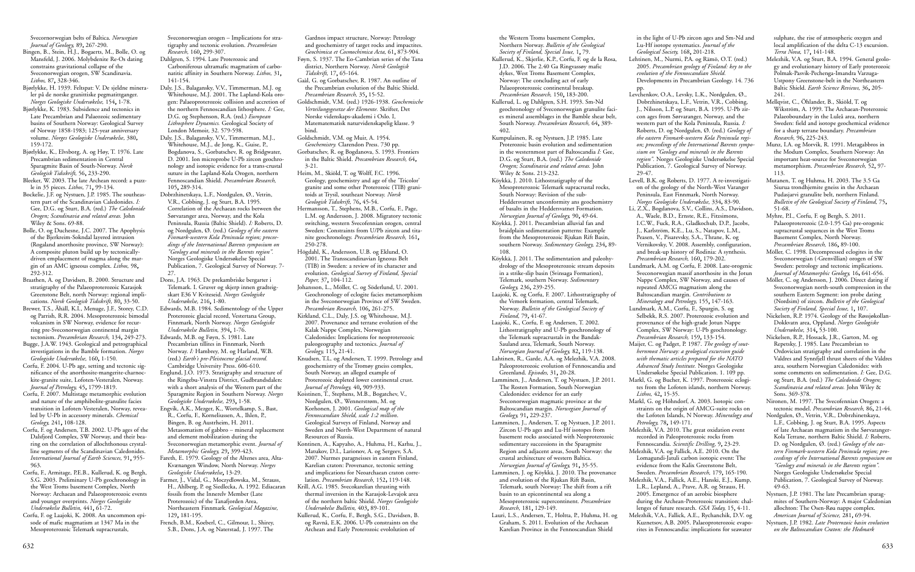Svecornorwegian belts of Baltica. *Norwegian Journal of Geology,* 89, 267-290.

Bingen, B., Stein, H.J., Bogaerts, M., Bolle, O. og Mansfeld, J. 2006. Molybdenite Re-Os dating constrains gravitational collapse of the Sveconorwegian orogen, SW Scandinavia. *Lithos,* 87, 328-346.

Bjørlykke, H. 1939. Feltspat: V. De sjeldne mineraler på de norske granittiske pegmatittganger. *Norges Geologiske Undersøkelse,* 154, 1-78.

Bjørlykke, K. 1983. Subsidence and tectonics in Late Precambrian and Palaeozoic sedimentary basins of Southern Norway: Geological Survey of Norway 1858-1983; 125-year anniversary volume. *Norges Geologiske Undersøkelse,* 380, 159-172.

Bjørlykke, K., Elvsborg, A. og Høy, T. 1976. Late Precambrian sedimentation in Central Sparagmite Basin of South-Norway. *Norsk Geologisk Tidsskrift,* 56, 233-290.

Bleeker, W. 2003. The late Archean record: a puzzle in 35 pieces. *Lithos,* 71, 99-134.

Bockelie, J.F. og Nystuen, J.P. 1985. The southeastern part of the Scandinavian Caledonides. *I:* Gee, D.G. og Sturt, B.A. (red.) *The Caledonide Orogen; Scandinavia and related areas.* John Wiley & Sons. 69-88.

Bolle, O. og Duchesne, J.C. 2007. The Apophysis of the Bjerkreim-Sokndal layered intrusion (Rogaland anorthosite province, SW Norway): A composite pluton build up by tectonicallydriven emplacement of magma along the margin of an AMC igneous complex. *Lithos,* 98, 292-312.

Braathen, A. og Davidsen, B. 2000. Structure and stratigraphy of the Palaeoproterozoic Karasjok Greenstone Belt, north Norway: regional implications. *Norsk Geologisk Tidsskrift,* 80, 33-50.

Brewer, T.S., Ähäll, K.I., Menuge, J.F., Storey, C.D. og Parrish, R.R. 2004. Mesoproterozoic bimodal volcanism in SW Norway, evidence for recurring pre-Sveconorwegian continental margin tectonism. *Precambrian Research,* 134, 249-273.

Bugge, J.A.W. 1943. Geological and petrographical investigations in the Bamble formation. *Norges Geologiske Undersøkelse,* 160, 1-150.

Corfu, F. 2004. U-Pb age, setting and tectonic significance of the anorthosite-mangerite-charnockite-granite suite, Lofoten-Vesteralen, Norway. *Journal of Petrology,* 45, 1799-1819.

Corfu, F. 2007. Multistage metamorphic evolution and nature of the amphibolite-granulite facies transition in Lofoten-Vesteralen, Norway, revealed by U-Pb in accessory minerals. *Chemical Geology,* 241, 108-128.

Corfu, F. og Andersen, T.B. 2002. U-Pb ages of the Dalsfjord Complex, SW Norway, and their bearing on the correlation of allochthonous crystalline segments of the Scandinavian Caledonides. *International Journal of Earth Sciences,* 91, 955- 963.

Corfu, F., Armitage, P.E.B., Kullerud, K. og Bergh, S.G. 2003. Preliminary U-Pb geochronology in the West Troms basement Complex, North Norway: Archaean and Palaeoproterozoic events and younger overprints. *Norges Geologiske Undersøkelse Bulletin,* 441, 61-72.

Corfu, F. og Laajoki, K. 2008. An uncommon episode of mafic magmatism at 1347 Ma in the Mesoproterozoic Telemark supracrustals,

Sveconorwegian orogen – Implications for stratigraphy and tectonic evolution. *Precambrian Research,* 160, 299-307.

Dahlgren, S. 1994. Late Proterozoic and Carboniferous ultramafic magmatism of carbonatitic affinity in Southern Norway. *Lithos,* 31, 141-154.

Daly, J.S., Balagansky, V.V., Timmerman, M.J. og Whitehouse, M.J. 2001. The Lapland-Kola orogen: Palaeoproterozoic collision and accretion of the northern Fennoscandian lithosphere. *I:* Gee, D.G. og Stephenson, R.A. (red.) *European Lithosphere Dynamics.* Geological Society of London Memoir, 32. 579-598.

Daly, J.S., Balagansky, V.V., Timmerman, M.J., Whitehouse, M.J., de Jong, K., Guise, P., Bogdanova, S., Gorbatschev, R. og Bridgwater, D. 2001. Ion microprobe U-Pb zircon geochronology and isotopic evidence for a trans-crustal suture in the Lapland-Kola Orogen, northern Fennoscandian Shield. *Precambrian Research,* 105, 289-314.

Dobrzhinetskaya, L.F., Nordgulen, Ø., Vetrin, V.R., Cobbing, J. og Sturt, B.A. 1995. Correlation of the Archaean rocks between the Sørvaranger area, Norway, and the Kola Peninsula, Russia (Baltic Shield). *I:* Roberts, D. og Nordgulen, Ø. (red.) *Geology of the eastern Finmark-western Kola Peninsula region; proceedings of the International Barents symposium on "Geology and minerals in the Barents region".* Norges Geologiske Undersøkelse Special Publication, 7. Geological Survey of Norway. 7- 27.

Dons, J.A. 1963. De prekambriske bergarter i Telemark. I. Gruver og skjerp innen gradteigskart E36 V Kviteseid. *Norges Geologiske Undersøkelse,* 216, 1-80.

Edwards, M.B. 1984. Sedimentology of the Upper Proterozoic glacial record, Vestertana Group, Finnmark, North Norway. *Norges Geologiske Undersøkelse Bulletin,* 394, 1-76.

Edwards, M.B. og Føyn, S. 1981. Late Precambrian tillites in Finnmark, North Norway. *I:* Hambrey, M. og Harland, W.B. (red.) *Earth's pre-Pleistocene glacial record.* Cambridge University Press. 606-610.

Englund, J.O. 1973. Stratigraphy and structure of the Ringebu-Vinstra District, Gudbrandsdalen: with a short analysis of the Western part of the Sparagmite Region in Southern Norway. *Norges Geologiske Undersøkelse,* 293, 1-58.

Engvik, A.K., Mezger, K., Wortelkamp, S., Bast, R., Corfu, F., Korneliussen, A., Ihlen, P., Bingen, B. og Austrheim, H. 2011. Metasomatism of gabbro – mineral replacement and element mobilization during the Sveconorwegian metamorphic event. *Journal of*

*Metamorphic Geology,* 29, 399-423. Fareth, E. 1979. Geology of the Altenes area, Alta-Kvænangen Window, North Norway. *Norges Geologiske Undersøkelse*, 13-29.

Farmer, J., Vidal, G., Moczydlowska, M., Strauss, H., Ahlberg, P. og Siedlecka, A. 1992. Ediacaran fossils from the Innerelv Member (Late Proterozoic) of the Tanafjorden Area, Northeastern Finnmark. *Geological Magazine,* 129, 181-195.

French, B.M., Koeberl, C., Gilmour, I., Shirey, S.B., Dons, J.A. og Naterstad, J. 1997. The

Gardnos impact structure, Norway: Petrology and geochemistry of target rocks and impactites. *Geochimica et Cosmochimica Acta,* 61, 873-904. Føyn, S. 1937. The Eo-Cambrian series of the Tana

district, Northern Norway. *Norsk Geologisk Tidsskrift,* 17, 65-164.

Gaàl, G. og Gorbatschev, R. 1987. An outline of the Precambrian evolution of the Baltic Shield. *Precambrian Research,* 35, 15-52.

Goldschmidt, V.M. (red.) 1926-1938. *Geochemische Verteilungsgesetze der Elemente.* Skrifter, Det Norske videnskaps-akademi i Oslo. I, Matematematisk naturvidenskapelig klasse. 9 bind.

Goldschmidt, V.M. og Muir, A. 1954. *Geochemistry.* Clarendon Press. 730 pp. Gorbatschev, R. og Bogdanova, S. 1993. Frontiers in the Baltic Shield. *Precambrian Research,* 64, 3-21.

Heim, M., Skiöld, T. og Wolff, F.C. 1996. Geology, geochemistry and age of the 'Tricolor' granite and some other Proterozoic (TIB) granitoids at Trysil, southeast Norway. *Norsk Geologisk Tidsskrift,* 76, 45-54.

Hermansson, T., Stephens, M.B., Corfu, F., Page, L.M. og Andersson, J. 2008. Migratory tectonic switching, western Svecofennian orogen, central Sweden: Constraints from U/Pb zircon and titanite geochronology. *Precambrian Research,* 161, 250-278.

Högdahl, K., Andersson, U.B. og Eklund, O. 2001. The Transscandinavian Igneous Belt (TIB) in Sweden: a review of its character and evolution. *Geological Survey of Finland, Special Paper,* 37, 104-112.

Johansson, L., Möller, C. og Söderlund, U. 2001. Geochronology of eclogite facies metamorphism in the Sveconorwegian Province of SW Sweden. *Precambrian Research,* 106, 261-275.

Kirkland, C.L., Daly, J.S. og Whitehouse, M.J. 2007. Provenance and terrane evolution of the Kalak Nappe Complex, Norwegian Caledonides: Implications for neoproterozoic paleogeography and tectonics. *Journal of Geology,* 115, 21-41.

Knudsen, T.L. og Andersen, T. 1999. Petrology and geochemistry of the Tromøy gneiss complex, South Norway, an alleged example of Proterozoic depleted lower continental crust. *Journal of Petrology,* 40, 909-933.

Koistinen, T., Stephens, M.B., Bogatchev, V., Nordgulen, Ø., Wennerstrøm, M. og Korhonen, J. 2001. *Geological map of the Fennoscandian Shield, scale 1:2 million*. Geological Surveys of Finland, Norway and Sweden and North-West Department of natural Resources of Russia.

Kontinen, A., Kapyaho, A., Huhma, H., Karhu, J., Matukov, D.I., Larionov, A. og Sergeev, S.A. 2007. Nurmes paragneisses in eastern Finland, Karelian craton: Provenance, tectonic setting and implications for Neoarchaean craton correlation. *Precambrian Research,* 152, 119-148.

Krill, A.G. 1985. Svecokarelian thrusting with thermal inversion in the Karasjok-Levajok area of the northern baltic Shield. *Norges Geologiske Undersøkelse Bulletin,* 403, 89-101.

Kullerud, K., Corfu, F., Bergh, S.G., Davidsen, B. og Ravnå, E.K. 2006. U-Pb constraints on the Archean and Early Proterozoic evololution of

the Western Troms basement Complex, Northern Norway. *Bulletin of the Geological Society of Finland, Special Issue,* 1, 79.

Kullerud, K., Skjerlie, K.P., Corfu, F. og de la Rosa, J.D. 2006. The 2.40 Ga Ringvassøy mafic dykes, West Troms Basement Complex, Norway: The concluding act of early Palaeoproterozoic continental breakup. *Precambrian Research,* 150, 183-200.

Kullerud, L. og Dahlgren, S.H. 1993. Sm-Nd geochronology of Sveconorwegian granulite facies mineral assemblages in the Bamble shear belt, South Norway. *Precambrian Research,* 64, 389- 402.

Kumpulainen, R. og Nystuen, J.P. 1985. Late Proterozoic basin evolution and sedimentation in the westernmost part of Baltoscandia *I:* Gee, D.G. og Sturt, B.A. (red.) *The Caledonide Orogen; Scandinavia and related areas.* John Wiley & Sons. 213-232.

Köykkä, J. 2010. Lithostratigraphy of the Mesoproterozoic Telemark supracrustal rocks, South Norway: Revision of the sub-Heddersvatnet unconformity ans geochemistry of basalts in the Heddersvatnet Formation. *Norwegian Journal of Geology,* 90, 49-64.

Köykkä, J. 2011. Precambrian alluvial fan and braidplain sedimentation patterns: Example from the Mesoproterozoic Rjukan Rift Basin, southern Norway. *Sedimentary Geology,* 234, 89- 108.

Köykkä, J. 2011. The sedimentation and paleohydrology of the Mesoproterozoic stream deposits in a strike-slip basin (Svinsaga Formation), Telemark, southern Norway. *Sedimentary Geology,* 236, 239-255.

Laajoki, K. og Corfu, F. 2007. Lithostratigraphy of the Vemork formation, central Telemark, Norway. *Bulletin of the Geological Society of Finland,* 79, 41-67.

Laajoki, K., Corfu, F. og Andersen, T. 2002. Lithostratigraphy and U-Pb geochronology of the Telemark supracrustals in the Bandak-Sauland area, Telemark, South Norway. *Norwegian Journal of Geology,* 82, 119-138.

Lahtinen, R., Garde, A.A. og Melezhik, V.A. 2008. Paleoproterozoic evolution of Fennoscandia and Greenland. *Episodes,* 31, 20-28.

Lamminen, J., Andersen, T. og Nystuen, J.P. 2011. The Rosten Formation, South Norwegian Caledonides: evidence for an early Sveconorwegian magmatic province at the Baltoscandian margin. *Norwegian Journal of Geology,* 91, 229-237.

Lamminen, J., Andersen, T. og Nystuen, J.P. 2011. Zircon U-Pb ages and Lu-Hf isotopes from basement rocks associated with Neoproterozoic sedimentary successions in the Sparagmite Region and adjacent areas, South Norway: the crustal architecture of western Baltica. *Norwegian Journal of Geology,* 91, 35-55.

Lamminen, J. og Köykkä, J. 2010. The provenance and evolution of the Rjukan Rift Basin, Telemark, south Norway: The shift from a rift basin to an epicontinental sea along a Mesoproterozoic supercontinent. *Precambrian Research,* 181, 129-149.

Lauri, L.S., Andersen, T., Holtta, P., Huhma, H. og Graham, S. 2011. Evolution of the Archaean Karelian Province in the Fennoscandian Shield

in the light of U-Pb zircon ages and Sm-Nd and Lu-Hf isotope systematics. *Journal of the Geological Society,* 168, 201-218.

- Lehtinen, M., Nurmi, P.A. og Rämö, O.T. (red.) 2005. *Precambrian geology of Finland: key to the evolution of the Fennoscandian Shield.* Developments in Precambrian Geology. 14. 736 pp.
	- Levchenkov, O.A., Levsky, L.K., Nordgulen, Ø., Dobrzhinetskaya, L.F., Vetrin, V.R., Cobbing, J., Nilsson, L.P. og Sturt, B.A. 1995. U-Pb zir-
- con ages from Sørvaranger, Norway, and the western part of the Kola Peninsula, Russia. *I:* Roberts, D. og Nordgulen, Ø. (red.) *Geology of the eastern Finmark-western Kola Peninsula region; proceedings of the International Barents symposium on "Geology and minerals in the Barents region".* Norges Geologiske Undersøkelse Special Publication, 7. Geological Survey of Norway. 29-47.
- Levell, B.K. og Roberts, D. 1977. A re-investigation of the geology of the North-West Varanger Peninsula, East Finnmark, North Norway. *Norges Geologiske Undersøkelse,* 334, 83-90.
- Li, Z.X., Bogdanova, S.V., Collins, A.S., Davidson, A., Waele, B.D., Ernste, R.E., Fitzsimons, I.C.W., Fuck, R.A., Gladkochub, D.P., Jacobs, J., Karlström, K.E., Lu, S., Natapov, L.M., Peasen, V., Pisarevsky, S.A., Thrane, K. og Vernikovsky, V. 2008. Assembly, configuration,
- and break-up history of Rodinia: A synthesis. *Precambrian Research,* 160, 179-202.
- Lundmark, A.M. og Corfu, F. 2008. Late-orogenic Sveconorwegian massif anorthosite in the Jotun Nappe Complex, SW Norway, and causes of repeated AMCG magmatism along the Baltoscandian margin. *Contributions to*
- *Mineralogy and Petrology,* 155, 147-163. Lundmark, A.M., Corfu, F., Spurgin, S. og Selbekk, R.S. 2007. Proterozoic evolution and provenance of the high-grade Jotun Nappe Complex, SW Norway: U-Pb geochronology. *Precambrian Research,* 159, 133-154.
- Maijer, C. og Padget, P. 1987. *The geology of southernmost Norway: a geological excursion guide with thematic articles prepared for the NATO Advanced Study Institute.* Norges Geologiske Undersøkelse Special Publication. 1. 109 pp.
- Markl, G. og Bucher, K. 1997. Proterozoic eclogites from the Lofoten islands, northern Norway. *Lithos,* 42, 15-35.
- Markl, G. og Höhndorf, A. 2003. Isotopic constraints on the origin of AMCG-suite rocks on the Lofoten Islands, N Norway. *Mineralogy and Petrology,* 78, 149-171.
- Melezhik, V.A. 2010. The great oxidation event recorded in Paleoproterozoic rocks from Fennoscandia. *Scientific Drilling,* 9, 23-29.
- Melezhik, V.A. og Fallick, A.E. 2010. On the Lomagundi-Jatuli carbon isotopic event: The evidence from the Kalix Greenstone Belt, Sweden. *Precambrian Research,* 179, 165-190.
- Melezhik, V.A., Fallick, A.E., Hanski, E.J., Kump, L.R., Lepland, A., Prave, A.R. og Strauss, H. 2005. Emergence of an aerobic biosphere during the Archean-Proterozoic transition: challenges of future research. *GSA Today,* 15, 4-11.
- Melezhik, V.A., Fallick, A.E., Rychanchik, D.V. og Kuznetsov, A.B. 2005. Palaeoproterozoic evaporites in Fennoscandia: implications for seawater

sulphate, the rise of atmospheric oxygen and local amplification of the delta C-13 excursion. *Terra Nova,* 17, 141-148.

- Melezhik, V.A. og Sturt, B.A. 1994. General geology and evolutionary history of Early proterozoic Polmak-Pasvik-Pechenga-Imandra Varzuga-Ustpony Greenstone-belt in the Northeastern Baltic Shield. *Earth Science Reviews,* 36, 205- 241.
- Mellqvist, C., Öhlander, B., Skiöld, T. og Wikström, A. 1999. The Archaean-Proterozoic Palaeoboundary in the Luleå area, northern Sweden: field and isotope geochemical evidence for a sharp terrane boundary. *Precambrian Research,* 96, 225-243.
- Munz, I.A. og Morvik, R. 1991. Metagabbros in the Modum Complex, Southern Norway: An important heat-source for Sveconorwegian metamorphism. *Precambrian Research,* 52, 97- 113.
- Mutanen, T. og Huhma, H. 2003. The 3.5 Ga Siurua trondhjemite gneiss in the Archaean Pudasjarvi granulite belt, northern Finland. *Bulletin of the Geological Society of Finland,* 75, 51-68.
- Myhre, P.I., Corfu, F. og Bergh, S. 2011. Palaeoproterozoic (2.0-1.95 Ga) pre-orogenic supracrustal sequences in the West Troms Basement Complex, North Norway. *Precambrian Research,* 186, 89-100.
- Möller, C. 1998. Decompressed eclogites in the Sveconorwegian (-Grenvillian) orogen of SW Sweden: petrology and tectonic implications. *Journal of Metamorphic Geology,* 16, 641-656.
- Möller, C. og Andersson, J. 2006. Direct dating if Sveconorwegian north-south compression in the southern Eastern Segment: ion probe dating (Nordsim) of zircon. *Bulletin of the Geological Society of Finland, Special Issue,* 1, 107.
- Nickelsen, R.P. 1974. Geology of the Røssjøkollan-Dokkvatn area, Oppland. *Norges Geologiske Undersøkelse,* 314, 53-100.
- Nickelsen, R.P., Hossack, J.R., Garton, M. og Repetsky, J. 1985. Late Precambrian to Ordovician stratigraphy and correlation in the Valdres and Synnfjell thrust sheets of the Valdres area, southern Norwegian Caledonides: with some comments on sedimentation. *I:* Gee, D.G. og Sturt, B.A. (red.) *The Caledonide Orogen; Scandinavia and related areas.* John Wiley & Sons. 369-378.
- Nironen, M. 1997. The Svecofennian Orogen: a tectonic model. *Precambrian Research,* 86, 21-44.
- Nordgulen, Ø., Vetrin, V.R., Dobrzhinetskaya, L.F., Cobbing, J. og Sturt, B.A. 1995. Aspects of late Archaean magmatism in the Sørvaranger-Kola Terrane, northern Baltic Shield. *I:* Roberts, D. og Nordgulen, Ø. (red.) *Geology of the eastern Finmark-western Kola Peninsula region; proceedings of the International Barents symposium on "Geology and minerals in the Barents region".* Norges Geologiske Undersøkelse Special Publication, 7. Geological Survey of Norway. 49-63.
- Nystuen, J.P. 1981. The late Precambrian sparagmites of Southern-Norway: A major Caledonian allochton: The Osen-Røa nappe complex. *American Journal of Science,* 281, 69-94.
- Nystuen, J.P. 1982. *Late Proterozoic basin evolution on the Baltoscandian Craton: the Hedmark*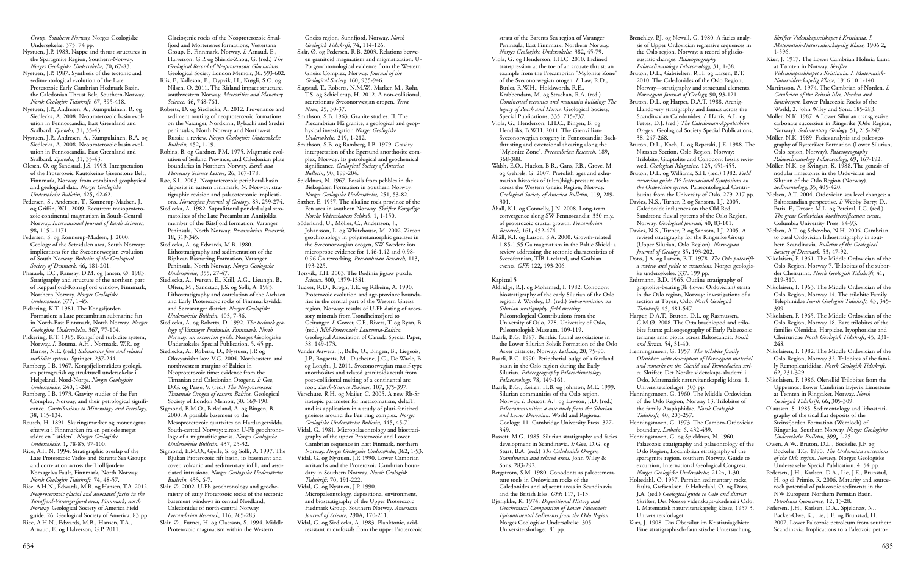*Group, Southern Norway.* Norges Geologiske Undersøkelse. 375. 74 pp.

- Nystuen, J.P. 1983. Nappe and thrust structures in the Sparagmite Region, Southern-Norway. *Norges Geologiske Undersøkelse,* 70, 67-83.
- Nystuen, J.P. 1987. Synthesis of the tectonic and sedimentological evolution of the Late Proterozoic Early Cambrian Hedmark Basin, the Caledonian Thrust Belt, Southern-Norway. *Norsk Geologisk Tidsskrift,* 67, 395-418.
- Nystuen, J.P., Andresen, A., Kumpulainen, R. og Siedlecka, A. 2008. Neoproterozoic basin evolution in Fennoscandia, East Greenland and Svalbard. *Episodes,* 31, 35-43.
- Nystuen, J.P., Andresen, A., Kumpulainen, R.A. og Siedlecka, A. 2008. Neoproterozoic basin evolution in Fennoscandia, East Greenland and Svalbard. *Episodes,* 31, 35-43.
- Olesen, O. og Sandstad, J.S. 1993. Interpretation of the Proterozoic Kautokeino Greenstone Belt, Finnmark, Norway, from combined geophysical and geological data. *Norges Geologiske Undersøkelse Bulletin,* 425, 42-62.
- Pedersen, S., Andersen, T., Konnerup-Madsen, J. og Griffin, W.L. 2009. Recurrent mesoproterozoic continental magmatism in South-Central Norway. *International Journal of Earth Sciences,* 98, 1151-1171.
- Pedersen, S. og Konnerup-Madsen, J. 2000. Geology of the Setesdalen area, South Norway: implications for the Sveconorwegian evolution of South Norway. *Bulletin of the Geological Society of Denmark,* 46, 181-201.
- Pharaoh, T.C., Ramsay, D.M. og Jansen, Ø. 1983. Stratigraphy and structure of the northern part of Repparfjord-Komagfjord window, Finnmark, Northern Norway. *Norges Geologiske Undersøkelse,* 377, 1-45.
- Pickering, K.T. 1981. The Kongsfjorden Formation: a Late precambrian submarine fan in North-East Finnmark, North Norway. *Norges Geologiske Undersøkelse,* 367, 77-104.
- Pickering, K.T. 1985. Kongsfjord turbidite system, Norway. *I:* Bouma, A.H., Normark, W.R. og Barnes, N.E. (red.) *Submarine fans and related turbidite systems.* Springer. 237-244.
- Ramberg, I.B. 1967. Kongsfjellområdets geologi, en petrografisk og strukturell undersøkelse i Helgeland, Nord-Norge. *Norges Geologiske Undersøkelse,* 240, 1-240.
- Ramberg, I.B. 1973. Gravity studies of the Fen Complex, Norway, and their petrological significance. *Contributions to Mineralogy and Petrology,* 38, 115-134.
- Reusch, H. 1891. Skuringsmærker og morænegrus eftervist i Finnmarken fra en periode meget ældre en "istiden". *Norges Geologiske Undersøkelse,* 1, 78-85, 97-100.
- Rice, A.H.N. 1994. Stratigraphic overlap of the Late Proterozoic Vadsø and Barents Sea Groups and correlation across the Trollfjorden-Komagelva Fault, Finnmark, North Norway. *Norsk Geologisk Tidsskrift,* 74, 48-57.
- Rice, A.H.N., Edwards, M.B. og Hansen, T.A. 2012. *Neoproterozoic glacial and associated facies in the Tanafjord-Varangerfjord area, Finnmark, north Norway.* Geological Society of America Field guide. 26. Geological Society of America. 83 pp.
- Rice, A.H.N., Edwards, M.B., Hansen, T.A., Arnaud, E. og Halverson, G.P. 2011.

Glaciogenic rocks of the Neoproterozoic Smalfjord and Mortensnes formations, Vestertana Group, E. Finnmark, Norway. *I:* Arnaud, E., Halverson, G.P. og Shields-Zhou, G. (red.) *The Geological Record of Neoproterozoic Glaciations.* Geological Society London Memoir, 36. 593-602.

- Riis, F., Kalleson, E., Dypvik, H., Krøgli, S.O. og Nilsen, O. 2011. The Ritland impact structure, southwestern Norway. *Meteoritics and Planetary Science,* 46, 748-761.
- Roberts, D. og Siedlecka, A. 2012. Provenance and sediment routing of neoproterozoic formations on the Varanger, Nordkinn, Rybachi and Sredni peninsulas, North Norway and Northwest Russia: a review. *Norges Geologiske Undersøkelse Bulletin,* 452, 1-19.
- Robins, B. og Gardner, P.M. 1975. Magmatic evolution of Seiland Province, and Caledonian plate boundaries in Northern Norway. *Earth and Planetary Science Letters,* 26, 167-178.
- Røe, S.L. 2003. Neoproterozoic peripheral-basin deposits in eastern Finnmark, N. Norway: stratigraphic revision and palaeotectonic implications. *Norwegian Journal of Geology,* 83, 259-274.
- Siedlecka, A. 1982. Supralittoral ponded algal stromatolites of the Late Precambrian Annijokka member of the Båtsfjord formation, Varanger Peninsula, North Norway. *Precambrian Research,* 18, 319-345.
- Siedlecka, A. og Edwards, M.B. 1980. Lithostratigraphy and sedimentation of the Riphean Båsnæring Formation, Varanger Peninsula, North Norway. *Norges Geologiske Undersøkelse,* 355, 27-47.
- Siedlecka, A., Iversen, E., Krill, A.G., Lieungh, B., Often, M., Sandstad, J.S. og Solli, A. 1985. Lithostratigraphy and correlation of the Archaen and Early Proterozoic rocks of Finnmarksvidda and Sørvaranger district. *Norges Geologiske Undersøkelse Bulletin,* 403, 7-36.
- Siedlecka, A. og Roberts, D. 1992. *The bedrock geology of Varanger Peninsula, Finnmark, North Norway: an excursion guide.* Norges Geologiske Undersøkelse Special Publication. 5. 45 pp.
- Siedlecka, A., Roberts, D., Nystuen, J.P. og Olovyanishnikov, V.G. 2004. Northeastern and northwestern margins of Baltica in Neoproterozoic time: evidence from the Timanian and Caledonian Orogens. *I:* Gee, D.G. og Pease, V. (red.) *The Neoproterozoic Timanide Orogen of eastern Baltica.* Geological Society of London Memoir, 30. 169-190.
- Sigmond, E.M.O., Birkeland, A. og Bingen, B. 2000. A possible basement to the Mesoproterozoic quartzites on Hardangervidda. South-central Norway: zircon U-Pb geochronology of a migmatitic gneiss. *Norges Geologiske Undersøkelse Bulletin,* 437, 25-32.
- Sigmond, E.M.O., Gjelle, S. og Solli, A. 1997. The Rjukan Proterozoic rift basin, its basement and cover, volcanic and sedimentary infill, and associated intrusions. *Norges Geologiske Undersøkelse Bulletin,* 433, 6-7.
- Skår, Ø. 2002. U-Pb geochronology and geochemistry of early Proterozoic rocks of the tectonic basement windows in central Nordland, Caledonides of north-central Norway. *Precambrian Research,* 116, 265-283.
- Skår, Ø., Furnes, H. og Claesson, S. 1994. Middle Proterozoic magmatism within the Western

Gneiss region, Sunnfjord, Norway. *Norsk Geologisk Tidsskrift,* 74, 114-126.

- Skår, Ø. og Pedersen, R.B. 2003. Relations between granitoid magmatism and migmatization: U-Pb geochronological evidence from the Western Gneiss Complex, Norway. *Journal of the Geological Society,* 160, 935-946.
- Slagstad, T., Roberts, N.M.W., Marker, M., Røhr, T.S. og Schiellerup, H. 2012. A non-collisional, accretionary Sveconorwegian orogen. *Terra Nova,* 25, 30-37.
- Smithson, S.B. 1963. Granite studies. II. The Precambrian Flå granite, a geological and geophysical investigation *Norges Geologiske Undersøkelse,* 219, 1-212.
- Smithson, S.B. og Ramberg, I.B. 1979. Gravity interpretation of the Egersund anorthosite complex, Norway: Its petrological and geochemical significance. *Geological Society of America Bulletin,* 90, 199-204.
- Spjeldnæs, N. 1967. Fossils from pebbles in the Biskopåsen Formation in Southern Norway. *Norges Geologiske Undersøkelse,* 251, 53-82.
- Sæther, E. 1957. The alkaline rock province of the Fen area in southern Norway. *Skrifter Kongelige Norske Videnskabers Selskab,* 1, 1-150.
- Söderlund, U., Möller, C., Andersson, J., Johansson, L. og Whitehouse, M. 2002. Zircon geochronology in polymetamorphic gneisses in the Sveconorwegian orogen, SW Sweden: ion microprobe evidence for 1.46-1.42 and 0.98- 0.96 Ga reworking. *Precambrian Research,* 113, 193-225.
- Torsvik, T.H. 2003. The Rodinia jigsaw puzzle. *Science,* 300, 1379-1381.
- Tucker, R.D., Krogh, T.E. og Råheim, A. 1990. Proterozoic evolution and age-province boundaries in the central part of the Western Gneiss region, Norway: results of U-Pb dating of accessory minerals from Trondheimsfjord to Geiranger. *I:* Gower, C.F., Rivers, T. og Ryan, B. (red.) *Mid-Proterozoic Laurentia-Baltica.* Geological Association of Canada Special Paper, 38. 149-173.
- Vander Auwera, J., Bolle, O., Bingen, B., Liegeois, J.P., Bogaerts, M., Duchesne, J.C., De Waele, B. og Longhi, J. 2011. Sveconorwegian massif-type anorthosites and related granitoids result from post-collisional melting of a continental arc root. *Earth-Science Reviews,* 107, 375-397.
- Verschure, R.H. og Maijer, C. 2005. A new Rb-Sr isotopic parameter for metasomatism, deltaT, and its application in a study of pluri-fenitized gneisses around the Fen ring complex. *Norges Geologiske Undersøkelse Bulletin,* 445, 45-71.
- Vidal, G. 1981. Micropalaeontology and biostratigraphy of the upper Proterozoic and Lower Cambrian sequence in East Finmark, northern Norway. *Norges Geologiske Undersøkelse,* 362, 1-53.
- Vidal, G. og Nystuen, J.P. 1990. Lower Cambrian acritarchs and the Proterozoic Cambrian boundary in Southern Norway. *Norsk Geologisk Tidsskrift,* 70, 191-222.
- Vidal, G. og Nystuen, J.P. 1990. Micropaleontology, depositional environment, and biostratigraphy of the Upper Proterozoic Hedmark Group, Southern Norway. *American Journal of Science,* 290A, 170-211.
- Vidal, G. og Siedlecka, A. 1983. Planktonic, acidresistant microfossils from the upper Proterozoic

strata of the Barents Sea region of Varanger Peninsula, East Finnmark, Northern Norway. *Norges Geologiske Undersøkelse,* 382, 45-79.

- Viola, G. og Henderson, I.H.C. 2010. Inclined transpression at the toe of an arcuate thrust: an example from the Precambrian "Mylonite Zone" of the Sveconorwegian orogen. *I:* Law, R.D., Butler, R.W.H., Holdsworth, R.E., Krabbendam, M. og Strachan, R.A. (red.) *Continental tectonics and mountain building: The legacy of Peach and Horne.* Geological Society, Special Publications, 335. 715-737.
- Viola, G., Henderson, I.H.C., Bingen, B. og Hendriks, B.W.H. 2011. The Grenvillian-Sveconorwegian orogeny in Fennoscandia: Backthrusting and extensional shearing along the "Mylonite Zone". *Precambrian Research,* 189, 368-388.
- Walsh, E.O., Hacker, B.R., Gans, P.B., Grove, M. og Gehrels, G. 2007. Protolith ages and exhumation histories of (ultra)high-pressure rocks across the Western Gneiss Region, Norway. *Geological Society of America Bulletin,* 119, 289- 301.
- Åhäll, K.I. og Connelly, J.N. 2008. Long-term convergence along SW Fennoscandia: 330 m.y. of proterozoic crustal growth. *Precambrian Research,* 161, 452-474.
- Åhäll, K.I. og Larson, S.A. 2000. Growth-related 1.85-1.55 Ga magmatism in the Baltic Shield: a review addressing the tectonic characteristics of Svecofennian, TIB 1-related, and Gothian events. *GFF,* 122, 193-206.

### **Kapittel 5**

- Aldridge, R.J. og Mohamed, I. 1982. Conodont biostratigraphy of the early Silurian of the Oslo region. *I:* Worsley, D. (red.) *Subcommission on Silurian stratigraphy: field meeting.* Paleontological Contributions from the University of Oslo, 278. University of Oslo, Paleontologisk Museum. 109-119.
- Baarli, B.G. 1987. Benthic faunal associations in the Lower Silurian Solvik Formation of the Oslo Asker districts, Norway. *Lethaia,* 20, 75-90.
- Baarli, B.G. 1990. Peripeherial bulge of a foreland basin in the Oslo region during the Early Silurian. *Palaeogeography Palaeoclimatology Palaeoecology,* 78, 149-161.
- Baarli, B.G., Keilen, H.B. og Johnson, M.E. 1999. Silurian communities of the Oslo region, Norway. *I:* Boucot, A.J. og Lawson, J.D. (red.) *Paleocommunities: a case study from the Silurian and Lower Devonian.* World and Regional Geology, 11. Cambridge University Press. 327- 349.
- Bassett, M.G. 1985. Silurian stratigraphy and facies development in Scandinavia. *I:* Gee, D.G. og Sturt, B.A. (red.) *The Caledonide Orogen; Scandinavia and related areas.* John Wiley & Sons. 283-292.
- Bergström, S.M. 1980. Conodonts as paleotemerature tools in Ordovician rocks of the Caledonides and adjacent areas in Scandinavia and the British Isles. *GFF,* 117, 1-13.
- Bjørlykke, K. 1974. *Depositional History and Geochemical Composition of Lower Palaeozoic Epicontinental Sediments from the Oslo Region.* Norges Geologiske Undersøkelse. 305. Universitetsforlaget. 81 pp.

Brenchley, P.J. og Newall, G. 1980. A facies analysis of Upper Ordovician regressive sequences in the Oslo region, Norway: a record of glacioeustatic changes. *Palaeogeography Palaeoclimatology Palaeoecology,* 31, 1-38.

Bruton, D.L., Gabrielsen, R.H. og Larsen, B.T. 2010. The Caledonides of the Oslo Region, Norway—stratigraphy and structural elements. *Norwegian Journal of Geology,* 90, 93-121.

Bruton, D.L. og Harper, D.A.T. 1988. Arenig-Llandovery stratigraphy and faunas across the Scandinavian Caledonides. *I:* Harris, A.L. og Fettes, D.J. (red.) *The Caledonian-Appalachian Orogen.* Geological Society Special Publications, 38. 247-268.

Bruton, D.L., Koch, L. og Repetski, J.E. 1988. The Nærsnes Section, Oslo Region, Norway: Trilobite, Graptolite and Conodont fossils reviewed. *Geological Magazine,* 125, 451-455.

Bruton, D.L. og Williams, S.H. (red.) 1982. *Field excursion guide IV: International Symposium on the Ordovician system.* Palaeontological Contributins from the University of Oslo. 279. 217 pp.

Davies, N.S., Turner, P. og Sansom, I.J. 2005. Caledonide influences on the Old Red Sandstone fluvial systems of the Oslo Region, Norway. *Geological Journal,* 40, 83-101.

Davies, N.S., Turner, P. og Sansom, I.J. 2005. A revised stratigraphy for the Ringerike Group (Upper Silurian, Oslo Region). *Norwegian Journal of Geology,* 85, 193-202.

Dons, J.A. og Larsen, B.T. 1978. *The Oslo paleorift: a review and guide to excursions.* Norges geologiske undersøkelse. 337. 199 pp.

Erdtmann, B.D. 1965. Outline stratigraphy of graptolite-bearing 3b (lower Ordovician) strata in the Oslo region, Norway: investigations of a section at Tøyen, Oslo. *Norsk Geologisk Tidsskrift,* 45, 481-547.

Harper, D.A.T., Bruton, D.L. og Rasmussen, C.M.Ø. 2008. The Otta brachiopod and trilobite fauna: palaeogeography of Early Palaeozoic terranes amd biotas across Baltoscandia. *Fossils and Strata,* 54, 31-40.

Henningsmoen, G. 1957. *The trilobite family Olenidae: with description of Norwegian material and remarks on the Olenid and Tremadocian series.* Skrifter, Det Norske videnskaps-akademi i Oslo, Matematisk naturvitenskapelig klasse. 1. Universitetsforlaget. 303 pp.

Henningsmoen, G. 1960. The Middle Ordovician of the Oslo Region, Norway 13. Trilobites of the family Asaphphidae. *Norsk Geologisk Tidsskrift,* 40, 203-257.

Henningsmoen, G. 1973. The Cambro-Ordovician boundary. *Lethaia,* 6, 432-439.

Henningsmoen, G. og Spjeldnæs, N. 1960. Palaeozoic stratigraphy and palaeontology of the Oslo Region, Eocambrian stratigraphy of the sparagmite region, southern Norway. Guide to excursion, International Geological Congress. *Norges Geologiske Undersøkelse,* 212n, 1-30.

Holtedahl, O. 1957. Permian sedimentary rocks, faults, Grefsenåsen. *I:* Holtedahl, O. og Dons, J.A. (red.) *Geological guide to Oslo and district.* Skrifter, Det Norske videnskaps-akademi i Oslo, I. Matematisk naturvitenskapelig klasse, 1957 3. Universitetsforlaget.

Kiær, J. 1908. Das Obersilur im Kristianiagebiete. Eine stratigraphisch-faunistische Untersuchung.

*Skrifter Videnskapsselskapet i Kristiania. I. Matematisk-Naturvidenskapelig Klasse,* 1906 2,

1-596. Kiær, J. 1917. The Lower Cambrian Holmia fauna at Tømten in Norway. *Skrifter Videnskapsselskapet i Kristiania. I. Matematisk-Naturvidenskapelig Klasse,* 1916 10 1-140.

Martinsson, A. 1974. The Cambrian of Norden. *I: Cambrian of the British Isles, Norden and Spitsbergen.* Lower Palaeozoic Rocks of the World, 2. John Wiley and Sons. 185-283.

Möller, N.K. 1987. A Lower Silurian transgressive carbonate succession in Ringerike (Oslo Region, Norway). *Sedimentary Geology,* 51, 215-247.

Möller, N.K. 1989. Facies analysis and paleogeography of Rytteråker Formation (Lower Silurian, Oslo region, Norway). *Palaeogeography Palaeoclimatology Palaeoecology,* 69, 167-192.

Möller, N.K. og Kvingan, K. 1988. The genesis of nodular limestones in the Ordovician and Silurian of the Oslo Region (Norway). *Sedimentology,* 35, 405-420.

Nielsen, A.T. 2004. Ordovician sea level changes: a Baltoscandian perspective. *I:* Webby Barry, D., Paris, F., Droser, M.L. og Percival, I.G. (red.) *The great Ordovician biodiversification event.*, Columbia University Press. 84-93.

Nielsen, A.T. og Schovsbo, N.H. 2006. Cambrian to basal Ordovician lithostratigraphy in southern Scandinavia. *Bulletin of the Geological Society of Denmark,* 53, 47-92.

Nikolaisen, F. 1961. The Middle Ordovician of the Oslo Region, Norway 7. Trilobites of the suborder Cheirurina. *Norsk Geologisk Tidsskrift,* 41, 219-310.

Nikolaisen, F. 1963. The Middle Ordovician of the Oslo Region, Norway 14. The trilobite Family Telephinidae *Norsk Geologisk Tidsskrift,* 43, 345- 399.

Nikolaisen, F. 1965. The Middle Ordovician of the Oslo Region, Norway 18. Rare trilobites of the families Olenidae, Harpidae, Ityophoridae and Cheiruridae *Norsk Geologisk Tidsskrift,* 45, 231- 248.

Nikolaisen, F. 1982. The Middle Ordovician of the Oslo Region, Norway 32. Trilobites of the family Remopleurididae. *Norsk Geologisk Tidsskrift,* 62, 231-329.

Nikolaisen, F. 1986. Olenellid Trilobites from the Uppermost Lower Cambrian Evjevik Limestone at Tømten in Ringsaker, Norway. *Norsk Geologisk Tidsskrift,* 66, 305-309.

Olaussen, S. 1985. Sedimentology and lithostratigraphy of the tidal flat deposits of the Steinsfjorden Formation (Wemlock) of Ringerike, Southern Norway. *Norges Geologiske Undersøkelse Bulletin,* 399, 1-25.

Owen, A.W., Bruton, D.L., Bockelie, J.F. og Bockelie, T.G. 1990. *The Ordovician successions of the Oslo region, Norway.* Norges Geologiske Undersøkelse Special Publication. 4. 54 pp.

Pedersen, J.H., Karlsen, D.A., Lie, J.E., Brunstad, H. og di Primio, R. 2006. Maturity and sourcerock potential of palaeozoic sediments in the NW European Northern Permian Basin. *Petroleum Geoscience,* 12, 13-28.

Pedersen, J.H., Karlsen, D.A., Spjeldnæs, N., Backer-Owe, K., Lie, J.E. og Brunstad, H. 2007. Lower Paleozoic petroleum from southern Scandinavia: Implications to a Paleozoic petro-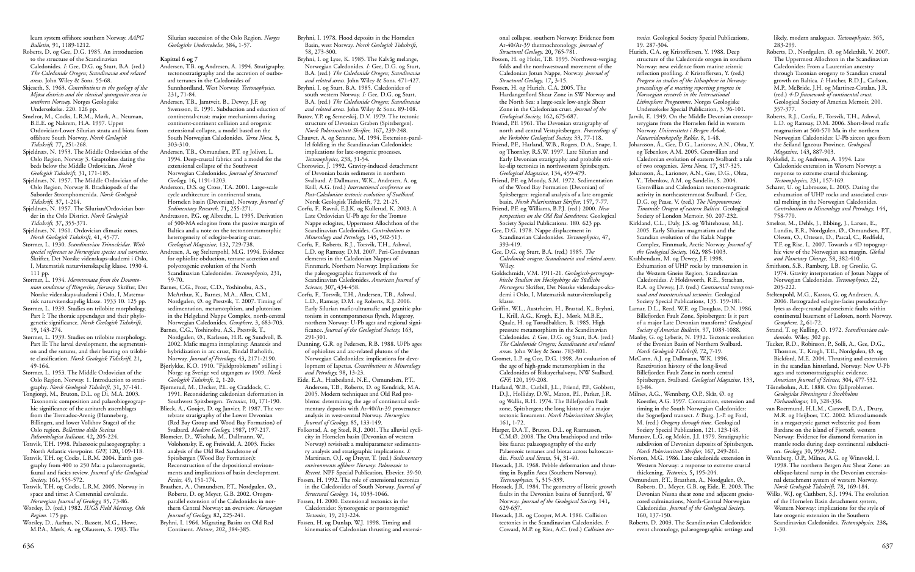leum system offshore southern Norway. *AAPG Bulletin,* 91, 1189-1212.

- Roberts, D. og Gee, D.G. 1985. An introduction to the structure of the Scandinavian Caledonides. *I:* Gee, D.G. og Sturt, B.A. (red.) *The Caledonide Orogen; Scandinavia and related areas.* John Wiley & Sons. 55-68.
- Skjeseth, S. 1963. *Contributions to the geology of the Mjøsa districts and the classical sparagmite area in southern Norway.* Norges Geologiske Undersøkelse. 220. 126 pp.
- Smelror, M., Cocks, L.R.M., Mørk, A., Neuman, B.E.E. og Nakrem, H.A. 1997. Upper Ordovician-Lower Silurian strata and biota from offshore South Norway. *Norsk Geologisk Tidsskrift,* 77, 251-268.
- Spjeldnæs, N. 1953. The Middle Ordovician of the Oslo Region, Norway 3. Graptolites dating the beds below the Middle Ordovician. *Norsk Geologisk Tidsskrift,* 31, 171-185.
- Spjeldnæs, N. 1957. The Middle Ordovician of the Oslo Region, Norway 8. Brachiopods of the Suborder Stromphomenida. *Norsk Geologisk Tidsskrift,* 37, 1-214.
- Spjeldnæs, N. 1957. The Silurian/Ordovician border in the Oslo District. *Norsk Geologisk Tidsskrift,* 37, 355-371.
- Spjeldnæs, N. 1961. Ordovician climatic zones. *Norsk Geologisk Tidsskrift,* 41, 45-77.
- Størmer, L. 1930. *Scandinavian Trinucleidae. With special reference to Norwegian species and varieties.* Skrifter, Det Norske videnskaps-akademi i Oslo, I, Matematisk naturvitenskapelig klasse. 1930 4. 111 pp.
- Størmer, L. 1934. *Merostomata from the Downtonian sandstone of Ringerike, Norway.* Skrifter, Det Norske videnskaps-akademi i Oslo, I, Matematisk naturvitenskapelig klasse. 1933 10. 125 pp.
- Størmer, L. 1939. Studies on trilobite morphology. Part I: The thoraic appendages and their phylogenetic significance. *Norsk Geologisk Tidsskrift,* 19, 143-274.
- Størmer, L. 1939. Studies on trilobite morphology. Part II: The larval development, the segmentation and the sutures, and their bearing on trilobite classification. *Norsk Geologisk Tidsskrift,* 21, 49-164.
- Størmer, L. 1953. The Middle Ordovician of the Oslo Region, Norway. 1. Introduction to stratigraphy. *Norsk Geologisk Tidsskrift,* 31, 37-141.
- Tongiorgi, M., Bruton, D.L. og Di, M.A. 2003. Taxonomic composition and palaeobiogeographic significance of the acritarch assemblages from the Tremadoc-Arenig (Hunneberg, Billingen, and lower Volkhov Stages) of the Oslo region. *Bollettino della Societa Paleontologica Italiana,* 42, 205-224.
- Torsvik, T.H. 1998. Palaeozoic palaeogeography: a North Atlantic viewpoint. *GFF,* 120, 109-118.
- Torsvik, T.H. og Cocks, L.R.M. 2004. Earth geography from 400 to 250 Ma: a palaeomagnetic, faunal and facies review. *Journal of the Geological Society,* 161, 555-572.
- Torsvik, T.H. og Cocks, L.R.M. 2005. Norway in space and time: A Centennial cavalcade. *Norwegian Journal of Geology,* 85, 73-86.
- Worsley, D. (red.) 1982. *IUGS Field Meeting, Oslo Region.* 175 pp.
- Worsley, D., Aarhus, N., Bassett, M.G., Howe, M.P.A., Mørk, A. og Olaussen, S. 1983. The

Silurian succession of the Oslo Region. *Norges Geologiske Undersøkelse,* 384, 1-57.

#### **Kapittel 6 og 7**

- Andersen, T.B. og Andresen, A. 1994. Stratigraphy, tectonostratigraphy and the accretion of outboard terranes in the Caledonides of Sunnhordland, West Norway. *Tectonophysics,* 231, 71-84.
- Andersen, T.B., Jamtveit, B., Dewey, J.F. og Swensson, E. 1991. Subduction and eduction of continental-crust: major mechanisms during continent-continent collision and orogenic extensional collapse, a model based on the South Norwegian Caledonides. *Terra Nova,* 3, 303-310.
- Andersen, T.B., Osmundsen, P.T. og Jolivet, L. 1994. Deep-crustal fabrics and a model for the extensional collapse of the Southwest Norwegian Caledonides. *Journal of Structural Geology,* 16, 1191-1203.
- Anderson, D.S. og Cross, T.A. 2001. Large-scale cycle architecture in continental strata, Hornelen basin (Devonian), Norway. *Journal of Sedimentary Research,* 71, 255-271.
- Andreasson, P.G. og Albrecht, L. 1995. Derivation of 500-MA eclogites from the passive margin of Baltica and a note on the tectonometamorphic heterogeneity of eclogite-bearing crust. *Geological Magazine,* 132, 729-738.
- Andresen, A. og Steltenpohl, M.G. 1994. Evidence for ophiolite obduction, terrane accretion and polyorogenic evolution of the North Scandinavian Caledonides. *Tectonophysics,* 231, 59-70.
- Barnes, C.G., Frost, C.D., Yoshinobu, A.S., McArthur, K., Barnes, M.A., Allen, C.M., Nordgulen, Ø. og Prestvik, T. 2007. Timing of sedimentation, metamorphism, and plutonism in the Helgeland Nappe Complex, north-central Norwegian Caledonides. *Geosphere,* 3, 683-703.
- Barnes, C.G., Yoshinobu, A.S., Prestvik, T., Nordgulen, Ø., Karlsson, H.R. og Sundvoll, B. 2002. Mafic magma intraplating: Anatexis and hybridization in arc crust, Bindal Batholith, Norway. *Journal of Petrology,* 43, 2171-2190.
- Bjørlykke, K.O. 1910. "Fjeldproblemets" stilling i Norge og Sverige ved utgangen av 1909. *Norsk Geologisk Tidsskrift,* 2, 1-20.
- Bjørnerud, M., Decker, P.L. og Craddock, C. 1991. Reconsidering caledonian deformation in Southwest Spitsbergen. *Tectonics,* 10, 171-190.
- Blieck, A., Goujet, D. og Janvier, P. 1987. The vertebrate stratigraphy of the Lower Devonian (Red Bay Group and Wood Bay Formation) of Svalbard. *Modern Geology,* 1987, 197-217.
- Blomeier, D., Wisshak, M., Dallmann, W., Volohonsky, E. og Freiwald, A. 2003. Facies analysis of the Old Red Sandstone of Spitsbergen (Wood Bay Formation): Reconstruction of the depositional environments and implications of basin development. *Facies,* 49, 151-174.
- Braathen, A., Osmundsen, P.T., Nordgulen, Ø., Roberts, D. og Meyer, G.B. 2002. Orogenparallel extension of the Caledonides in northern Central Norway: an overview. *Norwegian Journal of Geology,* 82, 225-241.
- Bryhni, I. 1964. Migrating Basins on Old Red Continent. *Nature,* 202, 384-385.
- Bryhni, I. 1978. Flood deposits in the Hornelen Basin, west Norway. *Norsk Geologisk Tidsskrift,* 58, 273-300.
- Bryhni, I. og Lyse, K. 1985. The Kalvåg melange, Norwegian Caledonides. *I:* Gee, D.G. og Sturt, B.A. (red.) *The Caledonide Orogen; Scandinavia and related areas.* John Wiley & Sons. 471-427.
- Bryhni, I. og Sturt, B.A. 1985. Caledonides of south western Norway. *I:* Gee, D.G. og Sturt, B.A. (red.) *The Caledonide Orogen; Scandinavia and related areas.* John Wiley & Sons. 89-108. Burov, Y.P. og Semevskij, D.V. 1979. The tectonic
- structure of Devonian Graben (Spitsbergen). *Norsk Polarinstitutt Skrifter,* 167, 239-248.
- Chauvet, A. og Seranne, M. 1994. Extension-parallel folding in the Scandinavian Caledonides: implications for late-orogenic processes. *Tectonophysics,* 238, 31-54.
- Chorowicz, J. 1992. Gravity-induced detachment of Devonian basin sediments in northern Svalbard. *I:* Dallmann, W.K., Andresen, A. og Krill, A.G. (red.) *International conference on Post-Caledonian tectonic evolution of Svalbard.* Norsk Geologisk Tidsskrift, 72. 21-25.
- Corfu, F., Ravnå, E.J.K. og Kullerud, K. 2003. A Late Ordovician U-Pb age for the Tromsø Nappe eclogites, Uppermost Allochthon of the Scandinavian Caledonides. *Contributions to Mineralogy and Petrology,* 145, 502-513.
- Corfu, F., Roberts, R.J., Torsvik, T.H., Ashwal, L.D. og Ramsay, D.M. 2007. Peri-Gondwanan elements in the Caledonian Nappes of Finnmark, Northern Norway: Implications for the paleogeographic framework of the Scandinavian Caledonides. *American Journal of Science,* 307, 434-458.
- Corfu, F., Torsvik, T.H., Andersen, T.B., Ashwal, L.D., Ramsay, D.M. og Roberts, R.J. 2006. Early Silurian mafic-ultramafic and granitic plutonism in contemporaneous flysch, Magerøy, northern Norway: U-Pb ages and regional significance. *Journal of the Geological Society,* 163, 291-301.
- Dunning, G.R. og Pedersen, R.B. 1988. U/Pb ages of ophiolites and arc-related plutons of the Norwegian Caledonides: implications for development of Iapetus. *Contributions to Mineralogy and Petrology,* 98, 13-23.
- Eide, E.A., Haabesland, N.E., Osmundsen, P.T., Andersen, T.B., Roberts, D. og Kendrick, M.A. 2005. Modern techniques and Old Red problems: determining the age of continental sedimentary deposits with Ar-40/Ar-39 provenance analysis in west-central Norway. *Norwegian Journal of Geology,* 85, 133-149.
- Folkestad, A. og Steel, R.J. 2001. The alluvial cyclicity in Hornelen basin (Devonian of western Norway) revisited: a multiparameter sedimentary analysis and stratigraphic implications. *I:* Martinsen, O.J. og Dreyer, T. (red.) *Sedimentary environments offshore Norway: Palaeozoic to Recent.* NPF Special Publication, Elsevier. 39-50. Fossen, H. 1992. The role of extensional tectonics
- in the Caledonides of South Norway. *Journal of Structural Geology,* 14, 1033-1046. Fossen, H. 2000. Extensional tectonics in the
- Caledonides: Synorogenic or postorogenic? *Tectonics,* 19, 213-224.
- Fossen, H. og Dunlap, W.J. 1998. Timing and kinematics of Caledonian thrusting and extensi-

onal collapse, southern Norway: Evidence from Ar-40/Ar-39 thermochronology. *Journal of Structural Geology,* 20, 765-781.

- Fossen, H. og Holst, T.B. 1995. Northwest-verging folds and the northwestward movement of the Caledonian Jotun Nappe, Norway. *Journal of Structural Geology,* 17, 3-15.
- Fossen, H. og Hurich, C.A. 2005. The Hardangerflord Shear Zone in SW Norway and the North Sea: a large-scale low-angle Shear Zone in the Caledonian crust. *Journal of the Geological Society,* 162, 675-687.
- Friend, P.F. 1961. The Devonian stratigraphy of north and central Vestspitsbergen. *Proceedings of the Yorkshire Geological Society,* 33, 77-118.
- Friend, P.F., Harland, W.B., Rogers, D.A., Snape, I. og Thornley, R.S.W. 1997. Late Silurian and Early Devonian stratigraphy and probable strike-slip tectonics in northwestern Spitsbergen. *Geological Magazine,* 134, 459-479.
- Friend, P.F. og Moody, S.M. 1972. Sedimentation of the Wood Bay Formation (Devonian) of Spitsbergen: regional analysis of a late orogenic basin. *Norsk Polarinstitutt Skrifter,* 157, 7-77.
- Friend, P.F. og Williams, B.P.J. (red.) 2000. *New perspectives on the Old Red Sandstone.* Geological Society Special Publications. 180. 623 pp. Gee, D.G. 1978. Nappe displacement in
- Scandinavian Caledonides. *Tectonophysics,* 47, 393-419.
- Gee, D.G. og Sturt, B.A. (red.) 1985. *The Caledonide orogen: Scandinavia and related areas.* Wiley.
- Goldschmidt, V.M. 1911-21. *Geologisch-petrographische Studien im Hochgebirge des Südliche Norwegens* Skrifter, Det Norske videnskaps-akademi i Oslo, I, Matematisk naturvitenskapelig klasse.
- Griffin, W.L., Austrheim, H., Brastad, K., Bryhni, I., Krill, A.G., Krogh, E.J., Mørk, M.B.E., Quale, H. og Tørudbakken, B. 1985. High pressure metamorphism in the Scandinavian Caledonides. *I:* Gee, D.G. og Sturt, B.A. (red.) *The Caledonide Orogen; Scandinavia and related areas.* John Wiley & Sons. 783-801.
- Gromet, L.P. og Gee, D.G. 1998. An evaluation of the age of high-grade metamorphism in the Caledonides of Biskayerhalvøya, NW Svalbard. *GFF,* 120, 199-208.
- Harland, W.B., Cutbill, J.L., Friend, P.F., Gobbett, D.J., Holliday, D.W., Maton, P.I., Parker, J.R. og Wallis, R.H. 1974. The Billefjorden Fault zone, Spitsbergen; the long history of a major tectonic lineament. *Norsk Polarinstitutt Skrifter,* 161, 1-72.
- Harper, D.A.T., Bruton, D.L. og Rasmussen, C.M.Ø. 2008. The Otta brachiopod and trilobite fauna: palaeogeography of the early Palaeozoic terranes and biotas across baltoscandia. *Fossils and Strata,* 54, 31-40.
- Hossack, J.R. 1968. Pebble deformation and thrusting in Bygdin Area (Southern Norway). *Tectonophysics,* 5, 315-339.
- Hossack, J.R. 1984. The geometry of listric growth faults in the Devonian basins of Sunnfjord, W Norway. *Journal of the Geological Society,* 141, 629-637.
- Hossack, J.R. og Cooper, M.A. 1986. Collision tectonics in the Scandinavian Caledonides. *I:* Coward, M.P. og Ries, A.C. (red.) *Collision tec-*

*tonics.* Geological Society Special Publications, 19. 287-304.

Hurich, C.A. og Kristoffersen, Y. 1988. Deep structure of the Caledonide orogen in southern Norway: new evidence from marine seismic reflection profiling. *I:* Kristoffersen, Y. (red.) *Progress in studies of the lithosphere in Norway: proceedings of a meeting reporting progress in Norwegian research in the International Lithosphere Programme.* Norges Geologiske Undersøkelse Special Publication, 3. 96-101.

Jarvik, E. 1949. On the Middle Devonian crossopterygians from the Hornelen field in western Norway. *Universitetet i Bergen Årbok, Naturvidenskapelig Række,* 8, 1-48.

Johansson, Å., Gee, D.G., Larionov, A.N., Ohta, Y. og Tebenkov, A.M. 2005. Grenvillian and Caledonian evolution of eastern Svalbard: a tale of two orogenies. *Terra Nova,* 17, 317-325.

Johansson, Å., Larionov, A.N., Gee, D.G., Ohta, Y., Tebenkov, A.M. og Sandelin, S. 2004. Grenvillian and Caledonian tectono-magmatic activity in northeasternmost Svalbard. *I:* Gee, D.G. og Pease, V. (red.) *The Neoproterozoic Timanide Orogen of eastern Baltica.* Geological Society of London Memoir, 30. 207-232.

Kirkland, C.L., Daly, J.S. og Whitehouse, M.J. 2005. Early Silurian magmatism and the Scandian evolution of the Kalak Nappe Complex, Finnmark, Arctic Norway. *Journal of the Geological Society,* 162, 985-1003.

Krabbendam, M. og Dewey, J.F. 1998. Exhumation of UHP rocks by transtension in the Western Gneiss Region, Scandinavian Caledonides. *I:* Holdsworth, R.E., Strachan, R.A. og Dewey, J.F. (red.) *Continental transpresional and transtensional tectonics.* Geological Society Special Publications, 135. 159-181.

Lamar, D.L., Reed, W.E. og Douglass, D.N. 1986. Billefjorden Fault Zone, Spitsbergen: Is it part of a major Late Devonian transform? *Geological Society of America Bulletin,* 97, 1083-1088.

Manby, G. og Lyberis, N. 1992. Tectonic evolution of the Evonian Basin of Northern Svalbard. *Norsk Geologisk Tidsskrift,* 72, 7-19.

McCann, A.J. og Dallmann, W.K. 1996. Reactivation history of the long-lived Billefjorden Fault Zone in north central Spitsbergen, Svalbard. *Geological Magazine,* 133, 63-84.

Milnes, A.G., Wennberg, O.P., Skår, Ø. og Koestler, A.G. 1997. Contraction, extension and timing in the South Norwegian Caledonides: the Sognefjord transect. *I:* Burg, J.-P. og Ford, M. (red.) *Orogeny through time.* Geological Society Special Publication, 121. 123-148.

Murasov, L.G. og Mokin, J.I. 1979. Stratigraphic subdivsion of Devonian deposits of Spitsbergen. *Norsk Polarinstitutt Skrifter,* 167, 249-261.

Norton, M.G. 1986. Late caledonide extension in Western Norway: a response to extreme crustal thickening. *Tectonics,* 5, 195-204.

Osmundsen, P.T., Braathen, A., Nordgulen, Ø., Roberts, D., Meyer, G.B. og Eide, E. 2003. The Devonian Nesna shear zone and adjacent gneisscored culminations, North-Central Norwegian Caledonides. *Journal of the Geological Society,* 160, 137-150.

Roberts, D. 2003. The Scandinavian Caledonides: event chronology, palaeogeographic settings and

likely, modern analogues. *Tectonophysics,* 365, 283-299.

Roberts, D., Nordgulen, Ø. og Melezhik, V. 2007. The Uppermost Allochton in the Scandinavian Caledonides: From a Laurentian ancestry through Taconian orogeny to Scandian crustal growth on Baltica. *I:* Hatcher, R.D.J., Carlson, M.P., McBride, J.H. og Martinez-Catalan, J.R. (red.) *4-D framework of continental crust.* Geological Society of America Memoir, 200. 357-377.

Roberts, R.J., Corfu, F., Torsvik, T.H., Ashwal, L.D. og Ramsay, D.M. 2006. Short-lived mafic magmatism at 560-570 Ma in the northern Norwegian Caledonides: U-Pb zircon ages from the Seiland Igneous Province. *Geological Magazine,* 143, 887-903.

Rykkelid, E. og Andresen, A. 1994. Late Caledonide extension in Western Norway: a response to extreme crustal thickening. *Tectonophysics,* 231, 157-169.

Scharer, U. og Labrousse, L. 2003. Dating the exhumation of UHP rocks and associated crustal melting in the Norwegian Caledonides. *Contributions to Mineralogy and Petrology,* 144, 758-770.

Smelror, M., Dehls, J., Ebbing, J., Larsen, E., Lundin, E.R., Nordgulen, Ø., Osmundsen, P.T., Olesen, O., Ottesen, D., Pascal, C., Redfield, T.F. og Rise, L. 2007. Towards a 4D topographic view of the Norwegian sea margin. *Global and Planetary Change,* 58, 382-410.

Smithson, S.B., Ramberg, I.B. og Grønlie, G. 1974. Gravity interpretation of Jotun Nappe of Norwegian Caledonides. *Tectonophysics,* 22, 205-222.

Steltenpohl, M.G., Kassos, G. og Andresen, A. 2006. Retrograded eclogite-facies pseudotachylytes as deep-crustal paleoseismic faults within continental basement of Lofoten, north Norway. *Geosphere,* 2, 61-72.

Strand, T. og Kulling, O. 1972. *Scandinavian caledonides.* Wiley. 302 pp.

Tucker, R.D., Robinson, P., Solli, A., Gee, D.G., Thorsnes, T., Krogh, T.E., Nordgulen, Ø. og Bickford, M.E. 2004. Thrusting and extension in the scandian hinterland, Norway: New U-Pb ages and tectonostratigraphic evidence. *American Journal of Science,* 304, 477-532.

Törnebohm, A.E. 1888. Om fjällproblemet. *Geologiska Föreningens i Stockholms Förhandlingar,* 10, 328-336.

van Roermund, H.L.M., Carswell, D.A., Drury, M.R. og Heijboer, T.C. 2002. Microdiamonds in a megacrystic garnet websterite pod from Bardane on the island of Fjørtoft, western Norway: Evidence for diamond formation in mantle rocks during deep continental subduction. *Geology,* 30, 959-962.

Wennberg, O.P., Milnes, A.G. og Winsvold, I. 1998. The northern Bergen Arc Shear Zone: an oblique-lateral ramp in the Devonian extensional detachment system of western Norway. *Norsk Geologisk Tidsskrift,* 78, 169-184.

Wilks, W.J. og Cuthbert, S.J. 1994. The evolution of the Hornelen Basin detachment system, Western Norway: implications for the style of late orogenic extension in the Southern Scandinavian Caledonides. *Tectonophysics,* 238, 1-30.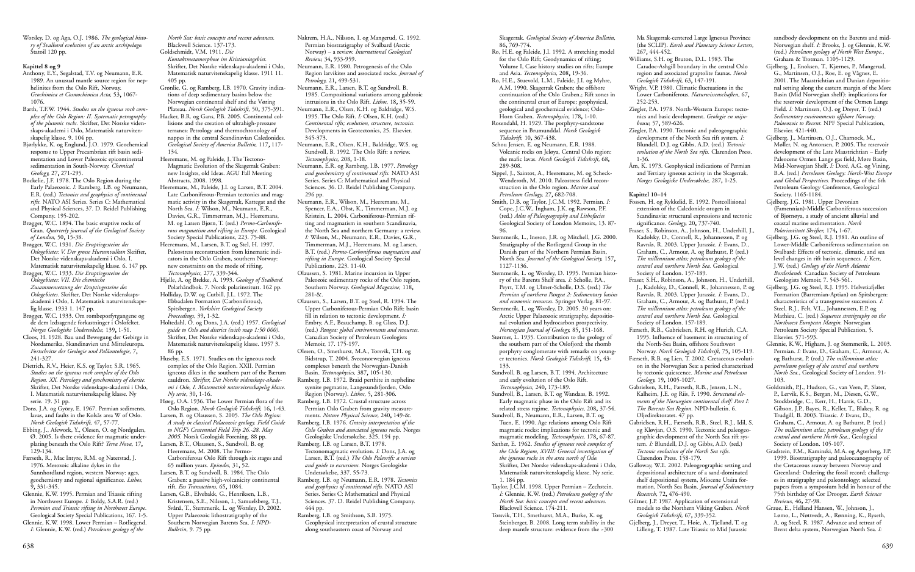Worsley, D. og Aga, O.J. 1986. *The geological history of Svalbard evolution of an arctic archipelago.* Statoil 120 pp.

#### **Kapittel 8 og 9**

- Anthony, E.Y., Segalstad, T.V. og Neumann, E.R. 1989. An unusual mantle source region for nephelinites from the Oslo Rift, Norway. *Geochimica et Cosmochimica Acta,* 53, 1067- 1076.
- Barth, T.F.W. 1944. *Studies on the igneous rock complex of the Oslo Region: II. Systematic petrography of the plutonic rocks.* Skrifter, Det Norske videnskaps-akademi i Oslo, Matematisk naturvitenskapelig klasse. 9. 104 pp.
- Bjørlykke, K. og Englund, J.O. 1979. Geochemical response to Upper Precambrian rift basin sedimentation and Lower Paleozoic epicontinental sedimentation in South-Norway. *Chemical Geology,* 27, 271-295.
- Bockelie, J.F. 1978. The Oslo Region during the Early Palaeozoic. *I:* Ramberg, I.B. og Neumann, E.R. (red.) *Tectonics and geophysics of continental rifts.* NATO ASI Series. Series C: Mathematical and Physical Sciences, 37. D. Reidel Publishing Company. 195-202.
- Brøgger, W.C. 1894. The basic eruptive rocks of Gran. *Quarterly journal of the Geological Society of London,* 50, 15-38.
- Brøgger, W.C. 1931. *Die Eruptivgesteine des Oslogebietes: V. Der grosse Hurumvulkan* Skrifter, Det Norske videnskaps-akademi i Oslo, I. Matematisk naturvitenskapelig klasse. 6. 147 pp.
- Brøgger, W.C. 1933. *Die Eruptivgesteine des Oslogebietes: VII. Die chemische Zusammensetzung der Eruptivgesteine des Oslogebietes.* Skrifter, Det Norske videnskapsakademi i Oslo, I. Matematisk naturvitenskapelig klasse. 1933 1. 147 pp.
- Brøgger, W.C. 1933. Om rombeporfyrgangene og de dem ledsagende forkastninger i Oslofeltet. *Norges Geologiske Undersøkelse,* 139, 1-51.
- Cloos, H. 1928. Bau und Bewegung der Gebirge in Nordamerika, Skandinavien und Mitteleuropa. *Fortschritte der Geologie und Paläontologie,* 7, 241-327.
- Dietrich, R.V., Heier, K.S. og Taylor, S.R. 1965. *Studies on the igneous rock complex of the Oslo Region. XX. Petrology and geochemistry of ekerite.* Skrifter, Det Norske videnskaps-akademi i Oslo, I. Matematisk naturvitenskapelig klasse. Ny serie. 19. 31 pp.

Dons, J.A. og Györy, E. 1967. Permian sediments, lavas, and faults in the Kolsås area W of Oslo. *Norsk Geologisk Tidsskrift,* 47, 57-77.

- Ebbing, J., Afework, Y., Olesen, O. og Nordgulen, Ø. 2005. Is there evidence for magmatic underplating beneath the Oslo Rift? *Terra Nova,* 17, 129-134.
- Færseth, R., Mac Intyre, R.M. og Naterstad, J. 1976. Mesozoic alkaline dykes in the Sunnhordland region, western Norway: ages, geochemistry and regional significance. *Lithos,* 9, 331-345.
- Glennie, K.W. 1995. Permian and Triassic rifting in Northwest Europe. *I:* Boldy, S.A.R. (red.) *Permian and Triassic rifting in Northwest Europe.* Geological Society Special Publications, 167. 1-5.
- Glennie, K.W. 1998. Lower Permian Rotliegend. *I:* Glennie, K.W. (red.) *Petroleum geology of the*

*North Sea: basic concepts and recent advances.* Blackwell Science. 137-173.

- Goldschmidt, V.M. 1911. *Die Kontaktmetamorphose im Kristianiagebiet.* Skrifter, Det Norske videnskaps-akademi i Oslo, Matematisk naturvitenskapelig klasse. 1911 11. 405 pp.
- Grønlie, G. og Ramberg, I.B. 1970. Gravity indications of deep sedimentary basins below the Norwegian continental shelf and the Vøring Plateau. *Norsk Geologisk Tidsskrift,* 50, 375-391.
- Hacker, B.R. og Gans, P.B. 2005. Continental collisions and the creation of ultrahigh-pressure terranes: Petrology and thermochronology of nappes in the central Scandinavian Caledonides. *Geological Society of America Bulletin,* 117, 117- 134.
- Heeremans, M. og Faleide, J. The Tectono-Magmatic Evolution of the Skagerrak Graben: new Insights, old Ideas. AGU Fall Meeting Abstracts, 2008. 1998.
- Heeremans, M., Faleide, J.I. og Larsen, B.T. 2004. Late Carboniferous-Permian tectonics and magmatic activity in the Skagerrak, Kattegat and the North Sea. *I:* Wilson, M., Neumann, E.R., Davies, G.R., Timmerman, M.J., Heeremans, M. og Larsen Bjørn, T. (red.) *Permo-Carboniferous magmatism and rifting in Europe.* Geological Society Special Publications, 223. 75-88.
- Heeremans, M., Larsen, B.T. og Stel, H. 1997. Paleostress reconstruction from kinematic indicators in the Oslo Graben, southern Norway: new constraints on the mode of rifting. *Tectonophysics,* 277, 339-344.
- Hjelle, A. og Brekke, A. 1993. *Geology of Svalbard.* Polarhåndbok. 7. Norsk polarinstitutt. 162 pp. Holliday, D.W. og Cutbill, J.L. 1972. The
- Ebbadalen Formation (Carboniferous), Spitsbergen. *Yorkshire Geological Society Proceedings,* 39, 1-32.
- Holtedahl, O. og Dons, J.A. (red.) 1957. *Geological guide to Oslo and district (with map 1:50 000).* Skrifter, Det Norske videnskaps-akademi i Oslo, Matematisk naturvitenskapelig klasse. 1957 3. 86 pp.
- Huseby, E.S. 1971. Studies on the igneous rock complex of the Oslo Region. XXII. Permian igneous dikes in the southern part of the Bærum cauldron. *Skrifter, Det Norske videnskaps-akademi i Oslo, I. Matematisk naturvitenskapelig klasse. Ny serie,* 30, 1-16.
- Høeg, O.A. 1936. The Lower Permian flora of the Oslo Region. *Norsk Geologisk Tidsskrift,* 16, 1-43. Larsen, B. og Olaussen, S. 2005. *The Oslo Region:*
- *A study in classical Palaeozoic geology. Field Guide to NGF's Centennial Field Trip 26.-28. May 2005.* Norsk Geologisk Forening. 88 pp.
- Larsen, B.T., Olaussen, S., Sundvoll, B. og Heeremans, M. 2008. The Permo-Carboniferous Oslo Rift through six stages and 65 million years. *Episodes,* 31, 52.
- Larsen, B.T. og Sundvoll, B. 1984. The Oslo Graben: a passive high-volcanicity continental rift. *Eos Transactions,* 65, 1084.
- Larsen, G.B., Elvebakk, G., Henriksen, L.B., Kristensen, S.E., Nilsson, I., Samuelsberg, T.J., Svånå, T., Stemmerik, L. og Worsley, D. 2002. Upper Palaeozoic lithostratigraphy of the Southern Norwegian Barents Sea. *I: NPD-Bulletin*, 9. 75 pp*.*
- Nakrem, H.A., Nilsson, I. og Mangerud, G. 1992. Permian biostratigraphy of Svalbard (Arctic Norway) – a review. *International Geological Review,* 34, 933-959.
- Neumann, E.R. 1980. Petrogenesis of the Oslo Region larvikites and associated rocks. *Journal of Petrology,* 21, 499-531.
- Neumann, E.R., Larsen, B.T. og Sundvoll, B. 1985. Compositional variations among gabbroic intrusions in the Oslo Rift. *Lithos,* 18, 35-59.
- Neumann, E.R., Olsen, K.H. og Baldridge, W.S. 1995. The Oslo Rift. *I:* Olsen, K.H. (red.) *Continental rifts; evolution, structure, tectonics.* Developments in Geotectonics, 25. Elsevier. 345-373.
- Neumann, E.R., Olsen, K.H., Baldridge, W.S. og Sundvoll, B. 1992. The Oslo Rift: a review. *Tectonophysics,* 208, 1-18.
- Neumann, E.R. og Ramberg, I.B. 1977. *Petrology and geochemistry of continental rifts.* NATO ASI Series. Series C: Mathematical and Physical Sciences. 36. D. Reidel Publishing Company. 296 pp.
- Neumann, E.R., Wilson, M., Heeremans, M., Spencer, E.A., Obst, K., Timmerman, M.J. og Kristein, L. 2004. Carboniferous-Permian rifting and magmatism in southern Scandinavia, the North Sea and northern Germany: a review. *I:* Wilson, M., Neumann, E.R., Davies, G.R., Timmerman, M.J., Heeremans, M. og Larsen, B.T. (red.) *Permo-Carboniferous magmatism and rifting in Europe.* Geological Society Special Publications, 223. 11-40.
- Olaussen, S. 1981. Marine incursion in Upper Paleozoic sedimentary rocks of the Oslo region, Southern Norway. *Geological Magazine,* 118, 281-&.
- Olaussen, S., Larsen, B.T. og Steel, R. 1994. The Upper Carboniferous-Permian Oslo Rift: basin fill in relation to tectonic development. *I:* Embry, A.F., Beauchamp, B. og Glass, D.J. (red.) *Pangea: global environments and resources.* Canadian Society of Petroleum Geologists Memoir, 17. 175-197.
- Olesen, O., Smethurst, M.A., Torsvik, T.H. og Bidstrup, T. 2004. Sveconorwegian igneous complexes beneath the Norwegian-Danish Basin. *Tectonophysics,* 387, 105-130.
- Ramberg, I.B. 1972. Braid perthite in nepheline syenite pegmatite, Langesundsfjorden, Oslo Region (Norway). *Lithos,* 5, 281-306.
- Ramberg, I.B. 1972. Crustal structure across Permian Oslo Graben from gravity measurements. *Nature Physical Science,* 240, 149-&.
- Ramberg, I.B. 1976. *Gravity interpretation of the Oslo Graben and associated igneous rocks.* Norges Geologiske Undersøkelse. 325. 194 pp.
- Ramberg, I.B. og Larsen, B.T. 1978. Tectonomagmatic evolution. *I:* Dons, J.A. og Larsen, B.T. (red.) *The Oslo Paleorift: a review and guide to excursions.* Norges Geologiske Undersøkelse, 337. 55-73.
- Ramberg, I.B. og Neumann, E.R. 1978. *Tectonics and geophysics of continental rifts.* NATO ASI Series. Series C: Mathematical and Physical Sciences. 37. D. Reidel Publishing Company. 444 pp.
- Ramberg, I.B. og Smithson, S.B. 1975. Geophysical interpretation of crustal structure along southeastern coast of Norway and

Skagerrak. *Geological Society of America Bulletin,* 86, 769-774.

- Ro, H.E. og Faleide, J.I. 1992. A stretching model for the Oslo Rift; Geodynamics of rifting; Volume I, Case history studies on rifts; Europe and Asia. *Tectonophysics,* 208, 19-36.
- Ro, H.E., Stuevold, L.M., Faleide, J.I. og Myhre, A.M. 1990. Skagerrak Graben; the offshore continuation of the Oslo Graben.; Rift zones in the continental crust of Europe; geophysical, geological and geochemical evidence; Oslo-Horn Graben. *Tectonophysics,* 178, 1-10.
- Rosendahl, H. 1929. The porphyry-sandstone sequence in Brumunddal. *Norsk Geologisk Tidsskrift,* 10, 367-438.
- Schou Jensen, E. og Neumann, E.R. 1988. Volcanic rocks on Jeløya, Central Oslo region: the mafic lavas. *Norsk Geologisk Tidsskrift,* 68, 289-308.
- Sippel, J., Saintot, A., Heeremans, M. og Scheck-Wenderoth, M. 2010. Paleostress field reconstruction in the Oslo region. *Marine and Petroleum Geology,* 27, 682-708.
- Smith, D.B. og Taylor, J.C.M. 1992. Permian. *I:* Cope, J.C.W., Ingham, J.K. og Rawson, P.F. (red.) *Atlas of Paleogeography and Lithofacies* Geological Society of London Memoirs, 13. 87- 96.
- Stemmerik, L., Ineson, J.R. og Mitchell, J.G. 2000. Stratigraphy of the Rotliegend Group in the Danish part of the Northern Permian Basin, North Sea. *Journal of the Geological Society,* 157, 1127-1136.
- Stemmerik, L. og Worsley, D. 1995. Permian history of the Barents Shelf area. *I:* Scholle, P.A., Peyrt, T.M. og Ulmer-Scholle, D.S. (red.) *The Permian of northern Pangea 2: Sedimentary basins and economic resources.* Springer Verlag. 81-97.
- Stemmerik, L. og Worsley, D. 2005. 30 years on: Arctic Upper Palaeozoic stratigraphy, depositional evolution and hydrocarbon prospectivity. *Norwegian Journal of Geology,* 85, 151-168.
- Størmer, L. 1935. Contribution to the geology of the southern part of the Oslofjord: the rhomb porphyry conglomerate with remarks on younger tectonics. *Norsk Geologisk Tidsskrift,* 15, 43- 133.
- Sundvoll, B. og Larsen, B.T. 1994. Architecture and early evolution of the Oslo Rift. *Tectonophysics,* 240, 173-189.
- Sundvoll, B., Larsen, B.T. og Wandaas, B. 1992. Early magmatic phase in the Oslo Rift and its related stress regime. *Tectonophysics,* 208, 37-54.
- Sundvoll, B., Neumann, E.R., Larsen, B.T. og Tuen, E. 1990. Age relations among Oslo Rift magmatic rocks: implications for tectonic and magmatic modeling. *Tectonophysics,* 178, 67-87.
- Sæther, E. 1962. *Studies of igneous rock complex of the Oslo Regiom, XVIII: General investigation of the igneous rocks in the area north of Oslo.* Skrifter, Det Norske videnskaps-akademi i Oslo, Matematisk naturvitenskapelig klasse. Ny serie. 1. 184 pp.
- Taylor, J.C.M. 1998. Upper Permian Zechstein. *I:* Glennie, K.W. (red.) *Petroleum geology of the North Sea: basic concepts and recent advances.* Blackwell Science. 174-211.
- Torsvik, T.H., Smethurst, M.A., Burke, K. og Steinberger, B. 2008. Long term stability in the deep mantle structure: evidence from the ~300
- 
- 
- 
- 
- 
- 
- 
- 
- 

- 
- 
- 
- 
- 
- 
- 
- Ma Skagerrak-centered Large Igneous Province (the SCLIP). *Earth and Planetary Science Letters,* 267, 444-452.
- Williams, S.H. og Bruton, D.L. 1983. The Caradoc-Ashgill boundary in the central Oslo region and associated graptolite faunas. *Norsk Geologisk Tidsskrift,* 63, 147-191.
- Wright, V.P. 1980. Climatic fluctuations in the Lower Carboniferous. *Naturwissenschaften,* 67, 252-253.
- Ziegler, P.A. 1978. North-Western Europe: tectonics and basic development. *Geologie en mijnbouw,* 57, 589-626.
- Ziegler, P.A. 1990. Tectonic and paleogeographic development of the North Sea rift system. *I:* Blundell, D.J. og Gibbs, A.D. (red.) *Tectonic evolution of the North Sea rifts.* Clarendon Press. 1-36.
- Åm, K. 1973. Geophysical indications of Permian and Tertiary igneous activity in the Skagerrak. *Norges Geologiske Undersøkelse,* 287, 1-25.
- **Kapittel 10–14**
- Fossen, H. og Rykkelid, E. 1992. Postcollisional extension of the Caledonide orogen in Scandinavia: structural expressions and tectonic significance. *Geology,* 20, 737-740.
- Fraser, S., Robinson, A., Johnson, H., Underhill, J., Kadolsky, D., Connell, R., Johannessen, P. og Ravnås, R. 2003. Upper Jurassic. *I:* Evans, D., Graham, C., Armour, A. og Bathurst, P. (red.) *The millennium atlas; petroleum geology of the central and northern North Sea.* Geological Society of London. 157-189.
- Fraser, S.H., Robinson, A., Johnson, H., Underhill, J., Kadolsky, D., Connell, R., Johannessen, P. og Ravnås, R. 2003. Upper Jurassic. *I:* Evans, D., Graham, C., Armour, A. og Bathurst, P. (red.) *The millennium atlas: petroleum geology of the central and northern North Sea.* Geological Society of London. 157-189.
- Færseth, R.B., Gabrielsen, R.H. og Hurich, C.A. 1995. Influence of basement in structuring of the North-Sea Basin, offshore Southwest Norway. *Norsk Geologisk Tidsskrift,* 75, 105-119.
- Færseth, R.B. og Lien, T. 2002. Cretaceous evolution in the Norwegian Sea: a period characterized by tectonic quiescence. *Marine and Petroleum Geology,* 19, 1005-1027.
- Gabrielsen, R.H., Færseth, R.B., Jensen, L.N., Kalheim, J.E. og Riis, F. 1990. *Structural elements of the Norwegian continental shelf: Part I: The Barents Sea Region.* NPD-bulletin. 6. Oljedirektoratet. 47 pp.
- Gabrielsen, R.H., Færseth, R.B., Steel, R.J., Idil, S. og Kløvjan, O.S. 1990. Tectonic and paleogeographic development of the North Sea rift system. *I:* Blundell, D.J. og Gibbs, A.D. (red.) *Tectonic evolution of the North Sea rifts.* Clarendon Press. 158-179.
- Galloway, W.E. 2002. Paleogeographic setting and depositional architecture of a sand-dominated shelf depositional system, Miocene Utsira formation, North Sea Basin. *Journal of Sedimentary Research,* 72, 476-490.
- Giltner, J.P. 1987. Application of extensional models to the Northern Viking Graben. *Norsk Geologisk Tidsskrift,* 67, 339-352.
- Gjelberg, J., Dreyer, T., Høie, A., Tjelland, T. og Lilleng, T. 1987. Late Triassic to Mid Jurassic

sandbody development on the Barents and mid-Norwegian shelf. *I:* Brooks, J. og Glennie, K.W. (red.) *Petroleum geology of North West Europe.*, Graham & Trotman. 1105-1129.

- Gjelberg, J., Enoksen, T., Kjærnes, P., Mangerud, G., Martinsen, O.J., Roe, E. og Vågnes, E. 2001. The Maastrichtian and Danian depositional setting along the eastern margin of the Møre Basin (Mid Norwegian shelf): implications for the reservoir development of the Ormen Lange Field. *I:* Martinsen, O.J. og Dreyer, T. (red.) *Sedimentary environments offshore Norway: Palaeozoic to Recent.* NPF Special Publication, Elsevier. 421-440.
- Gjelberg, J., Martinsen, O.J., Charnock, M., Møller, N. og Antonsen, P. 2005. The reservoir development of the Late Maastrichtian – Early Paleocene Ormen Lange gas field, Møre Basin, Mid-Norwegian Shelf. *I:* Doré, A.G. og Vining, B.A. (red.) *Petroleum Geology: North-West Europe and Global Perspectives.* Proceedings of the 6th Petroleum Geology Conference, Geological Society. 1165-1184.
- Gjelberg, J.G. 1981. Upper Devonian (Famennian)-Middle Carboniferous succession of Bjørnøya, a study of ancient alluvial and coastal marine sedimentation. *Norsk Polarinstitutt Skrifter,* 174, 1-67.
- Gjelberg, J.G. og Steel, R.J. 1981. An outline of Lower-Middle Carboniferous sedimentation on Svalbard: Effects of tectonic, climatic, and sea level changes in rift basin sequences. *I:* Kerr, J.W. (red.) *Geology of the North Atlantic Borderlands.* Canadian Society of Petroleum Geologists Memoir, 7. 543-561.
- Gjelberg, J.G. og Steel, R.J. 1995. Helvetiafjellet Formation (Barremian-Aptian) on Spitsbergen: characteristics of a transgressive succession. *I:* Steel, R.J., Felt, V.L., Johannessen, E.P. og Mathieu, C. (red.) *Sequence stratigraphy on the Northwest European Margin.* Norwegian Petroleum Society Special Publication, 5. Elsevier. 571-593.
- Glennie, K.W., Higham, J. og Stemmerik, L. 2003. Permian. *I:* Evans, D., Graham, C., Armour, A. og Bathurst, P. (red.) *The millennium atlas; petroleum geology of the central and northern North Sea.*, Geological Society of London. 91- 103.
- Goldsmith, P.J., Hudson, G., van Veen, P., Slater, P., Lervik, K.S., Bergan, M., Diesen, G.W., Stockbridge, C., Kerr, H., Harris, G.D., Gibson, J.P., Bayes, R., Keller, T., Blakey, R. og Trudgill, B. 2003. Triassic. *I:* Evans, D., Graham, C., Armour, A. og Bathurst, P. (red.) *The millennium atlas; petroleum geology of the central and northern North Sea.*, Geological Society of London. 105-107.
- Gradstein, F.M., Kaminski, M.A. og Agterberg, F.P. 1999. Biostratigraphy and paleoceanography of the Cretaceous seaway between Norway and Greenland: Ordering the fossil record; challenges in stratigraphy and paleontology; selected papers from a symposium held in honour of the 75th birthday of Cor Drooger. *Earth Science Reviews,* 46, 27-98.
- Graue, E., Helland Hansen, W., Johnson, J., Lømo, L., Nøttvedt, A., Rønning, K., Ryseth, A. og Steel, R. 1987. Advance and retreat of Brent delta system, Norwegian North Sea. *I:*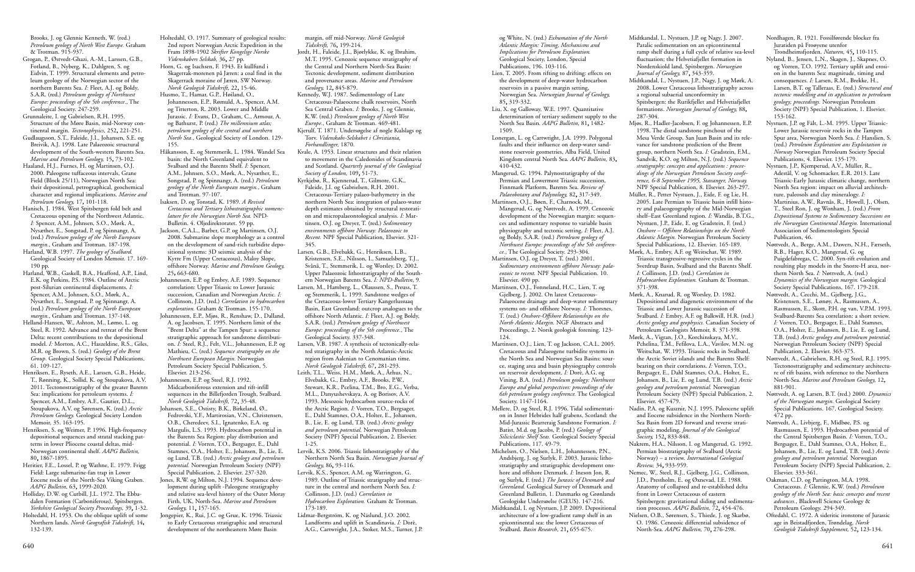Brooks, J. og Glennie Kenneth, W. (red.) *Petroleum geology of North West Europe.* Graham & Trotman. 915-937.

- Grogan, P., Østvedt-Ghazi, A.-M., Larssen, G.B., Fotland, B., Nyberg, K., Dahlgren, S. og Eidvin, T. 1999. Structural elements and petroleum geology of the Norwegian sector of the northern Barents Sea. *I:* Fleet, A.J. og Boldy, S.A.R. (red.) *Petroleum geology of Northwest Europe: proceedings of the 5th conference.*, The Geological Society. 247-259.
- Grunnaleite, I. og Gabrielsen, R.H. 1995. Structure of the Møre Basin, mid-Norway continental margin. *Tectonophysics,* 252, 221-251.
- Gudlaugsson, S.T., Faleide, J.I., Johansen, S.E. og Breivik, A.J. 1998. Late Palaeozoic structural development of the South-western Barents Sea. *Marine and Petroleum Geology,* 15, 73-102.
- Haaland, H.J., Furnes, H. og Martinsen, O.J. 2000. Paleogene tuffaceous intervals, Grane Field (Block 25/11), Norwegian North Sea: their depositional, petrographical, geochemical character and regional implications. *Marine and Petroleum Geology,* 17, 101-118.
- Hanisch, J. 1984. West Spitsbergen fold belt and Cretaceous opening of the Northwest Atlantic. *I:* Spencer, A.M., Johnsen, S.O., Mørk, A., Nysæther, E., Songstad, P. og Spinnangr, A. (red.) *Petroleum geology of the North European margin.*, Graham and Trotman. 187-198.
- Harland, W.B. 1997. *The geology of Svalbard.* Geological Society of London Memoir. 17. 169- 190 pp.
- Harland, W.B., Gaskell, B.A., Heafford, A.P., Lind, E.K. og Perkins, P.S. 1984. Outline of Arctic post-Silurian continental displacements. *I:* Spencer, A.M., Johnsen, S.O., Mørk, A., Nysæther, E., Songstad, P. og Spinnangr, A. (red.) *Petroleum geology of the North European margin.*, Graham and Trotman. 137-148.
- Helland-Hansen, W., Ashton, M., Lømo, L. og Steel, R. 1992. Advance and retreat of the Brent Delta: recent contributions to the depositional model. *I:* Morton, A.C., Haszeldine, R.S., Giles, M.R. og Brown, S. (red.) *Geology of the Brent Group.* Geological Society Special Publications, 61. 109-127.
- Henriksen, E., Ryseth, A.E., Larssen, G.B., Heide, T., Rønning, K., Sollid, K. og Stoupakova, A.V. 2011. Tectonostratigraphy of the greater Barents Sea: implications for petroleum systems. *I:* Spencer, A.M., Embry, A.F., Gautier, D.L., Stoupakova, A.V. og Sørensen, K. (red.) *Arctic Petroleum Geology.* Geological Society London Memoir, 35. 163-195.
- Henriksen, S. og Weimer, P. 1996. High-frequency depositional sequences and stratal stacking patterns in lower Pliocene coastal deltas, mid-Norwegian continental shelf. *AAPG Bulletin,* 80, 1867-1895.
- Heritier, F.E., Lossel, P. og Wathne, E. 1979. Frigg Field: Large submarine-fan trap in Lower Eocene rocks of the North-Sea Viking Graben. *AAPG Bulletin,* 63, 1999-2020.
- Holliday, D.W. og Cutbill, J.L. 1972. The Ebbadalen Formation (Carboniferous), Spitsbergen. *Yorkshire Geological Society Proceedings,* 39, 1-32.
- Holtedahl, H. 1953. On the oblique uplift of some Northern lands. *Norsk Geografisk Tidsskrift,* 14, 132-139.
- Holtedahl, O. 1917. Summary of geological results: 2nd report Norwegian Arctic Expedition in the Fram 1898-1902 *Skrifter Kongelige Norske Videnskabers Selskab,* 36, 27 pp.
- Horn, G. og Isachsen, F. 1943. Et kullfund i Skagerrak-morenen på Jæren: a coal find in the Skagerrack moraine of Jæren, SW Norway. *Norsk Geologisk Tidsskrift,* 22, 15-46.
- Husmo, T., Hamar, G.P., Høiland, O., Johannessen, E.P., Rømuld, A., Spencer, A.M. og Titterton, R. 2003. Lower and Middle Jurassic. *I:* Evans, D., Graham, C., Armour, A. og Bathurst, P. (red.) *The millennium atlas; petroleum geology of the central and northern North Sea.*, Geological Society of London. 129- 155.
- Håkansson, E. og Stemmerik, L. 1984. Wandel Sea basin: the North Greenland equivalent to Svalbard and the Barents Shelf. *I:* Spencer, A.M., Johnsen, S.O., Mørk, A., Nysæther, E., Songstad, P. og Spinnangr, A. (red.) *Petroleum geology of the North European margin.*, Graham and Trotman. 97-107.
- Isaksen, D. og Tonstad, K. 1989. *A Revised Cretaceous and Tertiary lithostratigraphic nomenclature for the Norwegian North Sea.* NPD-Bulletin. 4. Oljedirektoratet. 59 pp.
- Jackson, C.A.L., Barber, G.P. og Martinsen, O.J. 2008. Submarine slope morphology as a control on the development of sand-rich turbidite depositional systems: 3D seismic analysis of the Kyrre Fm (Upper Cretaceous), Maloy Slope, offshore Norway. *Marine and Petroleum Geology,* 25, 663-680.
- Johannessen, E.P. og Embry, A.F. 1989. Sequence correlation: Upper Triassic to Lower Jurassic succession, Canadian and Norwegian Arctic. *I:* Collinson, J.D. (red.) *Correlation in hydrocarbon exploration.* Graham & Trotman. 155-170.
- Johannessen, E.P., Mjøs, R., Renshaw, D., Dalland, A. og Jacobsen, T. 1995. Northern limit of the "Brent Delta" at the Tampen Spur: a sequence stratigraphic approach for sandstone distribution. *I:* Steel, R.J., Felt, V.L., Johannessen, E.P. og Mathieu, C. (red.) *Sequence stratigraphy on the Northwest European Margin.* Norwegian Petroleum Society Special Publication, 5. Elsevier. 213-256.
- Johannessen, E.P. og Steel, R.J. 1992. Midcarboniferous extension and rift-infill sequences in the Billefjorden Trough, Svalbard. *Norsk Geologisk Tidsskrift,* 72, 35-48.
- Johansen, S.E., Ostisty, B.K., Birkeland, Ø., Fedrovski, Y.F., Martirosian, V.N., Christensen, O.B., Cheredeev, S.I., Ignatenko, E.A. og Margulis, L.S. 1993. Hydrocarbon potential in the Barents Sea Region: play distribution and potential. *I:* Vorren, T.O., Bergsager, E., Dahl Stamnes, O.A., Holter, E., Johansen, B., Lie, E. og Lund, T.B. (red.) *Arctic geology and petroleum potential.* Norwegian Petroleum Society (NPF) Special Publication, 2. Elsevier. 237-320.
- Jones, R.W. og Milton, N.J. 1994. Sequence development during uplift -Paleogene stratigraphy and relative sea-level history of the Outer Moray Firth, UK, North-Sea. *Marine and Petroleum Geology,* 11, 157-165.
- Jongepier, K., Rui, J.C. og Grue, K. 1996. Triassic to Early Cretaceous stratigraphic and structural development of the northeastern Møre Basin

margin, off mid-Norway. *Norsk Geologisk Tidsskrift,* 76, 199-214.

- Jordt, H., Faleide, J.I., Bjørlykke, K. og Ibrahim, M.T. 1995. Cenozoic sequence stratigraphy of the Central and Northern North-Sea Basin: Tectonic development, sediment distribution and provenance areas. *Marine and Petroleum Geology,* 12, 845-879.
- Kennedy, W.J. 1987. Sedimentology of Late Cretaceous-Palaeocene chalk reservoirs, North Sea Central Graben. *I:* Brooks, J. og Glennie, K.W. (red.) *Petroleum geology of North West Europe.*, Graham & Trotman. 469-481.
- Kjerulf, T. 1871. Undersøgelse af nogle Kulslags og Torv. *Videnskabs-Selskabet i Christiania, Forhandlinger,* 1870.
- Kvale, A. 1953. Linear structures and their relation to movement in the Caledonides of Scandinavia and Scotland. *Quarterly journal of the Geological Society of London,* 109, 51-73.
- Kyrkjebø, R., Kjennerud, T., Gilmore, G.K., Faleide, J.I. og Gabrielsen, R.H. 2001. Cretaceous-Tertiary palaeo-bathymetry in the northern North Sea: integration of palaeo-water depth estimates obtained by structural restoration and micropalaeontological analysis. *I:* Martinsen, O.J. og Dreyer, T. (red.) *Sedimentary environments offshore Norway: Palaeozoic to Recent.* NPF Special Publication, Elsevier. 321- 345.
- Larsen, G.B., Elvebakk, G., Henriksen, L.B., Kristensen, S.E., Nilsson, I., Samuelsberg, T.J., Svånå, T., Stemmerik, L. og Worsley, D. 2002. Upper Palaeozoic lithostratigraphy of the Southern Norwegian Barents Sea. *I: NPD-Bulletin*, 9*.*
- Larsen, M., Hamberg, L., Olaussen, S., Preuss, T. og Stemmerik, L. 1999. Sandstone wedges of the Cretaceous-lower Tertiary Kangerlussuaq Basin, East Greenland: outcrop analogues to the offshore North Atlantic. *I:* Fleet, A.J. og Boldy, S.A.R. (red.) *Petroleum geology of Northwest Europe: proceedings of the 5th conference.*, The Geological Society. 337-348.
- Larsen, V.B. 1987. A synthesis of tectonically-related stratigraphy in the North Atlantic-Arctic region from Aalenian to Cenomanian time. *Norsk Geologisk Tidsskrift,* 67, 281-293.
- Leith, T.L., Weiss, H.M., Mørk, A., Århus, N., Elvebakk, G., Embry, A.F., Brooks, P.W., Stewart, K.R., Pcelina, T.M., Bro, E.G., Verba, M.L., Danyushevskaya, A. og Borisov, A.V. 1993. Mesozoic hydrocarbon source-rocks of the Arctic Region. *I:* Vorren, T.O., Bergsager, E., Dahl Stamnes, O.A., Holter, E., Johansen, B., Lie, E. og Lund, T.B. (red.) *Arctic geology and petroleum potential.* Norwegian Petroleum Society (NPF) Special Publication, 2. Elsevier. 1-25.
- Lervik, K.S. 2006. Triassic lithostratigraphy of the Northern North Sea Basin. *Norwegian Journal of Geology,* 86, 93-116.
- Lervik, K.S., Spencer, A.M. og Warrington, G. 1989. Outline of Triassic stratigraphy and structure in the central and northern North Sea. *I:* Collinson, J.D. (red.) *Correlation in Hydrocarbon Exploration.* Graham & Trotman. 173-189.
- Lidmar-Bergström, K. og Näslund, J.O. 2002. Landforms and uplift in Scandinavia. *I:* Dorè, A.G., Cartwright, J.A., Stoker, M.S., Turner, J.P.

og White, N. (red.) *Exhumation of the North Atlantic Margin: Timing, Mechanisms and Implications for Petroleum Exploration.* Geological Society, London, Special Publications, 196. 103-116.

- Lien, T. 2005. From rifting to drifting: effects on the development of deep-water hydrocarbon reservoirs in a passive margin setting, Norwegian Sea. *Norwegian Journal of Geology,* 85, 319-332.
- Liu, X. og Galloway, W.E. 1997. Quantitative determination of tertiary sediment supply to the North Sea Basin. *AAPG Bulletin,* 81, 1482- 1509.
- Lonergan, L. og Cartwright, J.A. 1999. Polygonal faults and their influence on deep-water sandstone reservoir geometries, Alba Field, United Kingdom central North Sea. *AAPG Bulletin,* 83, 410-432.
- Mangerud, G. 1994. Palynostratigraphy of the Permian and Lowermost Triassic succession, Finnmark Platform, Barents Sea. *Review of Palaeobotany and Palynology,* 82, 317-349. Martinsen, O.J., Bøen, F., Charnock, M.,
- Mangerud, G. og Nøttvedt, A. 1999. Cenozoic development of the Norwegian margin: sequences and sedimentary response to variable basin physiography and tectonic setting. *I:* Fleet, A.J. og Boldy, S.A.R. (red.) *Petroleum geology of Northwest Europe: proceedings of the 5th conference.*, The Geological Society. 293-304.
- Martinsen, O.J. og Dreyer, T. (red.) 2001. *Sedimentary environments offshore Norway: palaeozoic to recent.* NPF Special Publication. 10. Elsevier. 490 pp.
- Martinsen, O.J., Fonneland, H.C., Lien, T. og Gjelberg, J. 2002. On latest Cretaceous-Palaeocene drainage and deep-water sedimentary systems on- and offshore Norway. *I:* Thorsnes, T. (red.) *Onshore-Offshore Relationships on the North Atlantic Margin.* NGF Abstracts and Proceedings, 2. Norsk geologisk forening. 123- 124.
- Martinsen, O.J., Lien, T. og Jackson, C.A.L. 2005. Cretaceous and Palaeogene turbidite systems in the North Sea and Norwegian Sea Basins: source, staging area and basin physiography controls on reservoir development. *I:* Dorè, A.G. og Vining, B.A. (red.) *Petroleum geology: Northwest Europe and global perspectives: proceedings of the 6th petroleum geology conference.* The Geological Society. 1147-1164.
- Mellere, D. og Steel, R.J. 1996. Tidal sedimentation in Inner Hebrides half grabens, Scotland: the Mid-Jurassic Bearreraig Sandstone Formation. *I:* Batist, M.d. og Jacobs, P. (red.) *Geology of Siliciclastic Shelf Seas.* Geological Society Special Publications, 117. 49-79.
- Michelsen, O., Nielsen, L.H., Johannessen, P.N., Andsbjerg, J. og Surlyk, F. 2003. Jurassic lithostratigraphy and stratigraphic development onshore and offshore Denmark. *I:* Ineson Jon, R. og Surlyk, F. (red.) *The Jurassic of Denmark and Greenland.* Geological Survey of Denmark and Greenland Bulletin, 1. Danmarks og Grønlands Geologiske Undersøelse (GEUS). 147-216.
- Midtkandal, I. og Nystuen, J.P. 2009. Depositional architecture of a low-gradient ramp shelf in an epicontinental sea: the lower Cretaceous of Svalbard. *Basin Research,* 21, 655-675.
- Midtkandal, I., Nystuen, J.P. og Nagy, J. 2007. Paralic sedimentation on an epicontinental ramp shelf during a full cycle of relative sea-level fluctuation; the Helvetiafjellet formation in Nordenskiold land, Spitsbergen. *Norwegian Journal of Geology,* 87, 343-359.
- Midtkandal, I., Nystuen, J.P., Nagy, J. og Mørk, A. 2008. Lower Cretaceous lithostratigraphy across a regional subaerial unconformity in Spitsbergen: the Rurikfjellet and Helvetiafjellet formations. *Norwegian Journal of Geology,* 88, 287-304.
- Mjøs, R., Hadler-Jacobsen, F. og Johannessen, E.P. 1998. The distal sandstone pinchout of the Mesa Verde Group, San Juan Basin and its relevance for sandstone prediction of the Brent group, northern North Sea. *I:* Gradstein, F.M., Sandvik, K.O. og Milton, N.J. (red.) *Sequence stratigraphy: concepts and applications : proceedings of the Norwegian Petroleum Society conference, 6-8 September 1995, Stavanger, Norway.* NPF Special Publication, 8. Elsevier. 263-297.
- Müller, R., Petter Nystuen, J., Eide, F. og Lie, H. 2005. Late Permian to Triassic basin infill history and palaeogeography of the Mid-Norwegian shelf–East Greenland region. *I:* Wandås, B.T.G., Nystuen, J.P., Eide, E. og Gradstein, F. (red.) *Onshore – Offshore Relationships on the North Atlantic Margin.* Norwegian Petroleum Society Special Publications, 12. Elsevier. 165-189.
- Mørk, A., Embry, A.F. og Weitschat, W. 1989. Triassic transgressive-regressive cycles in the Sverdrup Basin, Svalbard and the Barents Shelf. *I:* Collinson, J.D. (red.) *Correlation in Hydrocarbon Exploration.* Graham & Trotman. 371-398.
- Mørk, A., Knarud, R. og Worsley, D. 1982. Depositional and diagenetic environment of the Triassic and Lower Jurassic succession of Svalbard. *I:* Embry, A.F. og Balkwill, H.R. (red.) *Arctic geology and geophysics.* Canadian Society of Petroleum Geologists Memoir, 8. 371-398.
- Mørk, A., Vigran, J.O., Korchinskaya, M.V., Pchelina, T.M., Fefilova, L.A., Vavilov, M.N. og Weitschat, W. 1993. Triassic rocks in Svalbard, the Arctic Soviet islands and the Barents Shelf: bearing on their correlations. *I:* Vorren, T.O., Bergsager, E., Dahl Stamnes, O.A., Holter, E., Johansen, B., Lie, E. og Lund, T.B. (red.) *Arctic geology and petroleum potential.* Norwegian Petroleum Society (NPF) Special Publication, 2. Elsevier. 457-479.
- Nadin, P.A. og Kusznir, N.J. 1995. Paleocene uplift and Eocene subsidence in the Northern North-Sea Basin from 2D forward and reverse stratigraphic modeling. *Journal of the Geological Society,* 152, 833-848.
- Nakrem, H.A., Nilsson, I. og Mangerud, G. 1992. Permian biostratigraphy of Svalbard (Arctic Norway) – a review. *International Geological Review,* 34, 933-959.
- Nemec, W., Steel, R.J., Gjelberg, J.G., Collinson, J.D., Prestholm, E. og Øxnevad, I.E. 1988. Anatomy of collapsed and re-established delta front in Lower Cretaceous of eastern Spitsbergen: gravitational sliding and sedimentation processes. *AAPG Bulletin,* 72, 454-476.
	- Nielsen, O.B., Sørensen, S., Thiede, J. og Skarbø, O. 1986. Cenozoic differential subsidence of North-Sea. *AAPG Bulletin,* 70, 276-298.
- Nordhagen, R. 1921. Fossilførende blocker fra Juratiden på Froøyene utenfor Trondheimsfjorden. *Naturen,* 45, 110-115.
- Nyland, B., Jensen, L.N., Skagen, J., Skapnes, O. og Vorren, T.O. 1992. Tertiary uplift and erosion in the barents Sea: magnitude, timing and consequences. *I:* Larsen, R.M., Brekke, H., Larsen, B.T. og Talleraas, E. (red.) *Structural and tectonic modelling and its application to petroleum geology; proceedings.* Norwegian Petroleum Society (NPF) Special Publication, 1. Elsevier. 153-162.
- Nystuen, J.P. og Fält, L.-M. 1995. Upper Triassic-Lower Jurassic reservoir rocks in the Tampen Spur area, Norwegian North Sea. *I:* Hanslien, S. (red.) *Petroleum Exploration ans Exploitation in Norway* Norwegian Petroleum Society Special Publications, 4. Elsevier. 135-179.
- Nystuen, J.P., Kjemperud, A.V., Müller, R., Adestål, V. og Schomacker, E.R. 2013. Late Triassic-Early Jurassic climatic change, northern North Sea region: impact on alluvial architechture, paleosols and clay mineralogy. *I:* Martinius, A.W., Ravnås, R., Howell, J., Olsen, T., Steel Ron, J. og Wonham, J. (red.) *From Depositional Systems to Sedimentary Succesions on the Norwegian Continental Margin.* International Association of Sedimentologists Special Publication, 46.
- Nøttvedt, A., Berge, A.M., Dawers, N.H., Færseth, R.B., Hager, K.O., Mangerud, G. og Puigdefabregas, C. 2000. Syn-rift evolution and resulting play models in the Snorre-H area, northern North Sea. *I:* Nøttvedt, A. (red.) *Dynamics of the Norwegian margin.* Geological Society Special Publications, 167. 179-218.
- Nøttvedt, A., Cecchi, M., Gjelberg, J.G., Kristensen, S.E., Lønøy, A., Rasmussen, A., Rasmussen, E., Skott, P.H. og van, V.P.M. 1993. Svalbard-Barents Sea correlation: a short review. *I:* Vorren, T.O., Bergsager, E., Dahl Stamnes, O.A., Holter, E., Johansen, B., Lie, E. og Lund, T.B. (red.) *Arctic geology and petroleum potential.* Norwegian Petroleum Society (NPF) Special Publication, 2. Elsevier. 363-375.
- Nøttvedt, A., Gabrielsen, R.H. og Steel, R.J. 1995. Tectonostratigraphy and sedimentary architecture of rift basins, with reference to the Northern North-Sea. *Marine and Petroleum Geology,* 12, 881-901.
- Nøttvedt, A. og Larsen, B.T. (red.) 2000. *Dynamics of the Norwegian margin.* Geological Society Special Publications. 167. Geological Society. 472 pp.
- Nøttvedt, A., Livbjerg, F., Midbøe, P.S. og Rasmussen, E. 1993. Hydrocarbon potential of the Central Spitsbergen Basin. *I:* Vorren, T.O., Bergsager, E., Dahl Stamnes, O.A., Holter, E., Johansen, B., Lie, E. og Lund, T.B. (red.) *Arctic geology and petroleum potential.* Norwegian Petroleum Society (NPF) Special Publication, 2. Elsevier. 333-361.
- Oakman, C.D. og Partington, M.A. 1998. Cretaceous. *I:* Glennie, K.W. (red.) *Petroleum geology of the North Sea: basic concepts and recent advances.*, Blackwell Science Geology & Petroleum Geology. 294-349.
- Oftedahl, C. 1972. A sideritic ironstone of Jurassic age in Beistadfjorden, Trøndelag. *Norsk Geologisk Tidsskrift Supplement,* 52, 123-134.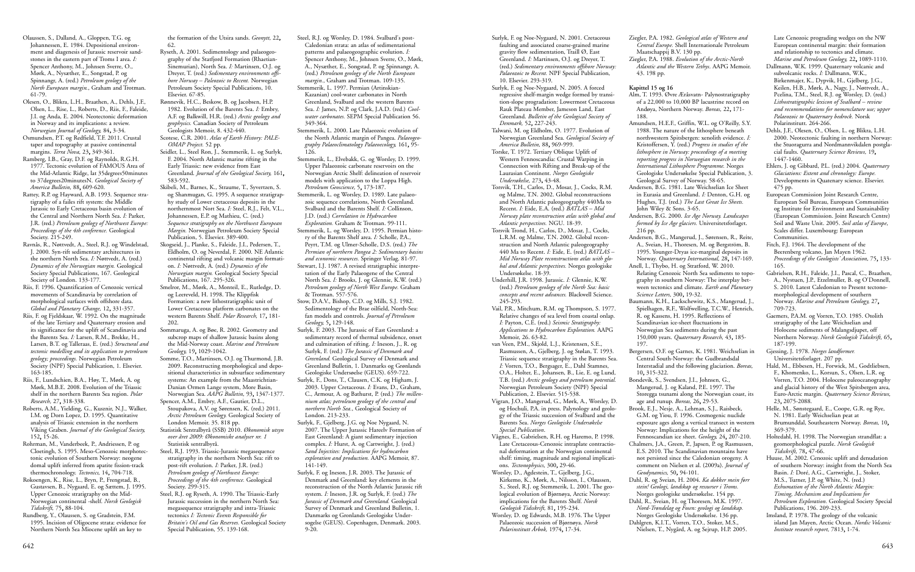- 
- 

- 
- 
- 

- 
- 

Olaussen, S., Dalland, A., Gloppen, T.G. og Johannessen, E. 1984. Depositional environment and diagenesis of Jurassic reservoir sandstones in the eastern part of Troms I area. *I:* Spencer Anthony, M., Johnsen Sverre, O., Mørk, A., Nysæther, E., Songstad, P. og Spinnangr, A. (red.) *Petroleum geology of the North European margin.*, Graham and Trotman. 61-79.

- Olesen, O., Blikra, L.H., Braathen, A., Dehls, J.F., Olsen, L., Rise, L., Roberts, D., Riis, F., Faleide, J.I. og Anda, E. 2004. Neotectonic deformation in Norway and its implications: a review. *Norwegian Journal of Geology,* 84, 3-34.
- Osmundsen, P.T. og Redfield, T.F. 2011. Crustal taper and topography at passive continental margins. *Terra Nova,* 23, 349-361.
- Ramberg, I.B., Gray, D.F. og Raynolds, R.G.H. 1977. Tectonic evolution of FAMOUS Area of the Mid-Atlantic Ridge, lat 35degrees50minutes to 37degrees20minutesN. *Geological Society of America Bulletin,* 88, 609-620.
- Rattey, R.P. og Hayward, A.B. 1993. Sequence stratigraphy of a failes rift system: the Middle Jurassic to Early Cretaceous basin evolution of the Central and Northern North Sea. *I:* Parker, J.R. (red.) *Petroleum geology of Northwest Europe: Proceedings of the 4th conference.* Geological Society. 215-249.
- Ravnås, R., Nøttvedt, A., Steel, R.J. og Windelstad, J. 2000. Syn-rift sedimentary architectures in the northern North Sea. *I:* Nøttvedt, A. (red.) *Dynamics of the Norwegian margin.* Geological Society Special Publications, 167. Geological Society of London. 133-177.
- Riis, F. 1996. Quantification of Cenozoic vertical movements of Scandinavia by correlation of morphological surfaces with offshore data. *Global and Planetary Change,* 12, 331-357.
- Riis, F. og Fjeldskaar, W. 1992. On the magnitude of the late Tertiary and Quaternary erosion and its significance for the uplift of Scandinavia and the Barents Sea. *I:* Larsen, R.M., Brekke, H., Larsen, B.T. og Talleraas, E. (red.) *Structural and tectonic modelling and its application to petroleum geology; proceedings.* Norwegian Petroleum Society (NPF) Special Publication, 1. Elsevier. 163-185.
- Riis, F., Lundschien, B.A., Høy, T., Mørk, A. og Mørk, M.B.E. 2008. Evolution of the Triassic shelf in the northern Barents Sea region. *Polar Research,* 27, 318-338.
- Roberts, A.M., Yielding, G., Kusznir, N.J., Walker, I.M. og Dorn Lopez, D. 1995. Quantitative analysis of Triassic extension in the northern Viking Graben. *Journal of the Geological Society,* 152, 15-26.
- Rohrman, M., Vanderbeek, P., Andriessen, P. og Cloetingh, S. 1995. Meso-Cenozoic morphotectonic evolution of Southern Norway: neogene domal uplift inferred from apatite fission-track thermochronology. *Tectonics,* 14, 704-718.
- Rokoengen, K., Rise, L., Bryn, P., Frengstad, B., Gustavsen, B., Nygaard, E. og Sættem, J. 1995. Upper Cenozoic stratigraphy on the Mid-Norwegian continental -shelf. *Norsk Geologisk Tidsskrift,* 75, 88-104.
- Rundberg, Y., Olaussen, S. og Gradstein, F.M. 1995. Incision of Oligocene strata: evidence for Northern North Sea Miocene uplift an key to

the formation of the Utsira sands. *Geonytt,* 22, 62.

- Ryseth, A. 2001. Sedimentology and palaeogeography of the Statfjord Formation (Rhaetian-Sinemurian), North Sea. *I:* Martinsen, O.J. og Dreyer, T. (red.) *Sedimentary environments offshore Norway – Paleozoic to Recent.* Norwegian Petroleum Society Special Publications, 10. Elsevier. 67-85.
- Rønnevik, H.C., Beskow, B. og Jacobsen, H.P. 1982. Evolution of the Barents Sea. *I:* Embry, A.F. og Balkwill, H.R. (red.) *Arctic geology and geophysics.* Canadian Society of Petroleum Geologists Memoir, 8. 432-440.
- Scotese, C.R. 2001. *Atlas of Earth History: PALE-OMAP Project.* 52 pp.
- Seidler, L., Steel Ron, J., Stemmerik, L. og Surlyk, F. 2004. North Atlantic marine rifting in the Early Triassic: new evidence from East Greenland. *Journal of the Geological Society,* 161, 583-592.
- Skibeli, M., Barnes, K., Straume, T., Syvertzen, S. og Shanmugan, G. 1995. A sequence stratigraphy study of Lower cretaceous deposits in the northernmost Nort Sea. *I:* Steel, R.J., Felt, V.L., Johannessen, E.P. og Mathieu, C. (red.) *Sequence stratigraphy on the Northwest European Margin.* Norwegian Petroleum Society Special Publication, 5. Elsevier. 389-400.
- Skogseid, J., Planke, S., Faleide, J.I., Pedersen, T., Eldholm, O. og Neverdal, F. 2000. NE Atlantic continental rifting and volcanic margin formation. *I:* Nøttvedt, A. (red.) *Dynamics of the Norwegian margin.* Geological Society Special Publications, 167. 295-326.
- Smelror, M., Mørk, A., Monteil, E., Rutledge, D. og Leereveld, H. 1998. The Klippfisk Formation: a new lithostratigraphic unit of Lower Cretaceous platform carbonates on the western Barents Shelf. *Polar Research,* 17, 181- 202.
- Sommaruga, A. og Bøe, R. 2002. Geometry and subcrop maps of shallow Jurassic basins along the Mid-Norway coast. *Marine and Petroleum Geology,* 19, 1029-1042.
- Somme, T.O., Martinsen, O.J. og Thurmond, J.B. 2009. Reconstructing morphological and depositional characteristics in subsurface sedimentary systems: An example from the Maastrichtian-Danian Ormen Lange system, More Basin, Norwegian Sea. *AAPG Bulletin,* 93, 1347-1377.
- Spencer, A.M., Embry, A.F., Gautier, D.L.,
- Stoupakova, A.V. og Sørensen, K. (red.) 2011. *Arctic Petroleum Geology.* Geological Society of London Memoir. 35. 818 pp.
- Statistisk Sentralbyrå (SSB) 2010. *Økonomisk utsyn over året 2009: Økonomiske analyser nr. 1* Statistisk sentralbyrå.
- Steel, R.J. 1993. Triassic-Jurassic megasequence stratigraphy in the northern North Sea: rift to post-rift evolution. *I:* Parker, J.R. (red.) *Petroleum geology of Northwest Europe: Proceedings of the 4th conference.* Geological Society. 299-315.
- Steel, R.J. og Ryseth, A. 1990. The Triassic-Early Jurassic succession in the northern North Sea: megasequence stratigraphy and intra-Triassic tectonics *I: Tectonic Events Responsible for Britain's Oil and Gas Reserves.* Geological Society Special Publication, 55. 139-168.
- Steel, R.J. og Worsley, D. 1984. Svalbard's post-Caledonian strata: an atlas of sedimentational patterns and palaeogeographic evolution. *I:* Spencer Anthony, M., Johnsen Sverre, O., Mørk, A., Nysæther, E., Songstad, P. og Spinnangr, A. (red.) *Petroleum geology of the North European margin.*, Graham and Trotman. 109-135. Stemmerik, L. 1997. Permian (Artinskian-
- Kazanian) cool-water carbonates in North Greenland, Svalbard and the western Barents Sea. *I:* James, N.P. og Clark, J.A.D. (red.) *Coolwater carbonates.* SEPM Special Publication 56. 349-364.
- Stemmerik, L. 2000. Late Palaeozoic evolution of the North Atlantic margin of Pangea. *Palaeogeography Palaeoclimatology Palaeoecology,* 161, 95- 126.
- Stemmerik, L., Elvebakk, G. og Worsley, D. 1999. Upper Palaeozoic carbonate reservoirs on the Norwegian Arctic Shelf: delineation of reservoir models with application to the Loppa High. *Petroleum Geoscience,* 5, 173-187.
- Stemmerik, L. og Worsley, D. 1989. Late palaeozoic sequence correlations, North Greenland. Svalbard and the Barents Shelf. *I:* Collinson, J.D. (red.) *Correlation in Hydrocarbon Exploration.* Graham & Trotman. 99-111.
- Stemmerik, L. og Worsley, D. 1995. Permian history of the Barents Shelf area. *I:* Scholle, P.A., Peyrt, T.M. og Ulmer-Scholle, D.S. (red.) *The Permian of northern Pangea 2: Sedimentary basins and economic resources.* Springer Verlag. 81-97.
- Stewart, I.J. 1987. A revised stratigraphic interpretation of the Early Palaeogene of the Central North Sea. *I:* Brooks, J. og Glennie, K.W. (red.) *Petroleum geology of North West Europe.* Graham & Trotman. 557-576.
- Stow, D.A.V., Bishop, C.D. og Mills, S.J. 1982. Sedimentology of the Brae oilfield, North-Sea: fan models and controls. *Journal of Petroleum Geology,* 5, 129-148.
- Surlyk, F. 2003. The Jurassic of East Greenland: a sedimentary record of thermal subsidence, onset and culmination of rifting. *I:* Ineson, J., R. og Surlyk, F. (red.) *The Jurassic of Denmark and Greenland.* Geological Survey of Denmark and Greenland Bulletin, 1. Danmarks og Grønlands Geologiske Undersøelse (GEUS). 659-722.
- Surlyk, F., Dons, T., Clausen, C.K. og Higham, J. 2003. Upper Cretaceous. *I:* Evans, D., Graham, C., Armour, A. og Bathurst, P. (red.) *The millennium atlas; petroleum geology of the central and northern North Sea.*, Geological Society of London. 213-233.
- Surlyk, F., Gjelberg, J.G. og Noe Nygaard, N. 2007. The Upper Jurassic Hareelv Formation of East Greenland: A giant sedimentary injection complex. *I:* Hurst, A. og Cartwright, J. (red.) *Sand Injectites: Implications for hydrocarbon exploration and production.* AAPG Memoir, 87. 141-149.
- Surlyk, F. og Ineson, J.R. 2003. The Jurassic of Denmark and Greenland: key elements in the reconstruction of the North Atlantic Jurassic rift system. *I:* Ineson, J.R. og Surlyk, F. (red.) *The Jurassic of Denmark and Greenland.* Geological Survey of Denmark and Greenland Bulletin, 1. Danmarks og Gronlands Geologiske Undersogelse (GEUS). Copenhagen, Denmark. 2003. 9-20.
- Surlyk, F. og Noe-Nygaard, N. 2001. Cretaceous faulting and associated coarse-grained marine gravity flow sedimentation, Traill Ø, East Greenland. *I:* Martinsen, O.J. og Dreyer, T. (red.) *Sedimentary environments offshore Norway: Palaeozoic to Recent.* NPF Special Publication, 10. Elsevier. 293-319.
- Surlyk, F. og Noe-Nygaard, N. 2005. A forced regressive shelf-margin wedge formed by transition-slope progradation: Lowermost Cretaceous Rauk Plateau Member, Jameson Land, East Greenland. *Bulletin of the Geological Society of Denmark,* 52, 227-243.
- Talwani, M. og Eldholm, O. 1977. Evolution of Norwegian Greenland Sea. *Geological Society of America Bulletin,* 88, 969-999.
- Torske, T. 1972. Tertiary Oblique Uplift of Western Fennoscandia: Crustal Warping in Connection with Rifting and Break-up of the Laurasian Continent. *Norges Geologiske Undersøkelse,* 273, 43-48.
- Torsvik, T.H., Carlos, D., Mosar, J., Cocks, R.M. og Malme, T.N. 2002. Global reconstructions and North Atlantic paleogeography 440Ma to Recent. *I:* Eide, E.A. (red.) *BATLAS – Mid Norway plate reconstruction atlas with global and Atlantic perspectives.* NGU. 18-39. Torsvik Trond, H., Carlos, D., Mosar, J., Cocks, Andersen, B.G. 1981. Late Weichselian Ice Sheet in Eurasia and Greenland. *I:* Denton, G.H. og Hughes, T.J. (red.) *The Last Great Ice Sheets.* John Wiley & Sons. 3-65. Andersen, B.G. 2000. *Ice Age Norway. Landscapes formed by Ice Age glaciers.* Universitetsforlaget. 216 pp.
- L.R.M. og Malme, T.N. 2002. Global reconstruction and North Atlantic paleogeography 440 Ma to Recent. *I:* Eide, E. (red.) *BATLAS – Mid Norway Plate reconstructions atlas with global and Atlantic perspectives.* Norges geologiske Undersøkelse. 18-39.
- Underhill, J.R. 1998. Jurassic. *I:* Glennie, K.W. (red.) *Petroleum geology of the North Sea: basic concepts and recent advances.* Blackwell Science. 245-293.
- Vail, P.R., Mitchum, R.M. og Thompson, S. 1977. Relative changes of sea level from coastal onlap. *I:* Payton, C.E. (red.) *Seismic Stratigraphy: Applications to Hydrocarbon Exploration.* AAPG Memoir, 26. 63-82. van Veen, P.M., Skjold, L.J., Kristensen, S.E., Baumann, K.H., Lackschewitz, K.S., Mangerud, J., Spielhagen, R.F., Wolfwelling, T.C.W., Henrich, R. og Kassens, H. 1995. Reflections of Scandinavian ice-sheet fluctuations in Norwegian Sea sediments during the past 150,000 years. *Quaternary Research,* 43, 185- 197.
- Rasmussen, A., Gjelberg, J. og Stølan, T. 1993. Triassic sequence stratigraphy in the Barents Sea. *I:* Vorren, T.O., Bergsager, E., Dahl Stamnes, O.A., Holter, E., Johansen, B., Lie, E. og Lund, T.B. (red.) *Arctic geology and petroleum potential.* Norwegian Petroleum Society (NPF) Special Publication, 2. Elsevier. 515-538.
- Vigran, J.O., Mangerud, G., Mørk, A., Worsley, D. og Hochuli, P.A. in press. Palynology and geology of the Triassic succession of Svalbard and the Barents Sea. *Norges Geologiske Undersøkelse Special Publication*.
- Vågnes, E., Gabrielsen, R.H. og Haremo, P. 1998. Late Cretaceous-Cenozoic intraplate contractional deformation at the Norwegian continental shelf: timing, magnitude and regional implications. *Tectonophysics,* 300, 29-46.
- Worsley, D., Agdestein, T., Gjelberg, J.G., Kirkemo, K., Mørk, A., Nilsson, I., Olaussen, S., Steel, R.J. og Stemmerik, L. 2001. The geological evolution of Bjørnøya, Arctic Norway: implications for the Barents Shelf. *Norsk Geologisk Tidsskrift,* 81, 195-234.
- Worsley, D. og Edwards, M.B. 1976. The Upper Palaeozoic succession of Bjørnøya. *Norsk Polarinstitutt Årbok,* 1974, 17-34.
- Ziegler, P.A. 1982. *Geological atlas of Western and Central Europe.* Shell Internationale Petroleum Maatschappij B.V. 130 pp.
- Ziegler, P.A. 1988. *Evolution of the Arctic-North Atlantic and the Western Tethys*. AAPG Memoir. 43. 198 pp.

**Kapittel 15 og 16**

- Alm, T. 1993. Øvre Æråsvatn- Palynostratigraphy of a 22,000 to 10,000 BP lacustrine record on Andøya, Northern Norway. *Boreas,* 22, 171- 188.
- Amundsen, H.E.F., Griffin, W.L. og O'Reilly, S.Y. 1988. The nature of the lithosphere beneath northwestern Spitsbergen: xenolith evidence. *I:* Kristoffersen, Y. (red.) *Progress in studies of the lithosphere in Norway: proceedings of a meeting reporting progress in Norwegian research in the International Lithosphere Programme.* Norges Geologiske Undersøkelse Special Publication, 3. Geologcal Survey of Norway. 58-65.
- Andersen, B.G., Mangerud, J., Sørensen, R., Reite, A., Sveian, H., Thoresen, M. og Bergström, B. 1995. Younger-Dryas ice-marginal deposits in Norway. *Quaternary International,* 28, 147-169.
- Anell, I., Thybo, H. og Stratford, W. 2010. Relating Cenozoic North Sea sediments to topography in southern Norway: The interplay between tectonics and climate. *Earth and Planetary Science Letters,* 300, 19-32.
- Bergersen, O.F. og Garnes, K. 1981. Weichselian in Central South-Norway: the Gudbrandsdal Interstadial and the following glaciation. *Boreas,* 10, 315-322.
- Bondevik, S., Svendsen, J.I., Johnsen, G., Mangerud, J. og Kaland, P.E. 1997. The Storegga tsunami along the Norwegian coast, its age and runup. *Boreas,* 26, 29-53.
- Brook, E.J., Nesje, A., Lehman, S.J., Raisbeck, G.M. og Yiou, F. 1996. Cosmogenic nuclide exposure ages along a vertical transect in western Norway: Implications for the height of the Fennoscandian ice sheet. *Geology,* 24, 207-210.
- Chalmers, J.A., Green, P., Japsen, P. og Rasmussen, E.S. 2010. The Scandinavian mountains have not persisted since the Caledonian orogeny. A comment on Nielsen et al. (2009a). *Journal of Geodynamics,* 50, 94-101.
- Dahl, R. og Sveian, H. 2004. *Ka dokker mein førr stein! Geologi, landskap og ressurser i Troms.* Norges geologiske undersøkelse. 154 pp.
- Dahl, R., Sveian, H. og Thoresen, M.K. 1997. *Nord-Trøndelag og Fosen: geologi og landskap.* Norges Geologiske Undersøkelse. 136 pp.
- Dahlgren, K.I.T., Vorren, T.O., Stoker, M.S., Nielsen, T., Nygård, A. og Sejrup, H.P. 2005.

Late Cenozoic prograding wedges on the NW European continental margin: their formation and relationship to tectonics and climate. *Marine and Petroleum Geology,* 22, 1089-1110.

- Dallmann, W.K. 1999. Quaternary volcanic and subvolcanic rocks. *I:* Dallmann, W.K., Birkenmajer, K., Dypvik, H., Gjelberg, J.G., Keilen, H.B., Mørk, A., Nagy, J., Nøttvedt, A., Pcelina, T.M., Steel, R.J. og Worsley, D. (red.) *Lithostratigraphic lexicon of Svalbard – review and recommendations for nomenclature use; upper Palaeozoic to Quaternary bedrock.* Norsk Polarinstitutt. 264-266.
- Dehls, J.F., Olesen, O., Olsen, L. og Blikra, L.H. 2000. Neotectonic faulting in northern Norway: the Stuoragurra and Nordmannvikdalen postglacial faults. *Quaternary Science Reviews,* 19, 1447-1460.
- Ehlers, J. og Gibbard, P.L. (red.) 2004. *Quaternary Glaciations: Extent and chronology: Europe.* Developments in Quatenary science. Elsevier. 475 pp.
- European Commission Joint Research Centre, European Soil Bureau, European Communities og Institute for Environment and Sustainability (European Commission. Joint Research Centre) Soil and Waste Unit. 2005. *Soil atlas of Europe*, Scales differ. Luxembourg: European Communities.
- Fitch, F.J. 1964. The development of the Beerenberg volcano, Jan Mayen 1962. *Proceedings of the Geologists' Association,* 75, 133- 165.
- Gabrielsen, R.H., Faleide, J.I., Pascal, C., Braathen, A., Nystuen, J.P., Etzelmuller, B. og O'Donnell, S. 2010. Latest Caledonian to Present tectonomorphological development of southern Norway. *Marine and Petroleum Geology,* 27, 709-723.
- Gaemers, P.A.M. og Vorren, T.O. 1985. Otolith stratigraphy of the Late Weichselian and Holocene sediments of Malangsdjupet, off Northern Norway. *Norsk Geologisk Tidsskrift,* 65, 187-199.
- Gjessing, J. 1978. *Norges landformer.* Universitetsforlaget. 207 pp.
- Hald, M., Ebbesen, H., Forwick, M., Godtliebsen, F., Khomenko, L., Korsun, S., Olsen, L.R. og Vorren, T.O. 2004. Holocene paleoceanography and glacial history of the West Spitsbergen area, Euro-Arctic margin. *Quaternary Science Reviews,* 23, 2075-2088.
- Helle, M., Sønstegaard, E., Coope, G.R. og Rye, N. 1981. Early Weichselian peat at Brumunddal, Southeastern Norway. *Boreas,* 10, 369-379.
- Holtedahl, H. 1998. The Norwegian strandflat: a geomorphological puzzle. *Norsk Geologisk Tidsskrift,* 78, 47-66.
- Huuse, M. 2002. Cenozoic uplift and denudation of southern Norway: insight from the North Sea Basin. *I:* Doré, A.G., Cartwright, J., Stoker, M.S., Turner, J.P. og White, N. (red.) *Exhumation of the North Atlantic Margin: Timing, Mechanism and Implications for Petroleum Exploration.* Geological Society Special Publications, 196. 209-233.
- Imsland, P. 1978. The geology of the volcanic island Jan Mayen, Arctic Ocean. *Nordic Volcanic Institute research report,* 7813, 1-74.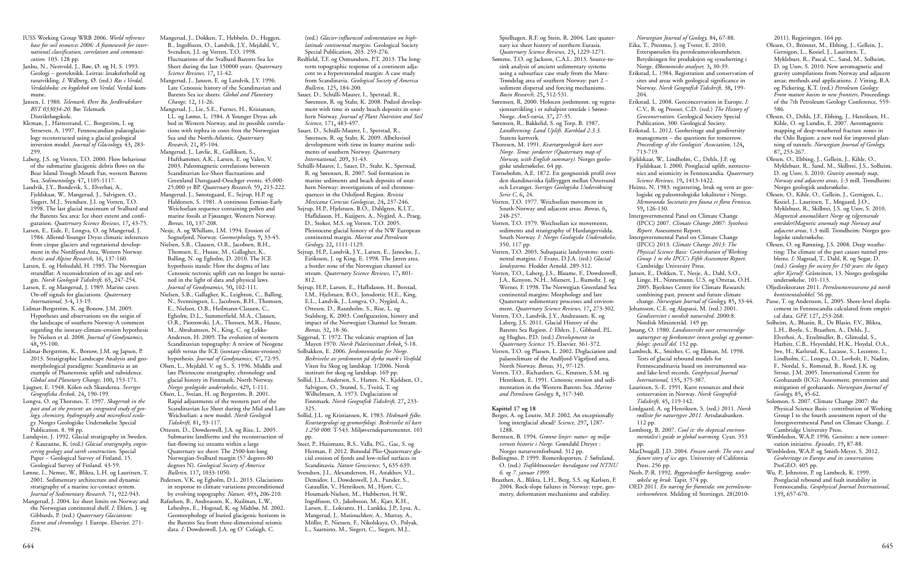- IUSS Working Group WRB 2006. *World reference base for soil resources 2006: A framework for international classification, correlation and communication.* 103. 128 pp.
- Janbu, N., Nestvold, J., Røe, Ø. og H, S. 1993. Geologi – geoteknikk. Leirras: årsaksforhold og rasutvikling. *I:* Walberg, Ø. (red.) *Ras i Verdal, Verdalsboka: en bygdebok om Verdal.* Verdal kommune.
- Jansen, I. 1980. *Telemark, Øvre Bø, Jordbrukskart BST 033034-20*. Bø: Telemark Distrikthøgskole.
- Kleman, J., Hättestrand, C., Borgström, I. og Stroeven, A. 1997. Fennoscandian palaeoglaciology reconstructed using a glacial geological inversion model. *Journal of Glaciology,* 43, 283- 299.
- Laberg, J.S. og Vorren, T.O. 2000. Flow behaviour of the submarine glacigenic debris flows on the Bear Island Trough Mouth Fan, western Barents Sea. *Sedimentology,* 47, 1105-1117.
- Landvik, J.Y., Bondevik, S., Elverhøi, A., Fjeldskaar, W., Mangerud, J., Salvigsen, O., Siegert, M.J., Svendsen, J.I. og Vorren, T.O. 1998. The last glacial maximum of Svalbard and the Barents Sea area: Ice sheet extent and configuration. *Quaternary Science Reviews,* 17, 43-75.
- Larsen, E., Eide, F., Longva, O. og Mangerud, J. 1984. Allerød-Younger Dryas climatic inferences from cirque glaciers and vegetational development in the Nordfjord Area, Western Norway. *Arctic and Alpine Research,* 16, 137-160.
- Larsen, E. og Holtedahl, H. 1985. The Norwegian strandflat: A reconsideration of its age and origin. *Norsk Geologisk Tidsskrift,* 65, 247-254.
- Larsen, E. og Mangerud, J. 1989. Marine caves: On-off signals for glaciations. *Quaternary International,* 3-4, 13-19.
- Lidmar-Bergström, K. og Bonow, J.M. 2009. Hypotheses and observations on the origin of the landscape of southern Norway-A comment regarding the isostasy-climate-erosion hypothesis by Nielsen et al. 2008. *Journal of Geodynamics,* 48, 95-100.
- Lidmar-Bergström, K., Bonow, J.M. og Japsen, P. 2013. Stratigraphic Landscape Analysis and geomorphological paradigms: Scandinavia as an example of Phanerozoic uplift and subsidence. *Global and Planetary Change,* 100, 153-171.
- Ljugner, E. 1948. Kölen och Skanderna. *Sveriges Geografiska Årsbok,* 24, 190-199.
- Longva, O. og Thorsnes, T. 1997. *Skagerrak in the past and at the present: an integrated study of geology, chemistry, hydrography and microfossil ecology.* Norges Geologiske Undersøkelse Special Publication. 8. 98 pp.
- Lundqvist, J. 1992. Glacial stratigraphy in Sweden. *I:* Kauranne, K. (red.) *Glacial stratigraphy, engineering geology and earth construction.* Special Paper – Geological Survey of Finland, 15. Geological Survey of Finland. 43-59.
- Lønne, I., Nemec, W., Blikra, L.H. og Lauritsen, T. 2001. Sedimentary architecture and dynamic stratigraphy of a marine ice-contact system. *Journal of Sedimentary Research,* 71, 922-943.
- Mangerud, J. 2004. Ice sheet limits on Norway and the Norwegian continental shelf. *I:* Ehlers, J. og Gibbards, P. (red.) *Quaternary Glaciations: Extent and chronology.* 1 Europe. Elsevier. 271- 294.
- Mangerud, J., Dokken, T., Hebbeln, D., Heggen, B., Ingolfsson, O., Landvik, J.Y., Mejdahl, V., Svendsen, J.I. og Vorren, T.O. 1998. Fluctuations of the Svalbard Barents Sea Ice Sheet during the last 150000 years. *Quaternary Science Reviews,* 17, 11-42.
- Mangerud, J., Jansen, E. og Landvik, J.Y. 1996. Late Cenozoic history of the Scandinavian and Barents Sea ice sheets. *Global and Planetary Change,* 12, 11-26.
- Mangerud, J., Lie, S.E., Furnes, H., Krisiansen, I.L. og Lømo, L. 1984. A Younger Dryas ash bed in Western Norway, and its possible correlations with tephra in cores fron the Norwegian Sea and the North-Atlantic. *Quaternary Research,* 21, 85-104.
- Mangerud, J., Løvlie, R., Gulliksen, S., Hufthammer, A.K., Larsen, E. og Valen, V. 2003. Paleomagnetic correlations between Scandinavian Ice-Sheet fluctuations and Greenland Dansgaard-Oeschger events, 45,000- 25,000 yr BP. *Quaternary Research,* 59, 213-222.
- Mangerud, J., Sønstegaard, E., Sejrup, H.P. og Haldorsen, S. 1981. A continous Eemian-Early Weichselian sequence containing pollen and marine fossils at Fjøsanger, Western Norway. *Boreas,* 10, 137-208.
- Nesje, A. og Whillans, I.M. 1994. Erosion of Sognefjord, Norway. *Geomorphology,* 9, 33-45.
- Nielsen, S.B., Clausen, O.R., Jacobsen, B.H., Thomsen, E., Huuse, M., Gallagher, K., Balling, N. og Egholm, D. 2010. The ICE hypothesis stands: How the dogma of late Cenozoic tectonic uplift can no longer be sustained in the light of data and physical laws. *Journal of Geodynamics,* 50, 102-111.
- Nielsen, S.B., Gallagher, K., Leighton, C., Balling, N., Svenningsen, L., Jacobsen, B.H., Thomsen, E., Nielsen, O.B., Heilmann-Clausen, C., Egholm, D.L., Summerfield, M.A., Clausen, O.R., Piotrowski, J.A., Thorsen, M.R., Huuse, M., Abrahamsen, N., King, C. og Lykke-Andersen, H. 2009. The evolution of western Scandinavian topography: A review of Neogene uplift versus the ICE (isostasy-climate-erosion)
- hypothesis. *Journal of Geodynamics,* 47, 72-95. Olsen, L., Mejdahl, V. og S., S. 1996. Middle and late Pleistocene stratigraphy, chronology and glacial history in Finnmark, North Norway. *Norges geologiske undersøkelse,* 429, 1-111.
- Olsen, L., Sveian, H. og Bergström, B. 2001. Rapid adjustments of the western part of the Scandinavian Ice Sheet during the Mid and Late Weichselian: a new model. *Norsk Geologisk Tidsskrift,* 81, 93-117.
- Ottesen, D., Dowdeswell, J.A. og Rise, L. 2005. Submarine landforms and the reconstruction of fast-flowing ice streams within a large Quaternary ice sheet: The 2500-km-long Norwegian-Svalbard margin (57 degrees-80 degrees N). *Geological Society of America Bulletin,* 117, 1033-1050.
- Pedersen, V.K. og Egholm, D.L. 2013. Glaciations in response to climate variations preconditioned by evolving topography. *Nature,* 493, 206-210. Rafaelsen, B., Andreassen, K., Kuilman, L.W.,
- Lebesbye, E., Hogstad, K. og Midtbø, M. 2002. Geomorphology of buried glacigenic horizons in the Barents Sea from three-dimensional seismic data. *I:* Dowdeswell, J.A. og O' Cofaigh, C.

(red.) *Glacier-influenced sedimentation on highlatitude continental margins.* Geological Society Special Publication, 203. 259-276.

- Redfield, T.F. og Osmundsen, P.T. 2013. The longterm topographic response of a continent adjacent to a hyperextended margin: A case study from Scandinavia. *Geological Society of America Bulletin,* 125, 184-200.
- Sauer, D., Schülli-Maurer, I., Sperstad, R., Sørensen, R. og Stahr, K. 2008. Podzol development with time in sandy beach deposits in southern Norway. *Journal of Plant Nutrition and Soil Science,* 171, 483-497.
- Sauer, D., Schülli-Maurer, I., Sperstad, R., Sørensen, R. og Stahr, K. 2009. Albeluvisol development with time in loamy marine sediments of southern Norway. *Quaternary International,* 209, 31-43.
- Schülli-Maurer, I., Sauer, D., Stahr, K., Sperstad, R. og Sørensen, R. 2007. Soil formation in marine sediments and beach deposits of southern Norway: investigations of soil chronosequences in the Oslofjord Region. *Revista Mexicana Ciencias Geologicas,* 24, 237-246.
- Sejrup, H.P., Hjelstuen, B.O., Dahlgren, K.I.T., Haflidason, H., Kuijpers, A., Nygård, A., Praeg, D., Stoker, M.S. og Vorren, T.O. 2005. Pleistocene glacial history of the NW European continental margin. *Marine and Petroleum Geology,* 22, 1111-1129.
- Sejrup, H.P., Landvik, J.Y., Larsen, E., Janocko, J., Eiriksson, J. og King, E. 1998. The Jæren area, a border zone of the Norwegian channel ice stream. *Quaternary Science Reviews,* 17, 801- 812.
- Sejrup, H.P., Larsen, E., Haflidason, H., Berstad, I.M., Hjelstuen, B.O., Jonsdottir, H.E., King, E.L., Landvik, J., Longva, O., Nygård, A., Ottesen, D., Raunholm, S., Rise, L. og Stalsberg, K. 2003. Configuration, history and impact of the Norwegian Channel Ice Stream. *Boreas,* 32, 18-36.
- Siggerud, T. 1972. The volcanic eruption of Jan Mayen 1970. *Norsk Polarinstitutt Årbok*, 5-18.
- Solbakken, E. 2006. *Jordsmonnatlas for Norge. Beskrivelse av jordsmonn på dyrka mark i Vestfold.* Viten fra Skog og landskap. 1/2006. Norsk institutt for skog og landskap. 169 pp.
- Sollid, J.L., Andersen, S., Hamre, N., Kjeldsen, O., Salvigsen, O., Sturød, S., Tveitå, T. og Wilhelmsen, A. 1973. Deglaciation of Finnmark. *Norsk Geografisk Tidsskrift,* 27, 233- 325.
- Sollid, J.L. og Kristiansen, K. 1983. *Hedmark fylke. Kvartærgeologi og geomorfologi. Beskrivelse til kart 1:250 000.* T-543. Miljøverndepartementet. 101 pp.
- Steer, P., Huismans, R.S., Valla, P.G., Gac, S. og Herman, F. 2012. Bimodal Plio-Quaternary glacial erosion of fjords and low-relief surfaces in Scandinavia. *Nature Geoscience,* 5, 635-639.
- Svendsen, J.I., Alexanderson, H., Astakhov, V.I., Demidov, I., Dowdeswell, J.A., Funder, S., Gataullin, V., Henriksen, M., Hjort, C., Houmark-Nielsen, M., Hubberten, H.W., Ingolfsson, O., Jakobsson, M., Kjær, K.H., Larsen, E., Lokrantz, H., Lunkka, J.P., Lysa, A., Mangerud, J., Matiouchkov, A., Murray, A., Möller, P., Niessen, F., Nikolskaya, O., Polyak, L., Saarnisto, M., Siegert, C., Siegert, M.J.,

Wimbledon, W.A.P. og Smith-Meyer, S. 2012. *Geoheritage in Europe and its conservation.* ProGEO. 405 pp.

Spielhagen, R.F. og Stein, R. 2004. Late quaternary ice sheet history of northern Eurasia. *Quaternary Science Reviews,* 23, 1229-1271.

- Sømme, T.O. og Jackson, C.A.L. 2013. Source-tosink analysis of ancient sedimentary systems using a subsurface case study from the Møre-Trøndelag area of southern Norway: part 2 – sediment dispersal and forcing mechanisms. *Basin Research,* 25, 512-531.
- Sørensen, R. 2000. Holocen jordsmonn. og vegetasjonsutvikling i et subalpint område i Sørøst-Norge. *AmS-varia,* 37, 27-35.
- Sørensen, R., Bakkelid, S. og Torp, B. 1987. *Landhevning: Land Uplift. Kartblad 2.3.3*. Statens kartverk.
- Thoresen, M. 1991. *Kvartærgeologisk kart over Norge. Tema: jordarter (Quaternary map of Norway, with English summary).* Norges geologiske undersøkelse. 64 pp.
- Törnebohm, A.E. 1872. En geognostisk profil över den skandinaviska fjällryggen mellan Östersund och Levanger. *Sveriges Geologiska Undersökning Serie C,* 6, 24.
- Vorren, T.O. 1977. Weichselian movement in South-Norway and adjacent areas. *Boreas,* 6, 248-257.
- Vorren, T.O. 1979. Weichselian ice movements, sediments and stratigraphy of Hardangervidda. South Norway. *I: Norges Geologiske Undersøkelse*, 350, 117 pp*.*
- Vorren, T.O. 2003. Subaquatic landsystems: continental margins. *I:* Evans, D.J.A. (red.) *Glacial landsystems.* Hodder Arnold. 289-312.
- Vorren, T.O., Laberg, J.S., Blaume, F., Dowdeswell, J.A., Kenyon, N.H., Mienert, J., Rumohr, J. og Werner, F. 1998. The Norwegian Greenland Sea continental margins: Morphology and late Quaternary sedimentary processes and environment. *Quaternary Science Reviews,* 17, 273-302.
- Vorren, T.O., Landvik, J.Y., Andreassen, K. og Laberg, J.S. 2011. Glacial History of the Barents Sea Region. *I:* Ehlers, J., Gibbard, P.L. og Hughes, P.D. (red.) *Developments in Quaternary Science.* 15. Elsevier. 361-372.
- Vorren, T.O. og Plassen, L. 2002. Deglaciation and palaeoclimate of the Andfjord-Vågsfjord area, North Norway. *Boreas,* 31, 97-125.
- Vorren, T.O., Richardsen, G., Knutsen, S.M. og Henriksen, E. 1991. Cenozoic erosion and sedimentation in the Western Barents Sea. *Marine and Petroleum Geology,* 8, 317-340.

#### **Kapittel 17 og 18**

- Berger, A. og Loutre, M.F. 2002. An exceptionally long interglacial ahead? *Science,* 297, 1287- 1288.
- Berntsen, B. 1994. *Grønne linjer: natur- og miljøvernets historie i Norge.* Grøndahl Dreyer : Norges naturvernforbund. 312 pp.
- Bollingmo, P. 1999. Romeriksporten. *I:* Søfteland, O. (red.) *Trafikktunnelar: kursdagane ved NTNU 6. og 7. januar 1999.*
- Braathen, A., Blikra, L.H., Berg, S.S. og Karlsen, F. 2004. Rock-slope failures in Norway: type, geometry, deformation mechanisms and stability.

*Norwegian Journal of Geology,* 84, 67-88. Eika, T., Prestmo, J. og Tveter, E. 2010. Etterspørselen fra petroleumsvirksomheten. Betydningen for produksjon og sysselsetting i Norge. *Økonomiske analyser,* 3, 30-39.

Erikstad, L. 1984. Registration and conservation of sites and areas with geological significance in Norway. *Norsk Geografisk Tidsskrift,* 38, 199- 204.

Erikstad, L. 2008. Geoconcervation in Europe. *I:* C.V., B. og Prosser, C.D. (red.) *The History of Geoconservation.* Geological Society Special Publication, 300. Geological Society.

Erikstad, L. 2012. Geoheritage and geodiversity management – the questions for tomorrow. *Proceedings of the Geologists' Association,* 124, 713-719.

Fjeldskaar, W., Lindholm, C., Dehls, J.F. og Fjeldskaar, I. 2000. Postglacial uplift, neotectonics and seismicity in Fennoscandia. *Quaternary Science Reviews,* 19, 1413-1422.

Heintz, N. 1983. registrering, bruk og vern av geologiske og paleontologiske lokaliteter i Norge. *Memoranda Societatis pro fauna et flora Fennica,* 59, 126-130.

Intergovernmental Panel on Climate Change (IPCC) 2007. *Climate Change 2007: Synthesis Report.* Assessment Report.

Intergovernmental Panel on Climate Change (IPCC) 2013. *Climate Change 2013: The Physical Science Basis: Contribution of Working Group 1 to the IPCC's Fifth Assessment Report.* Cambridge University Press.

Jansen, E., Dokken, T., Nesje, A., Dahl, S.O., Linge, H., Ninnemann, U.S. og Otteraa, O.H. 2005. Bjerknes Centre for Climate Research: combining past, present and future climate change. *Norwegian Journal of Geology,* 85, 33-44.

Johansson, C.E. og Alapassi, M. (red.) 2001. *Geodiversitet i nordisk naturvård.* 2000:8. Nordisk Ministerråd. 149 pp.

Jøsang, O. 1980. *Landsoversikt over verneverdige naturtyper og forekomster innen geologi og geomorfologi: spesiell del.* 152 pp.

Lambeck, K., Smither, C. og Ekman, M. 1998. Tests of glacial rebound models for Fennoscandinavia based on instrumented seaand lake-level records. *Geophysical Journal International,* 135, 375-387.

Lauritsen, S.-E. 1991. Karst resources and their conservation in Norway. *Norsk Geografisk Tidsskrift,* 45, 119-142.

Lindgaard, A. og Henriksen, S. (red.) 2011. *Norsk rødliste for naturtyper 2011.* Artsdatabanken. 112 pp.

Lomborg, B. 2007. *Cool it: the skeptical environmentalist's guide to global warming.* Cyan. 353 pp.

MacDougall, J.D. 2004. *Frozen earth: The once and future story of ice ages.* University of California Press. 256 pp.

Neeb, P.-R. 1992. *Byggeråstoffer kartlegging, undersøkelse og bruk.* Tapir. 374 pp.

OED 2011. *En næring for framtida: om petroleumsvirksomheten.* Melding til Stortinget. 28(20102011). Regjeringen. 164 pp.

Olesen, O., Brönner, M., Ebbing, J., Gellein, J., Gernigon, L., Koziel, J., Lauritsen, T., Myklebust, R., Pascal, C., Sand, M., Solheim, D. og Usov, S. 2010. New aeromagnetic and gravity compilations from Norway and adjacent areas; methods and applications. *I:* Vining, B.A. og Pickering, K.T. (red.) *Petroleum Geology: From mature basins to new frontiers*, Proceedings of the 7th Petroleum Geology Conference, 559- 586*.*

Olesen, O., Dehls, J.F., Ebbing, J., Henriksen, H., Kihle, O. og Lundin, E. 2007. Aeromagnetic mapping of deep-weathered fracture zones in the Oslo Region: a new tool for improved planning of tunnels. *Norwegian Journal of Geology,* 87, 253-267.

Olesen, O., Ebbing, J., Gellein, J., Kihle, O., Myklebust, R., Sand, M., Skilbrei, J.S., Solheim, D. og Usov, S. 2010. *Gravity anomaly map, Norway and adjacent areas*, 1:3 mill. Trondheim: Norges geologisk undersøkelse.

Olesen, O., Kihle, O., Gellein, J., Gernigon, L., Koziel, J., Lauritsen, T., Mogaard, J.O., Myklebust, R., Skilbrei, J.S. og Usov, S. 2010. *Magnetisk anomalikart Norge og tilgrensende områder/Magnetic anomaly map Norway and adjacent areas*, 1.3 mill. Trondheim: Norges geologiske undersøkelse.

Olesen, O. og Rønning, J.S. 2008. Deep weathering: The climate of the past causes tunnel problems. *I:* Slagstad, T., Dahl, R. og Segar, D. (red.) *Geology for society for 150 years: the legacy after Kjerulf.* Gråsteinen, 13. Norges geologiske undersøkelse. 101-113.

Oljedirektoratet 2011. *Petroleumsressursene på norsk kontinentalsokkel.* 56 pp.

Passe, T. og Andersson, L. 2005. Shore-level displacement in Fennoscandia calculated from empirical data. *GFF,* 127, 253-268.

Solheim, A., Bhasin, R., De Blasio, F.V., Blikra, L.H., Boyle, S., Braathen, A., Dehls, J., Elverhoi, A., Etzelmuller, B., Glimsdal, S., Harbitz, C.B., Heyerdahl, H.K., Hoydal, O.A., Iwe, H., Karlsrud, K., Lacasse, S., Lecomte, I., Lindholm, C., Longva, O., Lovholt, F., Nadim, F., Nordal, S., Romstad, B., Roed, J.K. og Strout, J.M. 2005. International Centre for Geohazards (ICG): Assessment, prevention and mitigation of geohazards. *Norwegian Journal of Geology,* 85, 45-62.

Solomon, S. 2007. Climate Change 2007: the Physical Science Basis : contribution of Working Group I to the fourth assessment report of the Intergovernmental Panel on Climate Change. *I*. Cambridge University Press.

Wimbledon, W.A.P. 1996. Geosites: a new conservation initiative. *Episodes,* 19, 87-88.

Wu, P., Johnston, P. og Lambeck, K. 1999. Postglacial rebound and fault instability in Fennoscandia. *Geophysical Journal International,* 139, 657-670.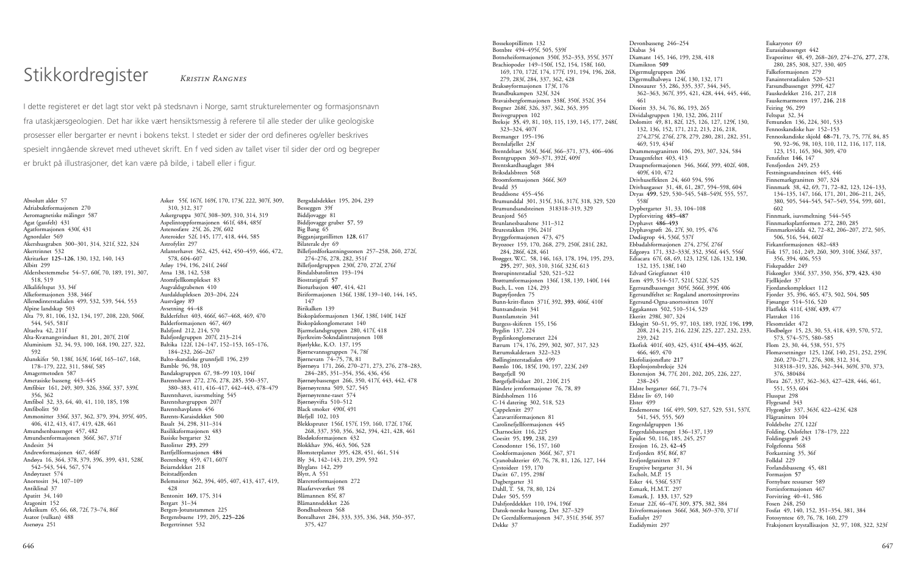Absolutt alder 57 Adriabuktformasjonen 270 Aeromagnetiske målinger 587 Agat (gassfelt) 431 Agatformasjonen 430f, 431 Agnordaler<sup>569</sup> Akershusgraben 300–301, 314, 321f, 322, 324 Akertrinnet 532 Akritarker **125–126**, 130, 132, 140, 143 Albitt 299 Aldersbestemmelse 54–57, 60f, 70, 189, 191, 307, 518, 519 Alkalifeltspat 33, 34f Alkeformasjonen 338, 346f Allerødinterstadialen 499, 532, 539, 544, 553 Alpine landskap 503 Alta 79, 81, 106, 132, 134, 197, 208, 220, 506f, 544, 545, 581f Altaelva 42, 211f Alta-Kvænangsvinduet 81, 201, 207f, 210f Aluminium 32, 34, 93, 100, 168, 190, 227, 322, 592 Alunskifer 50, 138f, 163f, 164f, 165–167, 168, 178–179, 222, 311, 584f, 585 Amagermetoden 587 Amerasiske basseng 443–445 Amfibier 161, 249, 309, 326, 336f, 337, 339f, 356, 362 Amfibol 32, 33, 64, 40, 41, 110, 185, 198 Amfibolitt 50 Ammonitter 336f, 337, 362, 379, 394, 395f, 405, 406, 412, 413, 417, 419, 428, 461 Amundsenbassenget 457, 482 Amundsenformasjonen 366f, 367, 371f Andesitt 34 Andrewformasjonen 467, 468f Andøya 16, 364, 378, 379, 396, 399, 431, 528f, 542–543, 544, 567, 574 Andøyraset 574 Anortositt 34, 107–109 Antiklinal 37 Apatitt 34, 140 Aragonitt 152 Arkeikum 65, 66, 68, 72f, 73–74, 86f Asator (vulkan) 488 Asenøya 251

Asker 55f, 167f, 169f, 170, 173f, 222, 307f, 309, 310, 312, 317 Askergruppa 307f, 308–309, 310, 314, 319 Aspelintoppformasjonen 461f, 484, 485f Astenosfære 25f, 26, 29f, 602 Asteroider 52f, 145, 177, 418, 444, 585 Astrofylitt 297 Atlanterhavet 362, 425, 442, 450–459, 466, 472, 578, 604–607 Atløy 194, 196, 241f, 246f Atna 138, 142, 538 Atomfjellkomplekset 83 Augvaldsgrabenen 410 Aurdaldupleksen 203–204, 224 Austvågøy 89 Avsetning 44–48 Balderfeltet 403, 466f, 467–468, 469, 470 Balderformasjonen 467, 469 Balsfjord 212, 214, 570 Balsfjordgruppen 207f, 213–214 Baltika 122f, 124–147, 152–153, 165–176, 184–232, 266–267 Balto-skandiske grunnfjell 196, 239 Bamble 96, 98, 103 Bandaksgruppen 67, 98–99 103, 104f Barentshavet 272, 276, 278, 285, 350–357, 380–383, 411, 416–417, 442–443, 478–479 Barentshavet, isavsmelting 545 Barentshavgruppen 207f Barentshavplaten 456 Barents-Karaisdekket 500 Basalt 34, 298, 311–314 Basilikaformasjonen 483 Basiske bergarter 32 Batolitter **293**, 299 Battfjellformasjonen **484** Beerenberg 459, 471, 607f Beiarndekket 218 Beitstadfjorden Belemnitter 362, 394, 405, 407, 413, 417, 419, 428 Bentonitt **169**, 175, 314 Bergart 31–34 Bergen-Jotunstammen 225 Bergensbuene 199, 205, **225–226** Bergertrinnet 532

Bergsdalsdekket 195, 204, 239 Besseggen 39f Biddjovagge 81 Biddjovagge gruber **57**, 59 Big Bang 65 Bigganjargatillitten **128**, 617 Bilaterale dyr 69 Billefjordforkastningssonen 257–258, 260, 272f, 274–276, 278, 282, 351f Billefjordgruppen 230f, 270, 272f, 276f Bindalsbatolitten 193–194 Biostratigrafi **57** Bioturbasjon **407**, 414, 421 Biriformasjonen 136f, 138f, 139–140, 144, 145, 147 Birikalken 139 Biskopåsformasjonen 136f, 138f, 140f, 142f Biskopåskonglomeratet 140 Bjarmelandsgruppen 280, 417f, 418 Bjerkreim-Sokndalintrusjonen 108 Bjørlykke, K.O. 137, 195 Bjørnevannsgruppen 74, 78f Bjørnevatn 74–75, 78, 81 Bjørnøya 171, 266, 270–271, 273, 276, 278–283, 284–285, 351–354, 356, 436, 456 Bjørnøybassenget 266, 350, 417f, 443, 442, 478 Bjørnøyrenna 509, 527, 545 Bjørnøyrenne-raset 574 Bjørnøyvifta 510–512 Black smoker 490f, 491 Blefjell 102, 103 Blekkspruter 156f, 157f, 159, 160, 172f, 176f, 268, 337, 350, 356, 362, 394, 421, 428, 461 Blodøksformasjonen 432 Blokkhav 396, 463, 506, 528 Blomsterplanter 395, 428, 451, 461, 514 Bly 34, 142–143, 219, 299, 592 Blyglans 142, 299 Blytt,  $A$  551 Blærerotformasjonen 272 Blaafarveværket 98 Blåmannen 85f, 87 Blåmannsdekket 226 Bondhusbreen 568 Borealhavet 284, 333, 335, 336, 348, 350–357, 375, 427

### Stikkordregister KRISTIN RANGNES

I dette registeret er det lagt stor vekt på stedsnavn i Norge, samt strukturelementer og formasjonsnavn fra utaskjærsgeologien. Det har ikke vært hensiktsmessig å referere til alle steder der ulike geologiske prosesser eller bergarter er nevnt i bokens tekst. I stedet er sider der ord defineres og/eller beskrives spesielt inngående skrevet med uthevet skrift. En f ved siden av tallet viser til sider der ord og begreper er brukt på illustrasjoner, det kan være på bilde, i tabell eller i figur.

Bossekoptillitten 132 Botnbre 494–495f, 505, 539f Botneheiformasjonen 350f, 352–353, 355f, 357f Brachiopoder 149–150f, 152, 154, 158f, 160, 169, 170, 172f, 174, 177f, 191, 194, 196, 268, 279, 283f, 284, 337, 362, 428 Braksøyformasjonen 173f, 176 Brandbukampen 323f, 324 Bravaisbergformasjonen 338f, 350f, 352f, 354 Bregner 268f, 326, 337, 362, 363, 395 Breivegruppen 102 Breksje **35**, 49, 81, 103, 115, 139, 145, 177, 248f, 323–324, 407f Bremanger 195–196 Brenslafjellet 23f Brentdeltaet 363f, 364f, 366–371, 373, 406–406 Brentgruppen 369–371, 392f, 409f Brentskardhauglaget 384 Briksdalsbreen 568 Broomformasjonen 366f, 369 Brudd 35 Bruddsone 455–456 Brumunddal 301, 315f, 316, 317f, 318, 329, 520 Brumundsandsteinen 318318–319, 329 Brunjord 565 Brunlanesbasaltene 311–312 Brurestakken 196, 241f Bryggeformasjonen 473, 475 Bryozoer 159, 170, 268, 279, 250f, 281f, 282, 284, 286f, 428, 461 Brøgger, W.C. 58, 146, 163, 178, 194, 195, 293, **295**, 297, 303, 310, 316f, 323f, 613 Brørupinterstadial 520, 521–522 Brøttumformasjonen 136f, 138, 139, 140f, 144 Buch, L. von 124, 293 Bugøyfjorden 75 Bunn-kritt-flaten 371f, 392, **393**, 406f, 410f Buntsandstein 341 Buntslamstein 341 Burgess-skiferen 155, 156 Bygdin 137, 224 Bygdinkonglomeratet 224 Bærum 174, 176, 299, 302, 307, 317, 323 Bærumskalderaen 322–323 Bøllinginterstadialen 499 Bømlo 106, 185f, 190, 197, 223f, 249 Børgefjell 90 Børgefjellviduet 201, 210f, 215 Båndete jernformasjoner 76, 78, 89 Bårdsholmen 116 C-14 datering 302, 518, 523 Cappelenitt 297 Čaravarriformasjonen 81 Carolinefjellformasjonen 445 Charnockitt 116, 225 Coesitt 95, **199**, 238, 239 Conodonter 156, 157, 160 Cookformasjonen 366f, 367, 371 Cyanobakterier 69, 76, 78, 81, 126, 127, 144 Cystoideer 159, 170 Dacitt 67, 195, 298f Dagbergarter 31 Dahll, T. 58, 78, 80, 124 Daler 505, 559 Dalsfjorddekket 110, 194, 196f Dansk-norske basseng, Det 327–329 De Geerdalformasjonen 347, 351f, 354f, 357 Dekke 37 Devonbasseng 246–254 Diabas 34 Diamant 145, 146, 199, 238, 418 Diamikton **509** Digermulgruppen 206 Digermulhalvøya 124f, 130, 132, 171 Dinosaurer 53, 286, 335, 337, 344, 345, 362–363, 367f, 395, 421, 428, 444, 445, 446, 461 Dioritt 33, 34, 76, 86, 193, 265 Dividalsgruppen 130, 132, 206, 211f Dolomitt 49, 81, 82f, 125, 126, 127, 129f, 130, 132, 136, 152, 171, 212, 213, 216, 218, 274,275f, 276f, 278, 279, 280, 281, 282, 351, 469, 519, 434f Drammensgranitten 106, 293, 307, 324, 584 Draugenfeltet 403, 413 Draupneformasjonen 346, 366f, 399, 402f, 408, 409f, 410, 472 Drivhuseffekten 24, 460 594, 596 Drivhusgasser 31, 48, 61, 287, 594–598, 604 Dryas **499**, 529, 530–545, 548–549f, 555, 557, 558f Dypbergarter 31, 33, 104–108 Dypforvitring **485–487** Dyphavet **486–493** Dyphavsgrøft 26, 27f, 30, 195, 476 Dødisgrop 44, 536f, 537f Ebbadalsformasjonen 274, 275f, 276f Edgeøya 171, 332–333f, 352, 356f, 445, 556f Ediacara 67f, 68, 69, 123, 125f, 126, 132, **130**, 132, 135, 138f, 140 Edvard Griegfunnet 410 Eem 499, 514–517, 521f, 522f, 525 Egersundbassenget 305f, 366f, 399f, 406 Egersundfeltet se: Rogaland anortosittprovins Egersund-Ogna-anortositten 107f Eggakanten 502, 510–514, 529 Ekeritt 298f, 307, 324 Eklogitt 50–51, 95, 97, 103, 189, 192f, 196, **199**, 208, 214, 215, 216, 223f, 225, 227, 232, 233, 239, 242 Ekofisk 401f, 403, 425, 431f, **434–435**, 462f, 466, 469, 470 Eksfoliasjonsflate **217** Eksplosjonsbreksje 324 Ekstensjon **34**, 77f, 201, 202, 205, 226, 227, 238–245 Eldste bergarter 66f, 71, 73–74 Eldste liv 69, 140 Elster 499 Endemorene 16f, 499, 509, 527, 529, 531, 537f, 541, 545, 555, 569 Engerdalgruppen 136 Engerdalsbassenget 136–137, 139 Epidot 50, 116, 185, 245, 257 Erosjon 16, 23, **42–45** Ersfjorden 85f, 86f, 87 Ersfjordgranitten 87 Eruptive bergarter 31, 34 Escholt, M.P. 15 Esker 44, 536f, 537f Esmark, H.M.T. 297 Esmark, J. **133**, 137, 529 Estuar 22f, 46–47f, 309, **375**, 382, 384 Etiveformasjonen 366f, 368, 369–370, 371f Eudialyt 297 Eudidymitt 297

Eukaryoter 69 Eurasiabassenget 442 Evaporitter 48, 49, 268–269, 274–276, **277**, 278, 280, 285, 308, 327, 330, 405 Falkeformasjonen 279 Fanainterstadialen 520–521 Farsundbassenget 399f, 427 Fauskedekket 216, 217, 218 Fauskemarmoren 197, **216**, 218 Feiring 96, 299 Feltspat 32, 34 Femunden 136, 224, 301, 533 Fennoskandiske hav 152–153 Fennoskandiske skjold **68–71**, 73, 75, 77f, 84, 85 90, 92–96, 98, 103, 110, 112, 116, 117, 118, 123, 151, 165, 304, 309, 470 Fensfeltet **146**, 147 Fensfjorden 249, 253 Festningssandsteinen 445, 446 Finnemarkgranitten 307, 324 Finnmark 38, 42, 69, 71, 72–82, 123, 124–133, 134–135, 147, 166, 171, 201, 206–211, 245, 380, 505, 544–545, 547–549, 554, 599, 601, 602 Finnmark, isavsmeltning 544–545 Finnmarksplattformen 272, 280, 285 Finnmarksvidda 42, 72–82, 206–207, 272, 505, 506, 516, 544, 602f Firkantformasjonen 482–483 Fisk 157, 161, 249, 260, 309, 310f, 336f, 337, 356, 394, 406, 553 Fiskepadder 249 Fiskeøgler 336f, 337, 350, 356, **379**, **423**, 430 Fjellkjeder 37 Fjordanekomplekset 112 Fjorder 35, 396, 465, 473, 502, 504, **505** Fjøsanger 514–516, 520 Flatflekk 411f, 438f, **439**, 477 Flatraket 116 Flesområdet 472 Flodbølger 15, 23, 30, 53, 418, 439, 570, 572, 573, 574–575, 580–585 Flom 23, 30, 44, 538, 551, 575 Flomavsetninger 125, 126f, 140, 251, 252, 259f, 260, 270–271, 276, 308, 312, 314, 318318–319, 326, 342–344, 369f, 370, 373, 376, 380484 Flora 267, 337, 362–363, 427–428, 446, 461, 551, 553, 604 Flusspat 298 Flygesand 343 Flygeøgler 337, 363f, 422–423f, 428 Flågranitten 104 Foldebelte 27f, 122f Folding, Oslofeltet 178–179, 222 Foldingsgrøft 243 Folgefonna 568 Forkastning 35, 36f Folldal 229 Forlandsbasseng 45, 481 Formasjon **57** Fornybare ressurser 589 Fortiesformasjonen 467 Forvitring 40–41, 586 Fosen 248, 250 Fosfat 49, 140, 152, 351–354, 381, 384 Fotosyntese 69, 76, 78, 160, 279 Fraksjonert krystallisasjon 32, 97, 108, 322, 323f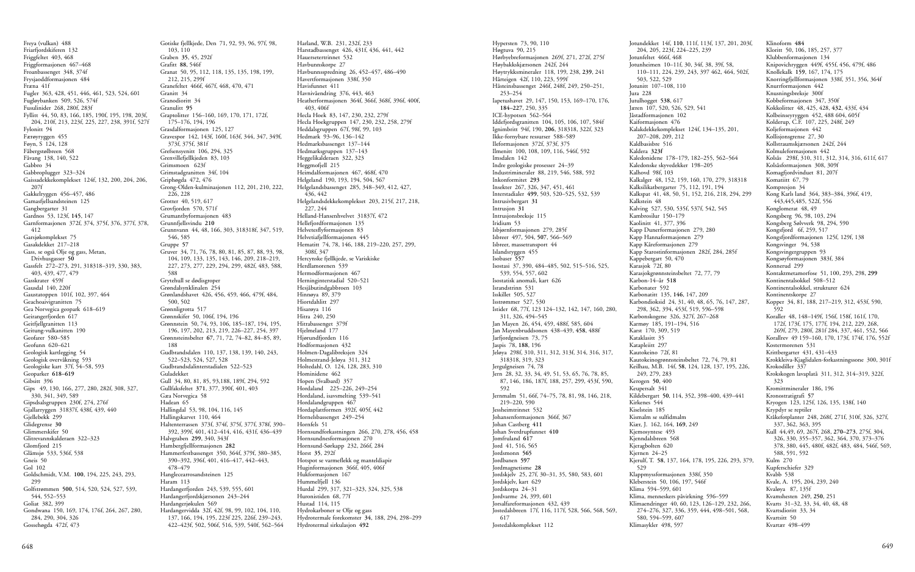Hypersten 73, 90, 110 Høgtuva 90, 215 Hørbyebreformasjonen 269f, 271, 272f, 275f Høybakkskjærsonen 242f, 244 Høytrykksmineraler 118, 199, 238, **239**, 241 Hårteigen 42f, 110, 223, 599f Håsteinsbassenget 246f, 248f, 249, 250–251, 253–254 Iapetushavet 29, 147, 150, 153, 169–170, 176, **184–227**, 250, 335 ICE-hypotsen 562–564 Iddefjordsgranitten 104, 105, 106, 107, 584f Ignimbritt 94f, 190, **206**, 318318, 322f, 323 Ikke-fornybare ressurser 588–589 Ileformasjonen 372f, 373f, 375 Ilmenitt 100, 108, 109, 116, 546f, 592 Imsdalen 142 Indre geologiske prosesser 24–39 Industrimineraler 88, 219, 546, 588, 592 Inkonformitet **293** Insekter 267, 326, 347, 451, 461 Interstadialer **499**, 503, 520–525, 532, 539 Intrusivbergart **31** Intrusjon **31** Intrusjonsbreksje 115 Iridium 53 Isbjørnformasjonen 279, 285f Isbreer 497, 504, **507**, 566–569 Isbreer, massetransport 44 Islandsryggen 455 Isobaser **557** Isostasi 37, 390, 484–485, 502, 515–516, 525, 539, 554, 557, 602 Isostatisk anomali, kart 626 Israndstrinn 531 Isskillet 505, 527 Isstrømmer 527, 530 Istider 68, 77f, 123 124–132, 142, 147, 160, 280, 311, 326, 494–545 Jan Mayen 26, 454, 459, 488f, 585, 604 Jan Mayenbruddsonen 438–439, **458**, 488f Jarfjordgneisen 73, 75 Jaspis 78, **188**, 196 Jeløya 298f, 310, 311, 312, 313f, 314, 316, 317, 318318, 319, 323 Jergulgneisen 74, 78 Jern 28, 32, 33, 34, 49, 51, 53, 65, 76, 78, 85, 87, 146, 186, 187f, 188, 257, 299, 453f, 590, 592 Jernmalm 51, 66f, 74–75, 78, 81, 98, 146, 218, 219–220, 590 Jessheimtrinnet 532 Johansenformasjonen 366f, 367 Johan Castberg **411** Johan Sverdrupfunnet **410** Jomfruland **617** Jord 41, 516, 565 Jordsmonn **565** Jordbanen **597** Jordmagnetisme **28** Jordskjelv 25, 27f, 30–31, 35, 580, 583, 601 Jordskjelv, kart 629 Jordskorpa 24–31 Jordvarme 24, 399, 601 Jorsalfareformasjonen 432, 439 Jostedalsbreen 17f, 116, 117f, 528, 566, 568, 569, 617 Jostedalskomplekset 112

Jotundekket 14f, **110**, 111f, 113f, 137, 201, 203f, 204, 205, 223f, 224–225, 239 Jotunfeltet 466f, 468 Jotunheimen 10–11f, 30, 34f, 38, 39f, 58, 110–111, 224, 239, 243, 397 462, 464, 502f, 503, 522, 529 Jotunitt 107–108, 110 Jura 228 Jutulhogget **538**, 617 Jæren 107, 520, 526, 529, 541 Jåstadformasjonen 102 Kaiformasjonen 476 Kalakdekkekomplekset 124f, 134–135, 201, 207–208, 209, 212 Kaldbasisbre 516 Kaldera **323f** Kaledonidene 178–179, 182–255, 562–564 Kaledonske skyvedekker 198–205 Kalhovd 98f, 103 Kalkalger 48, 152, 159, 160, 170, 279, 318318 Kalksilikatbergarter 75, 112, 191, 194 Kalkspat 41, 48, 50, 51, 152, 216, 218, 294, 299 Kalkstein 48 Kalving 527, 530, 535f, 537f, 542, 545 Kambrosilur 150–179 Kaolinitt 41, 377, 396 Kapp Dunerformasjonen 279, 280 Kapp Hannaformasjonen 279 Kapp Kåreformasjonen 279 Kapp Starostinformasjonen 282f, 284, 285f Kappebergart 50, 470 Karasjok 72f, 80 Karasjokgrønnsteinsbeltet 72, 77, 79 Karbon-14–år **518** Karbonater 592 Karbonatitt 135, **146**, 147, 209 Karbondioksid 24, 31, 40, 48, 65, 76, 147, 287, 298, 362, 394, 453f, 519, 596–598 Karbonskogene 326, 327f, 267–268 Karmøy 185, 191–194, 516 Karst 170, 309, 519 Kataklasitt 35 Katapleiitt 297 Kautokeino 72f, 81 Kautokeinogrønnsteinsbeltet 72, 74, 79, 81 Keilhau, M.B. 14f, **58**, 124, 128, 137, 195, 226, 249, 279, 283 Kerogen **50**, 400 Keupersalt 341 Kildebergart **50**, 114, 352, 398–400, 439–441 Kirkenes 544 Kiselstein 185 Kismalm se sulfidmalm Kiær, J. 162, 164, **169**, 249 Kjemosyntese 493 Kjenndalsbreen 568 Kjeragbolten 620 Kjernen 24–25 Kjerulf, T. **58**, 137, 164, 178, 195, 226, 293, 379, 529 Klappmyssformasjonen 338f, 350 Kleberstein 50, 106, 197, 546f Klima 594–599, 601 Klima, menneskers påvirkning 596–599 Klimaendringer 40, 60, 123, 126–129, 232, 266, 274–276, 327, 336, 359, 444, 498–501, 568, 580, 594–599, 607 Klimasykler 498, 597

Klinoform **484** Kloritt 50, 106, 185, 257, 377 Klubbenformasjonen 134 Knipovichryggen 449f, 455f, 456, 479f, 486 Knollekalk **159**, 167, 174, 175 Knorringfjellformasjonen 338f, 351, 356, 364f Knurrformasjonen 442 Knusningsbreksje 300f Kobbeformasjonen 347, 350f Kokkolitter 48, 425, 428, **432**, 433f, 434 Kolbeinseyryggen 452, 488 604, 605f Kolderup, C.F. 107, 225, 248f, 249 Koljeformasjonen 442 Kollisjonsgrense 27, 30 Kollstraumskjærsonen 242f, 244 Kolmuleformasjonen 442 Kolsås 298f, 310, 311, 312, 314, 316, 611f, 617 Kolsåsformasjonen 308, 309f Komagfjordvinduet 81, 207f Komatiitt 67, 79 Kompresjon 34 Kong Karls land 364, 383–384, 396f, 419, 443,445,485, 522f, 556 Konglomerat 48, 49 Kongsberg 96, 98, 103, 294 Kongsberg Sølvverk 98, 294, 590 Kongsfjord 6f, 259, 517 Kongsfjordformasjonen 125f, 129f, 138 Kongsvinger 94, 538 Kongsvingergruppen 93 Kongsøyformasjonen 383f, 384 Konnerud 299 Kontaktmetamorfose 51, 100, 293, 298, **299** Kontinentalsokkel 508–512 Kontinentalsokkel, strukturer 624 Kontinentskorpe 27 Kopper 34, 81, 188, 217–219, 312, 453f, 590, 592 Koraller 48, 148–149f, 156f, 158f, 161f, 170, 172f, 173f, 175, 177f, 194, 212, 229, 268, 269f, 279, 280f, 281f 284, 337, 461, 552, 566 Korallrev 49 159–160, 170, 173f, 174f, 176, 552f Kostermorenen 531 Krittbergarter 431, 431–433 Krokkleiva-Kjaglidalen-forkastningssone 300, 301f Krokodiller 337 Krokskogen lavaplatå 311, 312, 314–319, 322f, 323 Kromittmineraler 186, 196 Kronostratigrafi **57** Kryogen 123, 125f, 126, 135, 138f, 140 Krypdyr se reptiler Kråkefotplanter 248, 268f, 271f, 310f, 326, 327f, 337, 362, 363, 395 Kull 44,49, 69, 267f, 268, **270–273**, 275f, 304, 326, 330, 355–357, 362, 364, 370, 373–376 378, 380, 445, 480f, 482f, 483, 484, 546f, 569, 588, 591, 592 Kulm 270 Kupferschiefer 329 Kvabb 538 Kvale, A. 195, 204, 239, 240 Kvaløya 87, 135f Kvamshesten 249, **250**, 251 Kvarts 31–32, 33, 34, 40, 48, 48 Kvartsdioritt 33, 34 Kvartsitt 50 Kvartær 498–499

Freya (vulkan) 488 Friarfjordskiferen 132 Friggfeltet 403, 468 Friggformasjonen 467–468 Froanbassenget 348, 374f Frysjaoddformasjonen 484 Fræna 41f Fugler 363, 428, 451, 446, 461, 523, 524, 601 Fugløybanken 509, 526, 574f Fusulinider 268, 280f, 283f Fyllitt 44, 50, 83, 166, 185, 190f, 195, 198, 203f, 204, 210f, 213, 223f, 225, 227, 238, 391f, 527f Fylonitt 94 Færøyryggen 455 Føyn, S 124, 128 Fåbergstølbreen 568 Fåvang 138, 140, 522 Gabbro 34 Gabbroplugger 323–324 Gaissadekkekomplekset 124f, 132, 200, 204, 206, 207f Gakkelryggen 456–457, 486 Gamasfjellsandsteinen 125 Gangbergarter 31 Gardnos 53, 123f, **145**, 147 Garnformasjonen 372f, 374, 375f, 376, 377f, 378, 412 Garsjøkomplekset 75 Gasakdekket 217–218 Gass, se også Olje og gass, Metan, Drivhusgasser **50** Gassfelt 272–273, 291, 318318–319, 330, 383, 403, 439, 477, 479 Gasskrater 459f Gausdal 140, 220f Gaustatoppen 101f, 102, 397, 464 Geachoaivigranitten 75 Gea Norvegica geopark 618–619 Geirangerfjorden 617 Geitfjellgranitten 113 Geitung-vulkanitten 190 Geofarer 580–585 Geofunn 620–621 Geologisk kartlegging 54 Geologisk overvåkning 593 Geologiske kart 37f, 54–58, 593 Geoparker **618–619** Gibsitt 396 Gips 49, 130, 166, 277, 280, 282f, 308, 327, 330, 341, 349, 589 Gipsdsalsgruppen 230f, 274, 276f Gjallarryggen 31837f, 438f, 439, 440 Gjellebekk 299 Glidegrense **30** Glimmerskifer 50 Glitrevannskalderaen 322–323 Glomfjord 215 Glåmsjø 533, 536f, 538 Gneis 50 Gol 102 Goldschmidt, V.M. **100**, 194, 225, 243, 293, 299 Golfstrømmen **500**, 514, 520, 524, 527, 539, 544, 552–553 Goliat 382, 399 Gondwana 150, 169, 174, 176f, 264, 267, 280, 284, 290, 304, 326 Gossehøgda 472f, 473

Gotiske fjellkjede, Den 71, 92, 93, 96, 97f, 98, 103, 110 Graben **35**, 45, 292f Grafitt **88**, 546f Granat 50, 95, 112, 118, 135, 135, 198, 199, 212, 215, 299f Granefeltet 466f, 467f, 468, 470, 471 Granitt 34 Granodioritt 34 Granulitt **95** Graptolitter 156–160, 169, 170, 171, 172f, 175–176, 194, 196 Grasdalformasjonen 125, 127 Gravespor 142, 143f, 160f, 163f, 344, 347, 349f, 373f, 375f, 381f Grefsensyenitt 106, 294, 325 Grenvillefjellkjeden 83, 103 Grimsmoen 623f Grimstadgranitten 34f, 104 Griphøgda 472, 476 Grong-Olden-kulminasjonen 112, 201, 210, 222, 226, 228 Grotter 40, 519, 617 Grovfjorden 570, 571f Grumantbyformasjonen 483 Grunnfjellsvindu **210** Grunnvann 44, 48, 166, 303, 318318f, 347, 519, 546, 585 Gruppe **57** Gruver 34, 71, 76, 78, 80, 81, 85, 87, 88, 93, 98, 104, 109, 133, 135, 143, 146, 209, 218–219, 227, 273, 277, 229, 294, 299, 482f, 483, 588, 588 Grytehull se dødisgroper Grøndalsynklinalen 254 Grønlandshavet 426, 456, 459, 466, 479f, 484, 500, 502 Grønnligrotta 517 Grønnskifer 50, 106f, 194, 196 Grønnstein 50, 74, 93, 106, 185–187, 194, 195, 196, 197, 202, 213, 219, 226–227, 254, 397 Grønnsteinsbelter **67**, 71, 72, 74–82, 84–85, 89, 188 Gudbrandsdalen 110, 137, 138, 139, 140, 243, 522–523, 524, 527, 528 Gudbrandsdalinterstadialen 522–523 Guladekket Gull 34, 80, 81, 85, 93,188, 189f, 294, 592 Gullfaksfeltet **371**, 377, 390f, 401, 403 Gæa Norvegica 58 Hadean 65 Hallingdal 53, 98, 104, 116, 145 Hallingskarvet 110, 464 Haltenterrassen 373f, 374f, 375f, 377f, 378f, 390– 392, 399f, 401, 412–414, 416, 431f, 436–439 Halvgraben **299**, 340, 343f Hambergfjellformasjonen **282** Hammerfestbassenget 350, 364f, 379f, 380–385, 390–392, 396f, 401, 416–417, 442–443, 478–479 Hanglecearrosandsteinen 125 Haram 113 Hardangerfjorden 243, 539, 555, 601 Hardangerfjordskjærsonen 243–244 Hardangerjøkulen 569 Hardangervidda 32f, 42f, 98, 99, 102, 104, 110, 137, 166, 194, 195, 223f 225, 226f, 239–243, 422–423f, 502, 506f, 516, 539, 540f, 562–564

Harland, W.B. 231, 232f, 233 Harstadbassenget 426, 431f, 436, 441, 442 Hauersetertrinnet 532 Havbunnskorpe 27 Havbunnsspredning 26, 452–457, 486–490 Havertformasjonen 338f, 350 Havisfunnet 411 Havnivåendring 376, 443, 463 Heatherformasjonen 364f, 366f, 368f, 396f, 400f, 403, 406f Hecla Hoek 83, 147, 230, 232, 279f Hecla Hoekgruppen 147, 230, 232, 258, 279f Heddalsgruppen 67f, 98f, 99, 103 Hedmark 93–96, 136–142 Hedmarksbassenget 137–144 Hedmarksgruppen 137–143 Heggelikalderaen 322, 323 Heggmofjell 215 Heimdalformasjonen 467, 468f, 470 Helgeland 190, 193, 194, 504, 567 Helgelandsbassenget 285, 348–349, 412, 427, 436, 442 Helgelandsdekkekomplekset 203, 215f, 217, 218, 227, 244 Helland-Hansenhvelvet 31837f, 472 Hellefjordformasjonen 135 Helvetesflyformasjonen 83 Helvetiafjellformasjonen 445 Hematitt 74, 78, 146, 188, 219-220, 257, 299, 308f, 347 Hercynske fjellkjede, se Variskiske Herdlamorenen 539 Hermodformasjonen 467 Herninginterstadial 520–521 Hesjåbutindgabbroen 103 Hinnøya 89, 379 Hiortdahlitt 297 Hisarøya 116 Hitra 240, 250 Hitrabassenget 379f Hjelmeland 177 Hjørundfjorden 116 Hodformasjonen 432 Holmen-Dagalibreksjen 324 Holmestrand-Jeløya 311, 312 Holtedahl, O. 124, 128, 283, 310 Hominidene 462 Hopen (Svalbard) 357 Hordaland 225–226, 249–254 Hordaland, isavsmelting 539–541 Hordalandgruppen 467 Hordaplattformen 392f, 405f, 442 Hornelsbassenget 249–254 Hornfels 51 Hornsundforkastningen 266, 270, 278, 456, 458 Hornsundnesformasjonen 270 Hornsund-Sørkapp 232, 266f, 284 Horst **35**, 292f Hotspot se varmeflekk og manteldiapir Huginformasjonen 366f, 405, 406f Hukformasjonen 167 Hummelfjell 136 Hurdal 299, 317, 321–323, 324, 325, 538 Huronistiden 68, 77f Hustad 114, 115 Hydrokarboner se Olje og gass Hydrotermale forekomster **34**, 188, 294, 298–299 Hydrotermal sirkulasjon **492**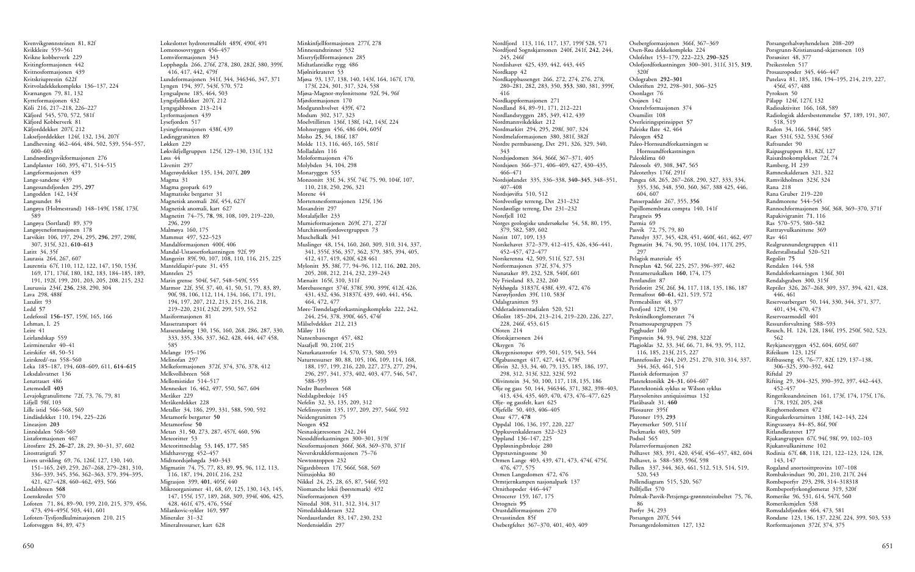Kvenvikgrønnsteinen 81, 82f Kvikkleire 559–561 Kvikne kobberverk 229 Kvitingformasjonen 442 Kvitnosformasjonen 439 Kvitskriuprestin 622f Kvitvoladekkekompleks 136–137, 224 Kvænangen 79, 81, 132 Kyrreformasjonen 432 Köli 216, 217–218, 226–227 Kåfjord 545, 570, 572, 581f Kåfjord Kobberverk 81 Kåfjorddekket 207f, 212 Laksefjorddekket 124f, 132, 134, 207f Landhevning 462–464, 484, 502, 539, 554–557, 600–603 Landnørdingsvikformasjonen 276 Landplanter 160, 395, 471, 514–515 Langeformasjonen 439 Lange-sandene 439 Langesundsfjorden 295, **297** Langodden 142, 143f Langsundet 84 Langøya (Holmestrand) 148–149f, 158f, 173f, 589 Langøya (Sortland) 89, 379 Langøyeneformasjonen 178 Larvikitt 106, 197, 294, 295, **296**, 297, 298f, 307, 315f, 321, **610–613** Latitt 34, 35f Laurasia 264, 267, 607 Laurentia 67f, 110, 112, 122, 147, 150, 153f, 169, 171, 176f, 180, 182, 183, 184–185, 189, 191, 192f, 199, 201, 203, 205, 208, 215, 232 Laurussia 234f, **236**, 238, 290, 304 Lava 298, 488f Lazulitt 93 Ledd **57** Ledefossil **156–157**, 159f, 165, 166 Lehman, I. 25 Leire 41 Leirlandskap 559 Leirmineraler 40–41 Leirskifer 48, 50–51 Leirskred/-ras 558–560 Leka 185–187, 194, 608–609, 611, **614–615** Leksdalsvatnet 136 Lenatrauet 486 Letemodell **403** Levajokgranulittene 72f, 73, 76, 79, 81 Lifiell 98f, 103 Lille istid 566–568, 569 Lindåsdekket 110, 194, 225–226 Lineasjon **203** Linnèdalen 568–569 Listaformasjonen 467 Litosfære **25**, **26–27**, 28, 29, 30–31, 37, 602 Litostratigrafi **57** Livets utvikling 69, 76, 126f, 127, 130, 140, 151–165, 249, 259, 267–268, 279–281, 310, 336–339, 345, 356, 362–363, 379, 394–395, 421, 427–428, 460–462, 493, 566 Lodalsbreen **568** Loenskredet 570 Lofoten 71, 84, 89–90, 199, 210, 215, 379, 456, 473, 494–495f, 503, 441, 601 Lofoten-Tysfjordkulminasjonen 210, 215 Lofotveggen 84, 89, 473

Lokeslottet hydrotermalfelt 489f, 490f, 491 Lomonosovryggen 456–457 Lomviformasjonen 343 Lopphøgda 266, 276f, 278, 280, 282f, 380, 399f, 416, 417, 442, 479f Lundeformasjonen 341f, 344, 346346, 347, 371 Lyngen 194, 397, 543f, 570, 572 Lyngsalpene 185, 464, 503 Lyngsfjelldekket 207f, 212 Lyngsgabbroen 213–214 Lyrformasjonen 439 Lysefjorden 517 Lysingformasjonen 438f, 439 Lødinggranitten 89 Løkken 229 Løkvikfjellgruppen 125f, 129–130, 131f, 132 Løss 44 Låvenitt 297 Magerøydekket 135, 134, 207f, **209** Magma 31 Magma geopark 619 Magmatiske bergarter 31 Magnetisk anomali 26f, 454, 627f Magnetisk anomali, kart 627 Magnetitt 74–75, **78**, 98, 108, 109, 219–220, 296, 299 Malmøya 160, 175 Mammut 497, 522–523 Mandalformasjonen 400f, 406 Mandal-Ustaosetforkastningen 92f, 99 Mangeritt 89f, 90, 107, 108, 110, 116, 215, 225 Manteldiapir/-pute 31, 455 Mantelen<sup>25</sup> Marin grense 504f, 547, 548–549f, 555 Marmor 22f, 35f, 37, 40, 41, 50, 51, 79, 83, 89, 90f, 98, 106, 112, 114, 134, 166, 171, 191, 194, 197, 207, 212, 213, 215, 216, 218, 219–220, 231f, 232f, 299, 519, 552 Masiformasjonen 81 Massetransport 44 Masseutdøing 130, 156, 160, 268, 286, 287, 330, 333, 335, 336, 337, 362, 428, 444, 447 458, 585 Melange 195–196 Melinofan 297 Melkeformasjonen 372f, 374, 376, 378, 412 Melkvollsbreen 568 Mellomistider 514–517 Mennesket 16, 462, 497, 550, 567, 604 Meråker 229 Meråkerdekket 228 Metaller 34, 186, 299, 331, 588, 590, 592 Metamorfe bergarter **50** Metamorfose **50** Metan 31, **50**, 273, 287, 457f, 460, 596 Meteoritter 53 Meteorittnedslag 53, **145**, **177**, 585 Midthavsrygg 452–457 Midtnordsjøhøgda 340–343 Migmatitt 74, 75, 77, 83, 89, **95**, 96, 112, 113, 116, 187, 194, 201f, 216, 232 Migrasjon 399, **401**, 405f, 440 Mikroorganismer 41, 68, 69, 125, 130, 143, 145, 147, 155f, 157, 189, 268, 309, 394f, 406, 425, 428, 461f, 475, 476, 556f Milankovic-sykler 169, **597** Mineraler 31–32 Mineralressurser, kart 628

Minkinfjellformasjonen 277f, 278 Minnesundtrinnet 532 Miseryfjellformasjonen 285 Midtatlantidke rygg 486 Mjølnirkrateret 53 Mjøsa 93, 137, 138, 140, 143f, 164, 167f, 170, 173f, 224, 301, 317, 324, 538 Mjøsa-Magnor-mylonittsone 92f, 94, 96f Mjøsformasjonen 170 Modgunnhvelvet 439f, 472 Modum 302, 317, 323 Moelvtillitten 136f, 138f, 142, 143f, 224 Mohnsryggen 456, 486 604, 605f Moho **25**, 34, 186f, 187 Molde 113, 116, 465, 165, 581f Molladalen 116 Moloformasjonen 476 Molybden 34, 104, 298 Monaryggen 535 Monzonitt 33f, 34, 35f, 74f, 75, 90, 104f, 107, 110, 218, 250, 296, 321 Morene 44 Mortensnesformasjonen 125f, 136 Mosandritt 297 Motalafiellet 233 Mumieformasjonen 269f, 271, 272f Murchinsonfjordovergruppen 73 Muschelkalk 341 Muslinger 48, 154, 160, 260, 309, 310, 314, 337, 341, 355f, 356, 357, 362, 379, 385, 394, 405, 412, 417, 419, 420f, 428 461 Mylonitt **35**, 38f, 77, 94–96, 112, 116, **202**, 203, 205, 208, 212, 214, 232, 239–243 Mænaitt 165f, 310, 311f Mørebassenget 374f, 378f, 390, 399f, 412f, 426, 431, 432, 436, 31837f, 439, 440, 441, 456, 464, 472, 477 Møre-Trøndelagsforkastningskompleks 222, 242, 244, 254, 378, 390f, 465, 474f Målselvdekket 212, 213 Måløy 116 Nansenbassenget 457, 482 Nasafjell 90, 210f, 215 Naturkatastrofer 14, 570, 573, 580, 593 Naturressurser 80, 88, 105, 106, 109, 114, 168, 188, 197, 199, 216, 220, 227, 273, 277, 294, 296, 297, 341, 373, 402, 403, 477, 546, 547, 588–593 Nedre Buerbreen 568 Nedslagsbreksje 145 Nefelin 32, 33, 135, 209, 312 Nefelinsyenitt 135, 197, 209, 297, 546f, 592 Neidengranitten 75 Neogen **452** Nesnaskjæresonen 242, 244 Nesoddforkastningen 300–301, 319f Nessformasjonen 366f, 368, 369–370, 371f Neverskrukkformasjonen 75–76 Newtontoppen 232 Nigardsbreen 17f, 566f, 568, 569 Niitusjohka 80 Nikkel 24, 25, 28, 65, 87, 546f, 592 Niomanche lokii (børstemark) 492 Niseformasjonen 439 Nittedal 308, 311, 312, 314, 317 Nittedalskalderaen 322 Nordaustlandet 83, 147, 230, 232 Nordensiøldin 297

Nordfjord 113, 116, 117, 137, 199f 528, 571 Nordfjord Sognskjærsonen 240f, 241f, **242**, 244,  $245, 246f$ Nordishavet 425, 439, 442, 443, 445 Nordkapp 42 Nordkappbassenget 266, 272, 274, 276, 278, 280–281, 282, 283, 350, **353**, 380, 381, 399f, 416 Nordkappformasjonen 271 Nordland 84, 89-91, 171, 212-221 Nordlandsryggen 285, 349, 412, 439 Nordmannvikdekket 212 Nordmarkitt 294, 295, 298f, 307, 324 Nordmelaformasjonen 380, 381f, 382f Nordre permbasseng, Det 291, 326, 329, 340, 343 Nordsjødomen 364, 366f, 367–371, 405 Nordsjøen 366–371, 406–409, 427, 430–435, 466–471 Nordsjølandet 335, 336–338, **340–345**, 348–351, 407–408 Nordsjøvifta 510, 512 Nordvestlige terreng, Det 231–232 Nordøstlige terreng, Det 231–232 Norefiell 102 Norges geologiske undersøkelse 54, 58, 80, 195, 379, 582, 589, 602 Noritt 107, 109, 133 Norskehavet 372–379, 412–415, 426, 436–441, 452–457, 472–477 Norskerenna 42, 509, 511f, 527, 531 Notformasjonen 372f, 374, 375 Nunataker 89, 232, 528, 540f, 601 Ny Friesland 83, 232, 260 Nykhøgda 31837f, 438f, 439, 472, 476 Nærøyfjorden 39f, 110, 583f Odalsgranitten 93 Odderadeinterstadialen 520, 521 Ofiolitt 185–204, 213–214, 219–220, 226, 227, 228, 246f, 453, 615 Ofoten 214 Ofotskjærsonen 244 Oksygen 76 Oksygenisotoper 499, 501, 519, 543, 544 Olgabassenget 417, 427, 442, 479f Olivin 32, 33, 34, 40, 79, 135, 185, 186, 197, 298, 312, 313f, 322, 323f, 592 Olivinstein 34, 50, 100, 117, 118, 135, 186 Olje og gass 50, 144, 346346, 371, 382, 398–403, 413, 434, 435, 469, 470, 473, 476–477, 625 Olje- og gassfelt, kart 625 Oljefelle 50, 403, 406–405 Ooze 477, **478** Oppdal 106, 136, 197, 220, 227 Oppkuvenkalderaen 322–323 Oppland 136–147, 225 Oppløsningsbreksje 280 Oppstuvningssone 30 Ormen Lange 403, 439, 471, 473, 474f, 475f, 476, 477, 575 Ormen Langedomen 472, 476 Ormtjernkampen nasjonalpark 137 Ornithopoder 446–447 Ortocerer 159, 167, 175 Ortogneis **95** Orustdalformasjonen 270 Orvasstinden 85f Osebergfeltet 367–370, 401, 403, 409 Osebergformasjonen 366f, 367–369 Osen-Røa dekkekompleks 224 Oslofeltet 153–179, 222–223, **290–325** Oslofjordforkastningen 300–301, 311f, 315, **319**, 320f Oslograben **292–301** Osloriften 292, 298–301, 306–325 Osonlaget 76 Ossjøen 142 Osterelvformasjonen 374 Osumilitt 108 Overleiringsprinsippet **57** Paleiske flate 42, 464 Paleogen **452** Paleo-Hornsundforkastningen se Hornsundforkastningen Paleoklima 60 Paleosols 49, 308, **347**, 565 Paleotethys 176f, 291f Pangea 68, 265, 267–268, 290, 327, 333, 334, 335, 336, 348, 350, 360, 367, 388 425, 446, 604, 607 Panserpadder 267, 355, **356** Papillomembrata compta 140, 141f Paragneis **95** Parmia 69 Pasvik 72, 75, 79, 80 Pattedyr 337, 345, 428, 451, 460f, 461, 462, 497 Pegmatitt **34**, 74, 90, 95, 103f, 104, 117f, 295,  $297$ Pelagisk materiale 45 Peneplan **42**, 56f, 225, 257, 396–397, 462 Pentameruskalken **160**, 174, 175 Pentlanditt 87 Peridotitt 25f, 26f, **34**, 117, 118, 135, 186, 187 Permafrost **60–61**, 421, 519, 572 Permeabilitet 48, 377 Persfjord 129f, 130 Pesktindkonglomeratet 74 Petsamosupergruppen 75 Pigghuder 160 Pimpstein **34**, 93, 94f, 298, 322f Plagioklas 32, 33, 34f, 66, 71, 84, 93, 95, 112, 116, 185, 213f, 215, 227 Plantefossiler 244, 249, 251, 270, 310, 314, 337, 344, 363, 461, 514 Plastisk deformasjon 37 Platetektonikk **24–31**, 604–607 Platetektonisk syklus se Wilson syklus Platysolenites antiquissimus 132 Platåbasalt 31, **460** Pliosaurer 395f Plutoner 193, **293** Pløyemerker 509, 511f Pockmarks 403, 509 Podsol 565 Polarrevformasjonen 282 Polhavet 383, 391, 420, 454f, 456–457, 482, 604 Polhavet, is 588–589, 596f, 598 Pollen 337, 344, 363, 461, 512, 513, 514, 519, 520, 543 Pollendiagram 515, 520, 567 Pollfiellet 570 Polmak-Pasvik-Petsjenga-grønnsteinsbeltet 75, 76, 86 Porfyr 34, 293 Porsangen 207f, 544 Porsangerdolomitten 127, 132

Porsangerhalvøyhendelsen 208–209 Porsgrunn-Kristiansand-skjærsonen 103 Porsøsitet 48, 377 Preikestolen 517 Prosauropoder 345, 446–447 Putelava 81, 185, 186, 194–195, 214, 219, 227, 456f, 457, 488 Pyroksen 50 Pålapp 124f, 127f, 132 Radioaktivitet 166, 168, 589 Radiologisk aldersbestemmelse **57**, 189, 191, 307, 518, 519 Radon 34, 166, 584f, 585 Raet 531f, 532, 533f, 536f Raftsundet 90 Raipasgruppen 81, 82f, 127 Raisædnokomplekset 72f, 74 Ramberg, H 239 Ramneskalderaen 321, 322 Ramvikholmen 323f, 324 Rana 218 Rana Gruber 219–220 Randmorene 544–545 Rannochformasjonen 36f, 368, 369–370, 371f Rapakivigranitt **71**, 116 Ras 570–575, 580–582 Rattrayvulkanittene 369 Rav 461 Realgrunnundergruppen 411 Rederstallstadial 520–521 Regolitt **75** Rendalen 144, 538 Rendalsforkastningen 136f, 301 Rendalsgraben 300, 315f Reptiler 326, 267–268, 309, 337, 394, 421, 428, 446, 461 Reservoarbergart 50, 144, 330, 344, 371, 377, 401, 434, 470, 473 Reservoarmodell 401 Ressursforvaltning 588–593 Reusch, H. 124, 128, 184f, 195, 250f, 502, 523, 562 Reykjanesryggen 452, 604, 605f, 607 Rifeikum 123, 125f Riftbasseng 45, 76–77, 82f, 129, 137–138, 306–325, 390–392, 442 Riftdal 29 Rifting 29, 304–325, 390–392, 397, 442–443, 452–457 Ringerikssandsteinen 161, 173f, 174, 175f, 176, 178, 192f, 205, 248 Ringhornedomen 472 Ringsakerkvartsitten 138f, 142–143, 224 Ringvassøya 84–85, 86f, 90f Ritlandkrateret **177** Rjukangruppen 67f, 94f, 98f, 99, 102–103 Rjukanvulkanittene 102 Rodinia 67f, **68**, 118, 121, 122–123, 124, 128, 143, 147 Rogaland anortosittprovins 107–108 Rombakvinduet 90, 201, 210, 217f, 244 Rombeporfyr 293, 298, 314–318318 Rombeporfyrkonglomerat 319, 320f Romerike 96, 531, 614, 547f, 560 Romeriksmjelen 538 Romsdalsfjorden 464, 473, 581 Rondane 123, 136, 137, 223f, 224, 399, 503, 533 Rorformasjonen 372f, 374, 375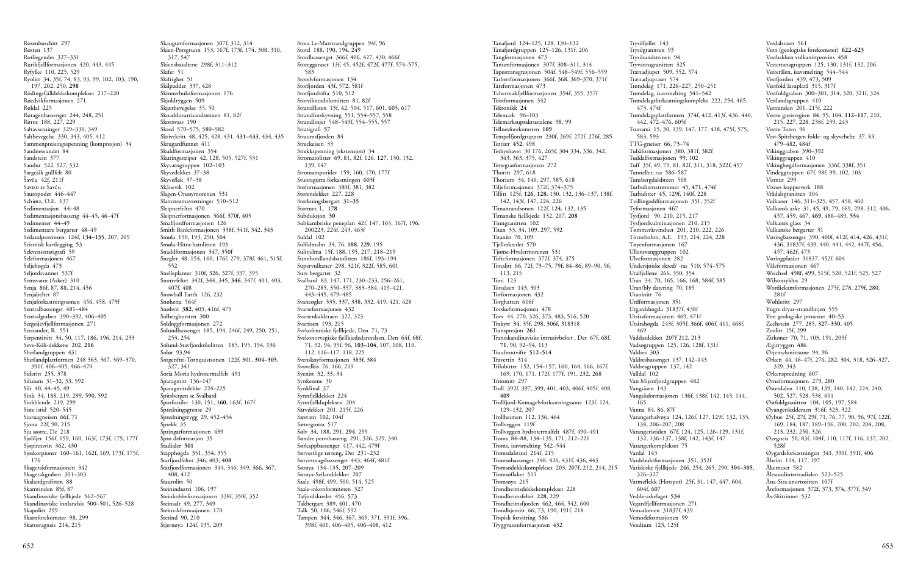Tanafjord 124–125, 128, 130–132 Tanafjordgruppen 125–126, 131f, 206 Tangformasjonen 473 Tanumformasjonen 307f, 308–311, 314 Tapestransgresjonen 504f, 548–549f, 556–559 Tarbertformasjonen 366f, 368, 369–370, 371f Tareformasjonen 473 Tchermakfjellformasjonen 354f, 355, 357f Teistformasjonen 342 Tektonikk **24** Telemark 96–103 Telemarksuprakrustalene 98, 99 Tellnesforekomsten **109** Tempelfjordgruppen 230f, 269f, 272f, 276f, 285 Tertiær **452**, 498 Tethyshavet 30 176, 265f, 304 334, 336, 342, 343, 363, 375, 427 Tettegrasformasjonen 272 Thoritt 297, 618 Thorium 34, 146, 297, 585, 618 Tiljeformasjonen 372f, 374–375 Tillitt 125f, **126**, **128**, 130, 132, 136–137, 138f, 142, 143f, 147, 224, 226 Timanrandsonen 122f, **124**, 132, 135 Timanske fjellkjede 132, 207, **208** Tinngranitten 102 Titan 33, 34, 109, 297, 592 Titanitt 70, 109 Tjelleskredet 570 Tjøme-Hvalermorenen 531 Tofteformasjonen 372f, 374, 375 Tonalitt 66, 72f, 73–75, 79f, 84–86, 89–90, 96, 113, 215 Toni 123 Tonsåsen 143, 303 Torformasjonen 432 Torghatten 616f Torskeformasjonen 478 Torv 44, 270, 326, 373, 483, 516, 520 Trakytt **34**, 35f, 298, 306f, 318318 Transpresjon **261** Transskandinaviske intrusivbeltet , Det 67f, 68f, **71**, 90, 92–94, 113 Traufrontvifte **512–514** Travertin 314 Trilobitter 152, 154–157, 160, 164, 166, 167f, 169, 170, 171, 172f, 177f, 191, 232, 268 Tritomitt 297 Troll 392f, 397, 399, 401, 403, 406f, 405f, 408, **409** Trollfjord-Komagelvforkastningssone 123f, 124, 129–132, 207 Trollheimen 112, 136, 464 Trollveggen 119f Trollveggen hydrotermalfelt 487f, 490–491 Troms 84–88, 134–135, 171, 212–221 Troms, isavsmelting 542–544 Tromsdalstind 214f, 215 Tromsøbassenget 348, 426, 431f, 436, 443 Tromsødekkekomplekset 203, 207f, 212, 214, 215 Tromsøflaket 511 Tromsøya 215 Trondheimsdekkekomplekset 228 Trondheimsfeltet **228**, 229 Trondheimsfjorden 462, 464, 542, 600 Trondhjemitt 66, 73, 190, 191f, 218 Tropisk forvitring 586 Tryggvasonformasjonen 432 Trysilfjellet 143 Trysilgranitten 93 Trysilsandsteinen 94 Tryvannsgranitten 325 Trænadjupet 509, 552, 574 Trænadjupraset 574 Trøndelag 171, 226–227, 250–251 Trøndelag, isavsmelting 541–542 Trøndelagsforkastningskompleks 222, 254, 465, 473, 474f Trøndelagsplattformen 374f, 412, 413f, 436, 440, 442, 472–476, 605f Tsunami 15, 30, 139, 147, 177, 418, 475f, 575, 583, 593 TTG-gneiser 66, 73–74 Tubåformasjonen 380, 381f, 382f Tuddalformasjonen 99, 102 Tuff 35f, 49, 79, 81, 82f, 311, 318, 322f, 457 Tunneller, ras 586–587 Tunsbergdalsbreen 568 Turbiditetsstrømmer 45, **471**, 474f Turbiditter **45**, 129f, 140f, 228 Tvillingoddformasjonen 351, 352f Tyformasjonen 467 Tysfjord 90, 210, 215, 217 Tysfjordkulminasjonen 210, 215 Tømmeråsvinduet 201, 210, 222, 226 Törnebohm, A.E. 193, 214, 224, 228 Tøyenformasjonen 167 Ullensvanggruppen 102 Ulveformasjonen 282 Undersjøiske skred/ -ras 510, 574–575 Uralfjellene 266, 350, 354 Uran 34, 70, 165, 166, 168, 584f, 585 Uran/bly datering 70, 189 Uraninitt 76 Urdformasjonen 351 Utgardshøgda 31837f, 438f Utsiraformasjonen 469, 471f Utsirahøgda 243f, 305f, 366f, 406f, 411, 468f, 469 Vaddasdekket 207f 212, 213 Vadsøgruppen 125, 126, 128f, 131f Valdres 303 Valdresbassenget 137, 142–143 Valdresgruppen 137, 142 Valldal 102 Van Mijenfjordgruppen 482 Vangsåsen 143 Vangsåsformasjonen 136f, 138f, 142, 143, 144, 165 Vanna 84, 86, 87f Varangerhalvøya 124, 126f, 127, 129f, 132, 135, 138, 206–207, 208 Varangeristiden 67f, 124, 125, 126–129, 131f, 132, 136–137, 138f, 142, 143f, 147 Varangerkomplekset 75 Vardal 143 Vardebuktformasjonen 351, 352f Variskiske fjellkjede 246, 254, 265, 290, **304–305**, 326–327 Varmeflekk (Hotspot) 25f, 31, 147, 447, 604, 604f, 607 Vedde-askelaget **534** Vegardfjellformasjonen 271 Vemadomen 31837f, 439 Vemorkformasjonen 99 Vendium 123, 125f

Verdalsraset 561 Vern (geologiske forekomster) **622–623** Vestbakken vulkanittprovins 458 Vestertanagruppen 125, 130, 131f, 132, 206 Vesterålen, isavsmelting 544–544 Vestfjorden 439, 473, 509 Vestfold lavaplatå 315, 317f Vestfoldgraben 300–301, 314, 320, 321f, 324 Vestlandsgruppen 410 Vestranden 201, 215f, 222 Vestre gneisregion 84, 95, 104, **112–117**, 210, 215, 227, 228, 238f, 239, 243 Vestre Toten 96 Vest-Spitsbergen folde- og skyvebelte 37, 83, 479–482, 484f Vikinggraben 390–392 Vikinggruppen 410 Vikinghøgdformasjonen 336f, 338f, 351 Vindeggruppen 67f, 98f, 99, 102, 103 Vismut 299 Visnes kopperverk 188 Vrådalsgranitten 104 Vulkaner 146, 311–325, 457, 458, 460 Vulkansk aske 31, 45, 49, 79, 169, 298, 312, 406, 457, 459, 467, **469**, 486–489, **534** Vulkansk glass 34 Vulkanske bergarter 31 Vøringbassenget 390, 400f, 412f, 414, 426, 431f, 436, 31837f, 439, 440, 441, 442, 447f, 456, 457, 462f, 473 Vøringplatået 31837, 452f, 604 Våleformasjonen 467 Weichsel 498f, 499, 515f, 520, 521f, 525, 527 Wilsonsyklus 29 Wordiekamformasjonen 275f, 278, 279f, 280, 281f Wøhleritt 297 Yngre dryas-strandlinjen 555 Ytre geologiske prosesser 40–53 Zechstein 277, 285, **327–330**, 405 Zeolitt 15f, 299 Zirkoner 70, 71, 103, 191, 209f Ægirryggen 486 Ørjemylonittsone 94, 96 Ørken 44, 46–47f, 276, 282, 304, 318, 326–327, 329, 343 Ørkenspredning 607 Ørneformasjonen 279, 280 Østerdalen 110, 138, 139, 140, 142, 224, 240, 502, 527, 528, 538, 601 Østfoldgranitten 104, 105, 197, 584 Øyangenkalderaen 316f, 323, 322 Øybue 25f, 27f, 29f, 71, 76, 77, 90, 96, 97f, 122f, 169, 184, 187, 189–196, 200, 202, 204, 208, 213, 232, 250, 326 Øyegneis 50, 83f, 104f, 110, 117f, 116, 137, 202, 528f Øygardsforkastningen 341, 390f, 391f, 406 Åheim 114, 117, 197 Åkerneset 582 Ålesundinterstadialen 523–525 Åna-Sira-anortositten 107f Åreformasjonen 372f, 373, 374, 377f, 349 Ås-Skitrinnet 532

Rosenbuschitt 297 Rosten 137 Rotliegendes 327–331 Rurikfjellformasjonen 420, 443, 445 Ryfylke 110, 225, 529 Ryolitt 34, 35f, 74, 83, 93, 99, 102, 103, 190, 197, 202, 250, **298** Rödingsfjälldekkekomplekset 217–220 Røedvikformasjonen 271 Røldal 225 Røragenbassenget 244, 248, 251 Røros 188, 227, 229 Saltavsetninger 329–330, 349 Saltbevegelse 330, 343, 405, 412 Sammenpressingsspenning (kompresjon) 34 Sandnessundet 84 Sandstein 377 Sandur 522, 527, 532 Sargejåk gullfelt 80  $\check{S}$ avču 42f, 211f Savtso se Šavču Sauropoder 446–447 Schiøtz, O.E. 137 Sedimentasion 44–48 Sedimentasjonsbasseng 44–45, 46–47f Sedimenter 44–49 Sedimentære bergarter 48–49 Seilandprovinsen 124f, **134–135**, 207, 209 Seismisk kartlegging 53 Sekvensstratigrafi 59 Seleformasjonen 467 Seljehøgda 473 Seljordsvannet 537f Semsvann (Asker) 310 Senja 86f, 87, 88, 214, 456 Senjabeltet 87 Senjaforkastningssonen 456, 458, 479f Sentralbassenget 481–484 Sentralgraben 390–392, 406–405 Sergeijevfjellformasjonen 271 Sernander, R. 551 Serpentinitt 34, 50, 117, 186, 196, 214, 233 Seve-Köli-dekkene 202, **216** Shetlandgruppen 431 Shetlandplattformen 248 363, 367, 369–370, 391f, 406–405, 466–470 Sideritt 255, 378 Silisium 31–32, 33, 592 Silt 40, 44–45, 49 Sink 34, 188, 219, 299, 590, 592 Sinkblende 219, 299 Siste istid 520–545 Siuruagneisen 66f, 71 Sjona 22f, 90, 215 Sju søstre, De 218 Sjøliljer 156f, 159, 160, 163f, 173f, 175, 177f Sjøpinnsvin 362, 430 Sjøskorpioner 160–161, 162f, 169, 173f, 175f, 176 Skagerakformasjonen 342 Skagerakgraben 301–303 Skalandgrafitten 88 Skamtinden 85f, 87 Skandinaviske fjellkjede 562–567 Skandinaviske innlandsis 500–501, 526–528 Skapolitt 299 Skarnforekomster 98, 299 Skattøragneis 214, 215

Skaugumformasjonen 307f, 312, 314 Skien-Porsgrunn 153, 167f, 173f, 174, 308, 310, 317, 547 Skiensbasaltene 298f, 311–312 Skifer 51 Skifrighet 51 Skilpadder 337, 428 Skinnerbuktformasjonen 176 Skjoldryggen 509 Skjærbevegelse 35, 50 Skoadduvarrisandsteinen 81, 82f Skorovass 190 Skred 570–575, 580–582 Skrivekritt 48, 425, 428, 431, **431–433**, 434, 435 Skrugardfunnet 411 Skuldformasjonen 354 Skuringsstriper 42, 128, 505, 527f, 531 Skyvatngruppen 102–103 Skyvedekker 37–38 Skyveflak 37–38 Skånevik 102 Slagen-Onsøymorenen 531 Slamstrømavsetninger 510–512 Sleipnerfeltet 470 Sleipnerformasjonen 366f, 370f, 405 Smalfjordformasjonen 126 Smith Bankformasjonen 338f, 341f, 342, 343 Smøla 190, 193, 250, 504 Smøla-Hitra-batolitten 193 Snaddformasjonen 347, 350f Snegler 48, 154, 160, 176f, 279, 378f, 461, 515f, 552 Snelleplanter 310f, 326, 327f, 337, 395 Snorrefeltet 342f, 344, 345, **346**, 347f, 401, 403, 407f, 408 Snowball Earth 126, 232 Snøhetta 564f Snøhvit **382**, 403, 416f, 479 Solberghorsten 300 Soldoggformasjonen 272 Solundbassenget 185, 194, 246f, 249, 250, 251, 253, 254 Solund-Stavfjordofiolitten 185, 195, 194, 196 Solør 93,94 Sorgenfrei-Tornquistsonen 122f, 301, **304–305**, 327, 341 Soria Moria hydrotermalfelt 491 Sparagmitt 136–147 Sparagmittdekke 224–225 Spitsbergen se Svalbard Sporfossiler 130, 151, **160**, 163f, 167f Spredningsgrense 29 Spredningsrygg 29, 452–454 Sprekk 35 Springarformasjonen 439 Sprø deformasjon 35 Stadialer **501** Stapphøgda 351, 354, 355 Statfjordfeltet 346, 403, **408** Statfjordformasjonen 344, 346, 349, 366, 367, 408, 412 Staurolitt 50 Steinindustri 106, 197 Steinkobbeformasjonen 338f, 350f, 352 Steinsalt 49, 277, 349 Steinvikformasjonen 170 Stetind 90, 210 Stjernøya 124f, 135, 209

Stora Le-Marstrandgruppen 94f, 96 Stord 188, 190, 194, 249 Stordbassenget 366f, 406, 427, 430, 466f Storeggaraset 13f, 45, 452f, 472f, 477f, 574–575, 583 Storelvformasjonen 134 Storfjorden 43f, 572, 581f Storfjordvifta 510, 512 Storviknesdolomitten 81, 82f Strandflaten 13f, 42, 504, 517, 601, 603, 617 Strandforskyvning 551, 554–557, 558 Strandlinjer 548–549f, 554–555, 557 Stratigrafi **57** Straumsfjorden 84 Streckeisen 33 Strekkspenning (ekstensjon) 34 Stromatolitter 69, 81, 82f, 126, **127**, 130, 132, 139, 147 Stromatoporider 159, 160, 170, 177f Stuoragurra forkastningen 603f Støformasjonen 380f, 381, 382 Størendekket 227, 228 Størkningsbergart **31–35** Størmer, L. **178** Subduksjon **30** Subkambriske peneplan 42f, 147, 165, 167f, 196, 200223, 224f, 243, 463f Suldal 102 Sulfidmalm 34, 76, **188**, **229**, 195 Sulitjelma 15f, 188, 195, 217, 218–219 Sunnhordlandsbatolitten 186f, 193–194 Supervulkaner 298, 321f, 322f, 585, 601 Sure bergarter 32 Svalbard 83, 147, 171, 230–233, 256–261, 270–285, 350–357, 383–384, 419–421, 443–445, 479–485 Svaneøgler 335, 337, 338, 332, 419, 421, 428 Svarteformasjonen 432 Svartenkalderaen 322, 323 Svartisen 193, 215 Svekofenniske fjellkjede, Den 71, 73 Svekonorvegiske fjellkjededannelsen, Den 64f, 68f, 71, 92, 94, 95f, 96, **103–104**, 107, 108, 110, 112, 116–117, 118, 225 Svenskøyformasjonen 383f, 384 Svovelkis 76, 166, 219 Syenitt 32, 33, 34 Synkesone 30 Synklinal 37 Synnfjelldekket 224 Synnfjelldupleksen 204 Särvdekket 201, 215f, 226 Sæsvatn 102, 104f Sætergrotta 517 Sølv 34, 188, 291, **294**, 299 Søndre permbasseng 291, 326, 329, 340 Sørkappbassenget 417, 442, 479f Sørvestlige terreng, Det 231–232 Sørvestnagsbassenget 443, 464f, 481f Sørøya 134–135, 207–209 Sørøya-Seilanddekket 207 Saale 498f, 499, 500, 514, 525 Saale-inkonformiteten 327 Tafjordskredet 456, **573** Takbergart 389, 401, 470 Talk 50, 106, 546f, 592 Tampen 344, 346, 367, 369, 371, 391f, 396,

398f, 401, 406–405, 406–408, 412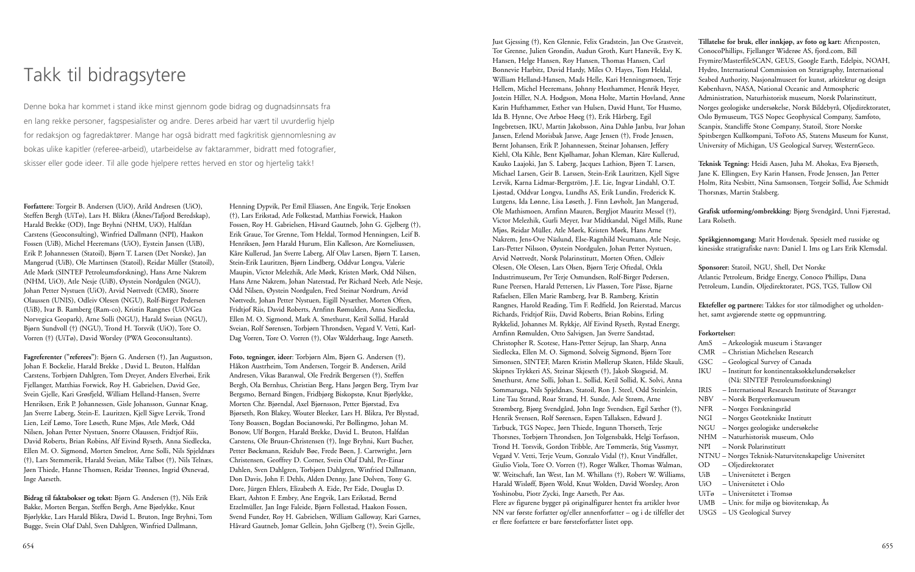**Forfattere**: Torgeir B. Andersen (UiO), Arild Andresen (UiO), Steffen Bergh (UiTø), Lars H. Blikra (Åknes/Tafjord Beredskap), Harald Brekke (OD), Inge Bryhni (NHM, UiO), Halfdan Carstens (Geoconsulting), Winfried Dallmann (NPI), Haakon Fossen (UiB), Michel Heeremans (UiO), Eystein Jansen (UiB), Erik P. Johannessen (Statoil), Bjørn T. Larsen (Det Norske), Jan Mangerud (UiB), Ole Martinsen (Statoil), Reidar Müller (Statoil), Atle Mørk (SINTEF Petroleumsforskning), Hans Arne Nakrem (NHM, UiO), Atle Nesje (UiB), Øystein Nordgulen (NGU), Johan Petter Nystuen (UiO), Arvid Nøttvedt (CMR), Snorre Olaussen (UNIS), Odleiv Olesen (NGU), Rolf-Birger Pedersen (UiB), Ivar B. Ramberg (Ram-co), Kristin Rangnes (UiO/Gea Norvegica Geopark), Arne Solli (NGU), Harald Sveian (NGU), Bjørn Sundvoll (†) (NGU), Trond H. Torsvik (UiO), Tore O. Vorren (†) (UiTø), David Worsley (PWA Geoconsultants).

**Fagreferenter ("referees")**: Bjørn G. Andersen (†), Jan Augustson, Johan F. Bockelie, Harald Brekke , David L. Bruton, Halfdan Carstens, Torbjørn Dahlgren, Tom Dreyer, Anders Elverhøi, Erik Fjellanger, Matthias Forwick, Roy H. Gabrielsen, David Gee, Svein Gjelle, Kari Grøsfjeld, William Helland-Hansen, Sverre Henriksen, Erik P. Johannessen, Gisle Johansson, Gunnar Knag, Jan Sverre Laberg, Stein-E. Lauritzen, Kjell Sigve Lervik, Trond Lien, Leif Lømo, Tore Løseth, Rune Mjøs, Atle Mørk, Odd Nilsen, Johan Petter Nystuen, Snorre Olaussen, Fridtjof Riis, David Roberts, Brian Robins, Alf Eivind Ryseth, Anna Siedlecka, Ellen M. O. Sigmond, Morten Smelror, Arne Solli, Nils Spjeldnæs (†), Lars Stemmerik, Harald Sveian, Mike Talbot (†), Nils Telnæs, Jørn Thiede, Hanne Thomsen, Reidar Trønnes, Ingrid Øxnevad, Inge Aarseth.

**Bidrag til faktabokser og tekst:** Bjørn G. Andersen (†), Nils Erik Bakke, Morten Bergan, Steffen Bergh, Arne Bjørlykke, Knut Bjørlykke, Lars Harald Blikra, David L. Bruton, Inge Bryhni, Tom Bugge, Svein Olaf Dahl, Sven Dahlgren, Winfried Dallmann,

Henning Dypvik, Per Emil Eliassen, Ane Engvik, Terje Enoksen (†), Lars Erikstad, Atle Folkestad, Matthias Forwick, Haakon Fossen, Roy H. Gabrielsen, Håvard Gautneb, John G. Gjelberg (†), Erik Graue, Tor Grenne, Tom Heldal, Tormod Henningsen, Leif B. Henriksen, Jørn Harald Hurum, Elin Kalleson, Are Korneliussen, Kåre Kullerud, Jan Sverre Laberg, Alf Olav Larsen, Bjørn T. Larsen, Stein-Erik Lauritzen, Bjørn Lindberg, Oddvar Longva, Valerie Maupin, Victor Melezhik, Atle Mørk, Kristen Mørk, Odd Nilsen, Hans Arne Nakrem, Johan Naterstad, Per Richard Neeb, Atle Nesje, Odd Nilsen, Øystein Nordgulen, Fred Steinar Nordrum, Arvid Nøttvedt, Johan Petter Nystuen, Eigill Nysæther, Morten Often, Fridtjof Riis, David Roberts, Arnfinn Rømulden, Anna Siedlecka, Ellen M. O. Sigmond, Mark A. Smethurst, Ketil Sollid, Harald Sveian, Rolf Sørensen, Torbjørn Throndsen, Vegard V. Vetti, Karl-Dag Vorren, Tore O. Vorren (†), Olav Walderhaug, Inge Aarseth.

**Foto, tegninger, ideer**: Torbjørn Alm, Bjørn G. Andersen (†), Håkon Austrheim, Tom Andersen, Torgeir B. Andersen, Arild Andresen, Vikas Baranwal, Ole Fredrik Bergersen (†), Steffen Bergh, Ola Bernhus, Christian Berg, Hans Jørgen Berg, Trym Ivar Bergsmo, Bernard Bingen, Fridbjørg Biskopstø, Knut Bjørlykke, Morten Chr. Bjørndal, Axel Bjørnsson, Petter Bjørstad, Eva Bjørseth, Ron Blakey, Wouter Bleeker, Lars H. Blikra, Per Blystad, Tony Boassen, Bogdan Bocianowski, Per Bollingmo, Johan M. Bonow, Ulf Borgen, Harald Brekke, David L. Bruton, Halfdan Carstens, Ole Bruun-Christensen (†), Inge Bryhni, Kurt Bucher, Petter Bøckmann, Reidulv Bøe, Frede Bøen, J. Cartwright, Jørn Christensen, Geoffrey D. Corner, Svein Olaf Dahl, Per-Einar Dahlen, Sven Dahlgren, Torbjørn Dahlgren, Winfried Dallmann, Don Davis, John F. Dehls, Alden Denny, Jane Dolven, Tony G. Dore, Jürgen Ehlers, Elizabeth A. Eide, Per Eide, Douglas D. Ekart, Ashton F. Embry, Ane Engvik, Lars Erikstad, Bernd Etzelmüller, Jan Inge Faleide, Bjørn Follestad, Haakon Fossen, Svend Funder, Roy H. Gabrielsen, William Galloway, Kari Garnes, Håvard Gautneb, Jomar Gellein, John Gjelberg (†), Svein Gjelle,

## Takk til bidragsytere

Denne boka har kommet i stand ikke minst gjennom gode bidrag og dugnadsinnsats fra en lang rekke personer, fagspesialister og andre. Deres arbeid har vært til uvurderlig hjelp for redaksjon og fagredaktører. Mange har også bidratt med fagkritisk gjennomlesning av bokas ulike kapitler (referee-arbeid), utarbeidelse av faktarammer, bidratt med fotografier, skisser eller gode ideer. Til alle gode hjelpere rettes herved en stor og hjertelig takk!

Just Gjessing (†), Ken Glennie, Felix Gradstein, Jan Ove Grastveit, Tor Grenne, Julien Grondin, Audun Groth, Kurt Hanevik, Evy K. Hansen, Helge Hansen, Roy Hansen, Thomas Hansen, Carl Bonnevie Harbitz, David Hardy, Miles O. Hayes, Tom Heldal, William Helland-Hansen, Mads Helle, Kari Henningsmoen, Terje Hellem, Michel Heeremans, Johnny Hesthammer, Henrik Heyer, Jostein Hiller, N.A. Hodgson, Mona Holte, Martin Hovland, Anne Karin Hufthammer, Esther van Hulsen, David Hunt, Tor Husmo, Ida B. Hynne, Ove Arboe Høeg (†), Erik Hårberg, Egil Ingebretsen, IKU, Martin Jakobsson, Aina Dahlø Janbu, Ivar Johan Jansen, Erlend Morisbak Jarsve, Aage Jensen (†), Frode Jenssen, Bernt Johansen, Erik P. Johannessen, Steinar Johansen, Jeffery Kiehl, Ola Kihle, Bent Kjølhamar, Johan Kleman, Kåre Kullerud, Kauko Laajoki, Jan S. Laberg, Jacques Lathion, Bjørn T. Larsen, Michael Larsen, Geir B. Larssen, Stein-Erik Lauritzen, Kjell Sigve Lervik, Karna Lidmar-Bergström, J.E. Lie, Ingvar Lindahl, O.T. Ljøstad, Oddvar Longva, Lundhs AS, Erik Lundin, Frederick K. Lutgens, Ida Lønne, Lisa Løseth, J. Finn Løvholt, Jan Mangerud, Ole Mathismoen, Arnfinn Mauren, Bergljot Mauritz Messel (†), Victor Melezhik, Gurli Meyer, Ivar Midtkandal, Nigel Mills, Rune Mjøs, Reidar Müller, Atle Mørk, Kristen Mørk, Hans Arne Nakrem, Jens-Ove Näslund, Else-Ragnhild Neumann, Atle Nesje, Lars-Petter Nilsson, Øystein Nordgulen, Johan Petter Nystuen, Arvid Nøttvedt, Norsk Polarinstitutt, Morten Often, Odleiv Olesen, Ole Olesen, Lars Olsen, Bjørn Terje Oftedal, Orkla Industrimuseum, Per Terje Osmundsen, Rolf-Birger Pedersen, Rune Peersen, Harald Pettersen, Liv Plassen, Tore Påsse, Bjarne Rafaelsen, Ellen Marie Ramberg, Ivar B. Ramberg, Kristin Rangnes, Harold Reading, Tim F. Redfield, Jon Reierstad, Marcus Richards, Fridtjof Riis, David Roberts, Brian Robins, Erling Rykkelid, Johannes M. Rykkje, Alf Eivind Ryseth, Rystad Energy, Arnfinn Rømulden, Otto Salvigsen, Jan Sverre Sandstad, Christopher R. Scotese, Hans-Petter Sejrup, Ian Sharp, Anna Siedlecka, Ellen M. O. Sigmond, Solveig Sigmond, Bjørn Tore Simonsen, SINTEF, Maren Kristin Møllerup Skaten, Hilde Skauli, Skipnes Trykkeri AS, Steinar Skjeseth (†), Jakob Skogseid, M. Smethurst, Arne Solli, Johan L. Sollid, Ketil Sollid, K. Solvi, Anna Sommaruga, Nils Spjeldnæs, Statoil, Ron J. Steel, Odd Steinlein, Line Tau Strand, Roar Strand, H. Sunde, Asle Strøm, Arne Strømberg, Bjørg Svendgård, John Inge Svendsen, Egil Sæther (†), Henrik Svensen, Rolf Sørensen, Espen Tallaksen, Edward J. Tarbuck, TGS Nopec, Jørn Thiede, Ingunn Thorseth, Terje Thorsnes, Torbjørn Throndsen, Jon Tolgensbakk, Helgi Torfason, Trond H. Torsvik, Gordon Tribble, Are Tømmerås, Stig Vassmyr, Vegard V. Vetti, Terje Veum, Gonzalo Vidal (†), Knut Vindfallet, Giulio Viola, Tore O. Vorren (†), Roger Walker, Thomas Walman, W. Weitschaft, Ian West, Ian M. Whillans (†), Robert W. Williams, Harald Wisløff, Bjørn Wold, Knut Wolden, David Worsley, Aron Yoshinobu, Piotr Zycki, Inge Aarseth, Per Aas. Flere av figurene bygger på originalfigurer hentet fra artikler hvor NN var første forfatter og/eller annenforfatter – og i de tilfeller det er flere forfattere er bare førsteforfatter listet opp.

**Tillatelse for bruk, eller innkjøp, av foto og kart:** Aftenposten, ConocoPhillips, Fjellanger Widerøe AS, fjord.com, Bill Frymire/MasterfileSCAN, GEUS, Google Earth, Edelpix, NOAH, Hydro, International Commission on Stratigraphy, International Seabed Authority, Nasjonalmuseet for kunst, arkitektur og design København, NASA, National Oceanic and Atmospheric Administration, Naturhistorisk museum, Norsk Polarinstitutt, Norges geologiske undersøkelse, Norsk Bildebyrå, Oljedirektoratet, Oslo Bymuseum, TGS Nopec Geophysical Company, Samfoto, Scanpix, Stancliffe Stone Company, Statoil, Store Norske Spitsbergen Kullkompani, ToFoto AS, Statens Museum for Kunst, University of Michigan, US Geological Survey, WesternGeco.

**Teknisk Tegning:** Heidi Aasen, Juha M. Ahokas, Eva Bjørseth, Jane K. Ellingsen, Evy Karin Hansen, Frode Jenssen, Jan Petter Holm, Rita Nesbitt, Nina Samsonsen, Torgeir Sollid**,** Åse Schmidt Thorsnæs, Martin Stalsberg.

**Grafisk utforming/ombrekking:** Bjørg Svendgård, Unni Fjærestad, Lara Rolseth.

**Språkgjennomgang:** Marit Hovdenak. Spesielt med russiske og kinesiske stratigrafiske navn: Daniel I. Ims og Lars Erik Klemsdal.

**Sponsorer:** Statoil, NGU, Shell, Det Norske Atlantic Petroleum, Bridge Energy, Conoco Phillips, Dana Petroleum, Lundin, Oljedirektoratet, PGS, TGS, Tullow Oil

**Ektefeller og partnere:** Takkes for stor tålmodighet og utholdenhet, samt avgjørende støtte og oppmuntring.

#### **Forkortelser:**

- AmS Arkeologisk museum i Stavanger
- CMR Christian Michelsen Research
- GSC Geological Survey of Canada
- IKU Institutt for kontinentaksokkelundersøkelser (Nå: SINTEF Petroleumsforskning)
- IRIS International Research Institute of Stavanger
- NBV Norsk Bergverksmuseum
- NFR Norges Forskningsråd
- NGI Norges Geotekniske Institutt
- NGU Norges geologiske undersøkelse
- NHM Naturhistorisk museum, Oslo
- NPI Norsk Polarinstitutt
- NTNU Norges Teknisk-Naturvitenskapelige Universitet
- OD Oljedirektoratet
- UiB Universitetet i Bergen
- UiO Universitetet i Oslo
- UiTø Universitetet i Tromsø
- UMB Univ. for miljø og biovitenskap, Ås
- USGS US Geological Survey